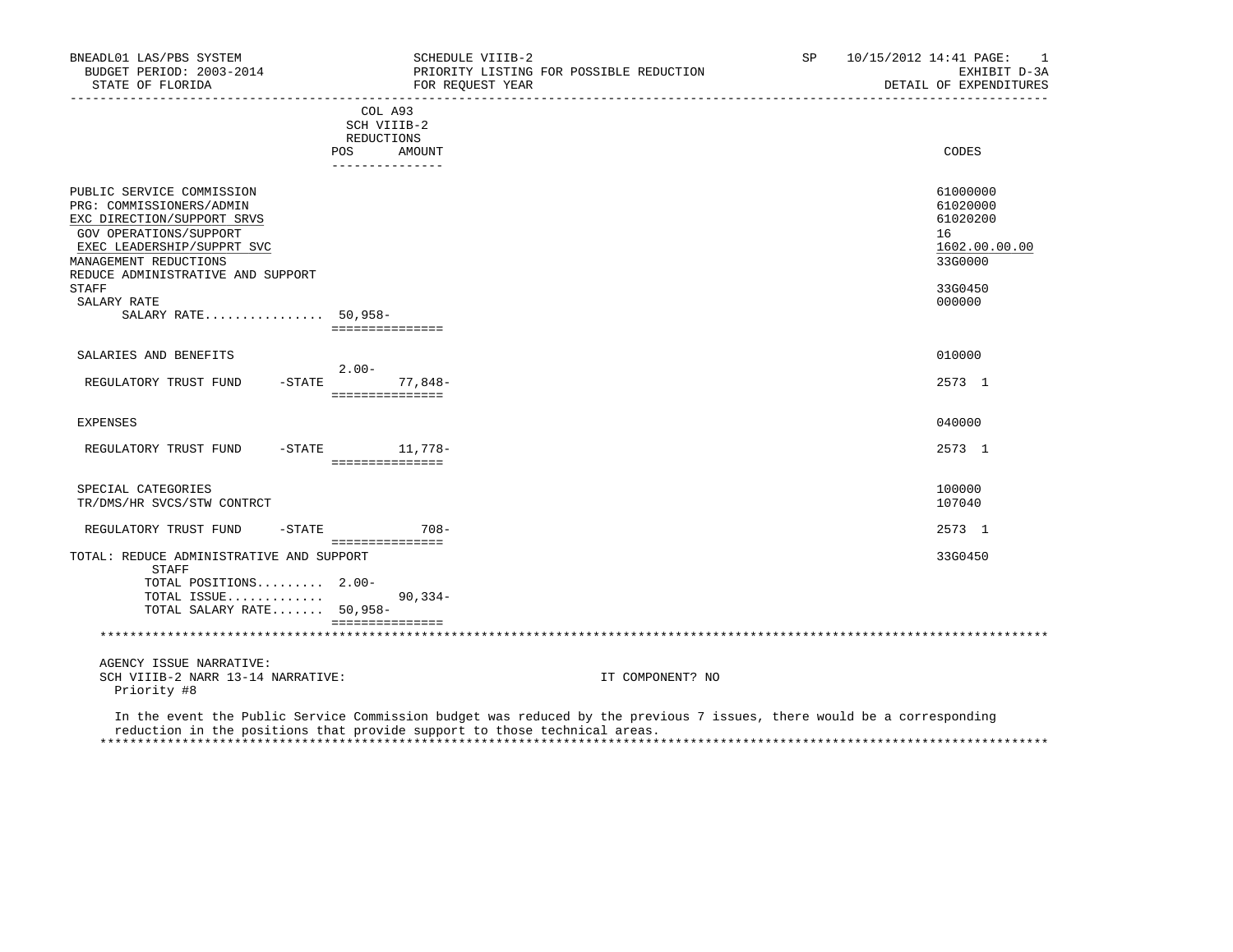| BNEADL01 LAS/PBS SYSTEM<br>BUDGET PERIOD: 2003-2014<br>STATE OF FLORIDA                                                                                                                                   | SCHEDULE VIIIB-2<br>PRIORITY LISTING FOR POSSIBLE REDUCTION<br>FOR REOUEST YEAR | SP                                                                                                                     | 10/15/2012 14:41 PAGE:<br>-1<br>EXHIBIT D-3A<br>DETAIL OF EXPENDITURES |
|-----------------------------------------------------------------------------------------------------------------------------------------------------------------------------------------------------------|---------------------------------------------------------------------------------|------------------------------------------------------------------------------------------------------------------------|------------------------------------------------------------------------|
|                                                                                                                                                                                                           | COL A93<br>SCH VIIIB-2<br>REDUCTIONS<br>POS DO<br>AMOUNT<br>_______________     |                                                                                                                        | CODES                                                                  |
| PUBLIC SERVICE COMMISSION<br>PRG: COMMISSIONERS/ADMIN<br>EXC DIRECTION/SUPPORT SRVS<br>GOV OPERATIONS/SUPPORT<br>EXEC LEADERSHIP/SUPPRT SVC<br>MANAGEMENT REDUCTIONS<br>REDUCE ADMINISTRATIVE AND SUPPORT |                                                                                 |                                                                                                                        | 61000000<br>61020000<br>61020200<br>16<br>1602.00.00.00<br>33G0000     |
| STAFF<br>SALARY RATE<br>SALARY RATE 50,958-                                                                                                                                                               | ===============                                                                 |                                                                                                                        | 33G0450<br>000000                                                      |
| SALARIES AND BENEFITS                                                                                                                                                                                     |                                                                                 |                                                                                                                        | 010000                                                                 |
| REGULATORY TRUST FUND                                                                                                                                                                                     | $2 \, . \, 00 -$<br>$-STATE$<br>77,848-<br>===============                      |                                                                                                                        | 2573 1                                                                 |
| <b>EXPENSES</b>                                                                                                                                                                                           |                                                                                 |                                                                                                                        | 040000                                                                 |
| REGULATORY TRUST FUND                                                                                                                                                                                     | -STATE 11,778-<br>================                                              |                                                                                                                        | 2573 1                                                                 |
| SPECIAL CATEGORIES<br>TR/DMS/HR SVCS/STW CONTRCT                                                                                                                                                          |                                                                                 |                                                                                                                        | 100000<br>107040                                                       |
| REGULATORY TRUST FUND                                                                                                                                                                                     | $-STATE$ 708-                                                                   |                                                                                                                        | 2573 1                                                                 |
| TOTAL: REDUCE ADMINISTRATIVE AND SUPPORT<br>STAFF<br>TOTAL POSITIONS 2.00-<br>TOTAL ISSUE<br>TOTAL SALARY RATE 50,958-                                                                                    | ===============<br>$90, 334 -$<br>===============                               |                                                                                                                        | 33G0450                                                                |
| AGENCY ISSUE NARRATIVE:<br>SCH VIIIB-2 NARR 13-14 NARRATIVE:<br>Priority #8                                                                                                                               |                                                                                 | IT COMPONENT? NO                                                                                                       |                                                                        |
|                                                                                                                                                                                                           |                                                                                 | In the event the Public Service Commission budget was reduced by the previous 7 issues, there would be a corresponding |                                                                        |

reduction in the positions that provide support to those technical areas.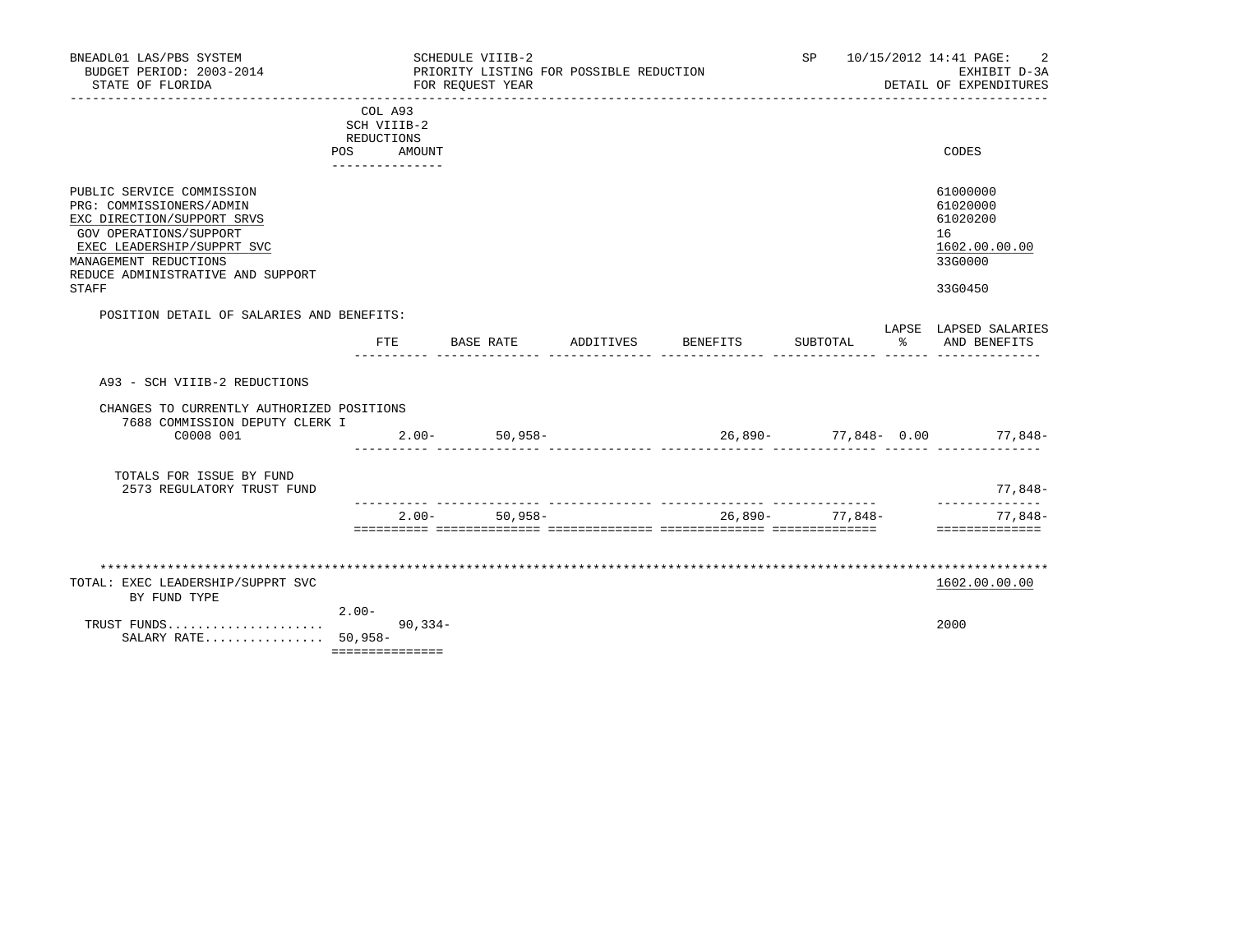| BNEADL01 LAS/PBS SYSTEM<br>BUDGET PERIOD: 2003-2014<br>STATE OF FLORIDA                                                                                                                                                   |            |                                                                   | SCHEDULE VIIIB-2<br>FOR REQUEST YEAR | PRIORITY LISTING FOR POSSIBLE REDUCTION |          | SP              |    | 10/15/2012 14:41 PAGE:<br>EXHIBIT D-3A<br>DETAIL OF EXPENDITURES              |
|---------------------------------------------------------------------------------------------------------------------------------------------------------------------------------------------------------------------------|------------|-------------------------------------------------------------------|--------------------------------------|-----------------------------------------|----------|-----------------|----|-------------------------------------------------------------------------------|
|                                                                                                                                                                                                                           | <b>POS</b> | COL A93<br>SCH VIIIB-2<br>REDUCTIONS<br>AMOUNT<br>--------------- |                                      |                                         |          |                 |    | CODES                                                                         |
| PUBLIC SERVICE COMMISSION<br>PRG: COMMISSIONERS/ADMIN<br>EXC DIRECTION/SUPPORT SRVS<br><b>GOV OPERATIONS/SUPPORT</b><br>EXEC LEADERSHIP/SUPPRT SVC<br>MANAGEMENT REDUCTIONS<br>REDUCE ADMINISTRATIVE AND SUPPORT<br>STAFF |            |                                                                   |                                      |                                         |          |                 |    | 61000000<br>61020000<br>61020200<br>16<br>1602.00.00.00<br>33G0000<br>33G0450 |
| POSITION DETAIL OF SALARIES AND BENEFITS:                                                                                                                                                                                 |            | FTE.                                                              | BASE RATE                            | ADDITIVES                               | BENEFITS | SUBTOTAL        | န္ | LAPSE LAPSED SALARIES<br>AND BENEFITS                                         |
| A93 - SCH VIIIB-2 REDUCTIONS<br>CHANGES TO CURRENTLY AUTHORIZED POSITIONS<br>7688 COMMISSION DEPUTY CLERK I<br>C0008 001                                                                                                  |            |                                                                   | $2.00 - 50,958 -$                    |                                         |          |                 |    | $26,890-77,848-0.00$ 77,848-                                                  |
| TOTALS FOR ISSUE BY FUND<br>2573 REGULATORY TRUST FUND                                                                                                                                                                    |            |                                                                   |                                      |                                         |          |                 |    | 77,848-                                                                       |
|                                                                                                                                                                                                                           |            |                                                                   | $2.00 - 50.958 -$                    |                                         |          | 26,890- 77,848- |    | ______________<br>77,848-<br>==============                                   |
| TOTAL: EXEC LEADERSHIP/SUPPRT SVC<br>BY FUND TYPE<br>TRUST FUNDS<br>SALARY RATE 50,958-                                                                                                                                   | $2.00 -$   | $90, 334 -$<br>===============                                    |                                      |                                         |          |                 |    | 1602.00.00.00<br>2000                                                         |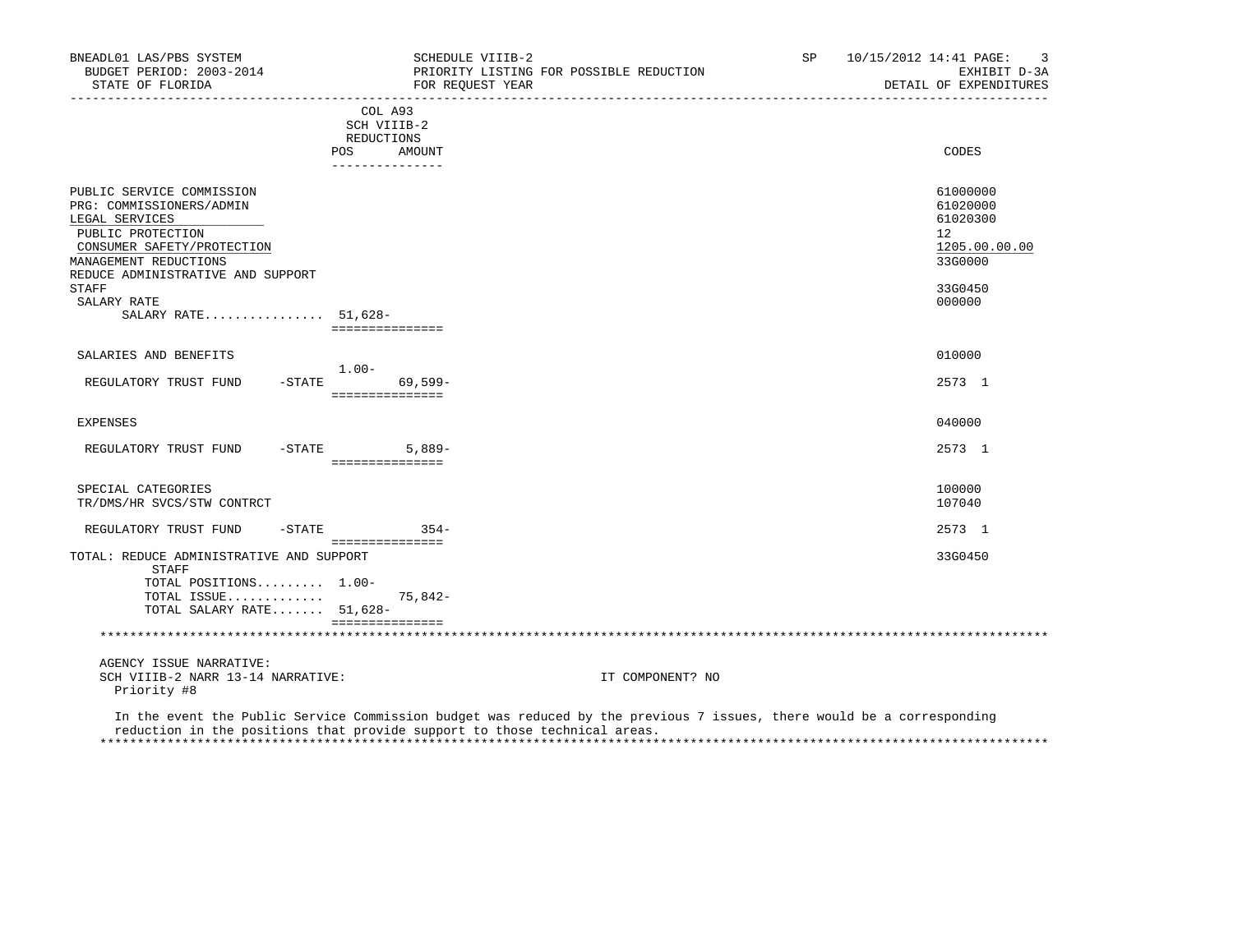| BNEADL01 LAS/PBS SYSTEM<br>BUDGET PERIOD: 2003-2014<br>STATE OF FLORIDA                                                                                                                           | SCHEDULE VIIIB-2<br>FOR REOUEST YEAR                                     | PRIORITY LISTING FOR POSSIBLE REDUCTION                                                                                | SP<br>10/15/2012 14:41 PAGE:<br>3<br>EXHIBIT D-3A<br>DETAIL OF EXPENDITURES   |
|---------------------------------------------------------------------------------------------------------------------------------------------------------------------------------------------------|--------------------------------------------------------------------------|------------------------------------------------------------------------------------------------------------------------|-------------------------------------------------------------------------------|
|                                                                                                                                                                                                   | COL A93<br>SCH VIIIB-2<br>REDUCTIONS<br>POS<br>AMOUNT<br>--------------- |                                                                                                                        | CODES                                                                         |
| PUBLIC SERVICE COMMISSION<br>PRG: COMMISSIONERS/ADMIN<br>LEGAL SERVICES<br>PUBLIC PROTECTION<br>CONSUMER SAFETY/PROTECTION<br>MANAGEMENT REDUCTIONS<br>REDUCE ADMINISTRATIVE AND SUPPORT<br>STAFF |                                                                          |                                                                                                                        | 61000000<br>61020000<br>61020300<br>12<br>1205.00.00.00<br>33G0000<br>33G0450 |
| SALARY RATE<br>SALARY RATE 51,628-                                                                                                                                                                | ===============                                                          |                                                                                                                        | 000000                                                                        |
| SALARIES AND BENEFITS                                                                                                                                                                             | $1.00-$                                                                  |                                                                                                                        | 010000                                                                        |
| REGULATORY TRUST FUND                                                                                                                                                                             | $-$ STATE<br>$69,599-$<br>===============                                |                                                                                                                        | 2573 1                                                                        |
| <b>EXPENSES</b>                                                                                                                                                                                   |                                                                          |                                                                                                                        | 040000                                                                        |
| REGULATORY TRUST FUND -STATE                                                                                                                                                                      | $5,889-$<br>===============                                              |                                                                                                                        | 2573 1                                                                        |
| SPECIAL CATEGORIES<br>TR/DMS/HR SVCS/STW CONTRCT                                                                                                                                                  |                                                                          |                                                                                                                        | 100000<br>107040                                                              |
| REGULATORY TRUST FUND                                                                                                                                                                             | $-STATE$<br>$354-$                                                       |                                                                                                                        | 2573 1                                                                        |
| TOTAL: REDUCE ADMINISTRATIVE AND SUPPORT<br>STAFF<br>TOTAL POSITIONS 1.00-<br>TOTAL ISSUE<br>TOTAL SALARY RATE 51,628-                                                                            | ===============<br>75,842-<br>===============                            |                                                                                                                        | 33G0450                                                                       |
|                                                                                                                                                                                                   |                                                                          |                                                                                                                        |                                                                               |
| AGENCY ISSUE NARRATIVE:<br>SCH VIIIB-2 NARR 13-14 NARRATIVE:<br>Priority #8                                                                                                                       |                                                                          | IT COMPONENT? NO                                                                                                       |                                                                               |
|                                                                                                                                                                                                   |                                                                          | In the event the Public Service Commission budget was reduced by the previous 7 issues, there would be a corresponding |                                                                               |

 reduction in the positions that provide support to those technical areas. \*\*\*\*\*\*\*\*\*\*\*\*\*\*\*\*\*\*\*\*\*\*\*\*\*\*\*\*\*\*\*\*\*\*\*\*\*\*\*\*\*\*\*\*\*\*\*\*\*\*\*\*\*\*\*\*\*\*\*\*\*\*\*\*\*\*\*\*\*\*\*\*\*\*\*\*\*\*\*\*\*\*\*\*\*\*\*\*\*\*\*\*\*\*\*\*\*\*\*\*\*\*\*\*\*\*\*\*\*\*\*\*\*\*\*\*\*\*\*\*\*\*\*\*\*\*\*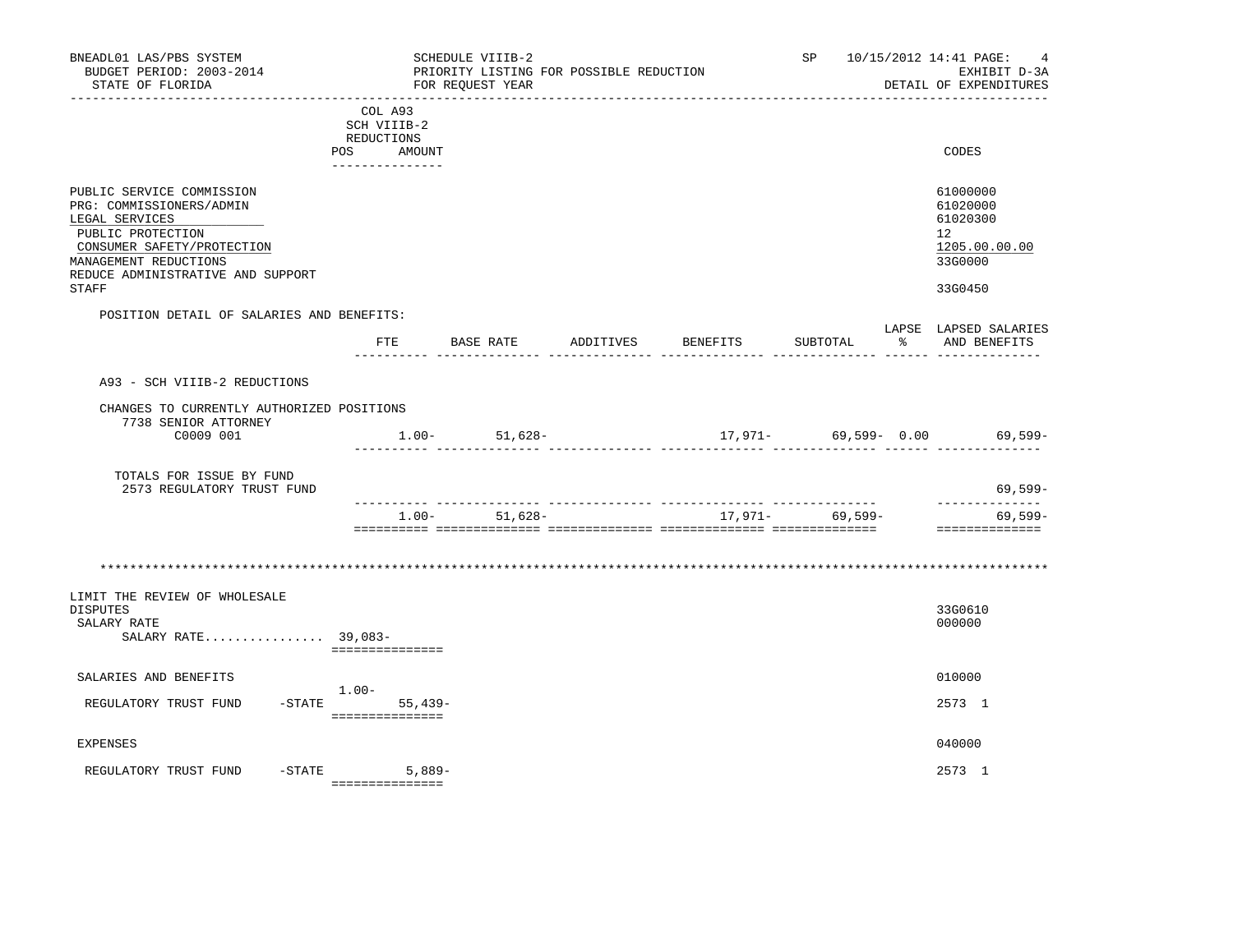| BNEADL01 LAS/PBS SYSTEM<br>BUDGET PERIOD: 2003-2014<br>STATE OF FLORIDA                                                                                                                                  |                                                                          | SCHEDULE VIIIB-2<br>FOR REOUEST YEAR | PRIORITY LISTING FOR POSSIBLE REDUCTION |          |                 | SP 10/15/2012 14:41 PAGE:<br>4<br>EXHIBIT D-3A<br>DETAIL OF EXPENDITURES      |
|----------------------------------------------------------------------------------------------------------------------------------------------------------------------------------------------------------|--------------------------------------------------------------------------|--------------------------------------|-----------------------------------------|----------|-----------------|-------------------------------------------------------------------------------|
|                                                                                                                                                                                                          | COL A93<br>SCH VIIIB-2<br>REDUCTIONS<br>POS<br>AMOUNT<br>--------------- |                                      |                                         |          |                 | CODES                                                                         |
| PUBLIC SERVICE COMMISSION<br>PRG: COMMISSIONERS/ADMIN<br>LEGAL SERVICES<br>PUBLIC PROTECTION<br>CONSUMER SAFETY/PROTECTION<br>MANAGEMENT REDUCTIONS<br>REDUCE ADMINISTRATIVE AND SUPPORT<br><b>STAFF</b> |                                                                          |                                      |                                         |          |                 | 61000000<br>61020000<br>61020300<br>12<br>1205.00.00.00<br>33G0000<br>33G0450 |
| POSITION DETAIL OF SALARIES AND BENEFITS:                                                                                                                                                                | FTE                                                                      | BASE RATE                            | ADDITIVES                               | BENEFITS | SUBTOTAL        | LAPSE LAPSED SALARIES<br>% AND BENEFITS                                       |
| A93 - SCH VIIIB-2 REDUCTIONS<br>CHANGES TO CURRENTLY AUTHORIZED POSITIONS<br>7738 SENIOR ATTORNEY<br>C0009 001<br>TOTALS FOR ISSUE BY FUND                                                               |                                                                          | $1.00 - 51,628 -$                    |                                         |          | - ----------    | $17,971-$ 69,599- 0.00 69,599-                                                |
| 2573 REGULATORY TRUST FUND                                                                                                                                                                               |                                                                          | $1.00 - 51,628 -$                    |                                         |          | 17,971- 69,599- | $69,599-$<br>. _ _ _ _ _ _ _ _ _ _ _ _ _<br>$69,599-$<br>==============       |
|                                                                                                                                                                                                          |                                                                          |                                      |                                         |          |                 |                                                                               |
| LIMIT THE REVIEW OF WHOLESALE<br><b>DISPUTES</b><br>SALARY RATE<br>SALARY RATE 39,083-                                                                                                                   | ===============                                                          |                                      |                                         |          |                 | 33G0610<br>000000                                                             |
| SALARIES AND BENEFITS<br>REGULATORY TRUST FUND                                                                                                                                                           | $1.00-$<br>$-STATE$<br>$55.439-$                                         |                                      |                                         |          |                 | 010000<br>2573 1                                                              |
| <b>EXPENSES</b>                                                                                                                                                                                          | ===============                                                          |                                      |                                         |          |                 | 040000                                                                        |
| $-$ STATE<br>REGULATORY TRUST FUND                                                                                                                                                                       | $5,889-$<br>===============                                              |                                      |                                         |          |                 | 2573 1                                                                        |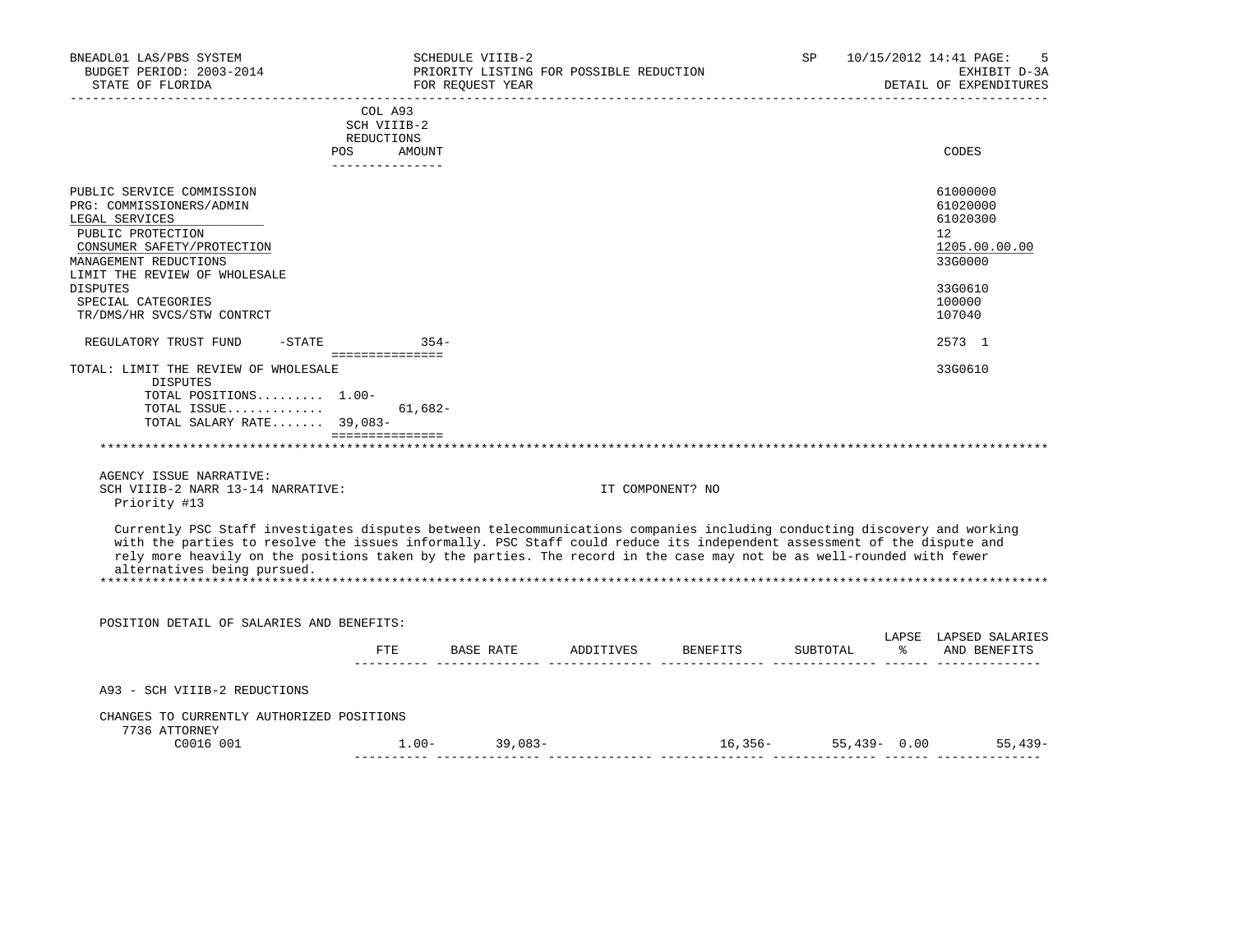| BNEADL01 LAS/PBS SYSTEM<br>BUDGET PERIOD: 2003-2014<br>STATE OF FLORIDA                                                                                                                                                                                                                                                                                                                                      |                               | SCHEDULE VIIIB-2<br>PRIORITY LISTING FOR POSSIBLE REDUCTION<br>FOR REQUEST YEAR<br>------------------ |                  | _____________________________    | SP       | 10/15/2012 14:41 PAGE:<br>.5<br>EXHIBIT D-3A<br>DETAIL OF EXPENDITURES |
|--------------------------------------------------------------------------------------------------------------------------------------------------------------------------------------------------------------------------------------------------------------------------------------------------------------------------------------------------------------------------------------------------------------|-------------------------------|-------------------------------------------------------------------------------------------------------|------------------|----------------------------------|----------|------------------------------------------------------------------------|
|                                                                                                                                                                                                                                                                                                                                                                                                              | COL A93                       |                                                                                                       |                  |                                  |          |                                                                        |
|                                                                                                                                                                                                                                                                                                                                                                                                              | SCH VIIIB-2<br>REDUCTIONS     |                                                                                                       |                  |                                  |          |                                                                        |
|                                                                                                                                                                                                                                                                                                                                                                                                              | POS AMOUNT<br>_______________ |                                                                                                       |                  |                                  |          | CODES                                                                  |
| PUBLIC SERVICE COMMISSION                                                                                                                                                                                                                                                                                                                                                                                    |                               |                                                                                                       |                  |                                  |          | 61000000                                                               |
| PRG: COMMISSIONERS/ADMIN                                                                                                                                                                                                                                                                                                                                                                                     |                               |                                                                                                       |                  |                                  |          | 61020000                                                               |
| LEGAL SERVICES                                                                                                                                                                                                                                                                                                                                                                                               |                               |                                                                                                       |                  |                                  |          | 61020300                                                               |
| PUBLIC PROTECTION<br>CONSUMER SAFETY/PROTECTION                                                                                                                                                                                                                                                                                                                                                              |                               |                                                                                                       |                  |                                  |          | 12<br>1205.00.00.00                                                    |
| MANAGEMENT REDUCTIONS                                                                                                                                                                                                                                                                                                                                                                                        |                               |                                                                                                       |                  |                                  |          | 33G0000                                                                |
| LIMIT THE REVIEW OF WHOLESALE                                                                                                                                                                                                                                                                                                                                                                                |                               |                                                                                                       |                  |                                  |          |                                                                        |
| <b>DISPUTES</b>                                                                                                                                                                                                                                                                                                                                                                                              |                               |                                                                                                       |                  |                                  |          | 33G0610                                                                |
| SPECIAL CATEGORIES<br>TR/DMS/HR SVCS/STW CONTRCT                                                                                                                                                                                                                                                                                                                                                             |                               |                                                                                                       |                  |                                  |          | 100000<br>107040                                                       |
|                                                                                                                                                                                                                                                                                                                                                                                                              |                               |                                                                                                       |                  |                                  |          |                                                                        |
| REGULATORY TRUST FUND<br>$-STATE$ 354-                                                                                                                                                                                                                                                                                                                                                                       |                               |                                                                                                       |                  |                                  |          | 2573 1                                                                 |
| TOTAL: LIMIT THE REVIEW OF WHOLESALE<br><b>DISPUTES</b>                                                                                                                                                                                                                                                                                                                                                      |                               |                                                                                                       |                  |                                  |          | 33G0610                                                                |
| TOTAL POSITIONS 1.00-                                                                                                                                                                                                                                                                                                                                                                                        |                               |                                                                                                       |                  |                                  |          |                                                                        |
| TOTAL ISSUE<br>TOTAL SALARY RATE 39,083-                                                                                                                                                                                                                                                                                                                                                                     | $61.682-$<br>===============  |                                                                                                       |                  |                                  |          |                                                                        |
|                                                                                                                                                                                                                                                                                                                                                                                                              |                               |                                                                                                       |                  |                                  |          |                                                                        |
| AGENCY ISSUE NARRATIVE:                                                                                                                                                                                                                                                                                                                                                                                      |                               |                                                                                                       |                  |                                  |          |                                                                        |
| SCH VIIIB-2 NARR 13-14 NARRATIVE:<br>Priority #13                                                                                                                                                                                                                                                                                                                                                            |                               |                                                                                                       | IT COMPONENT? NO |                                  |          |                                                                        |
| Currently PSC Staff investigates disputes between telecommunications companies including conducting discovery and working<br>with the parties to resolve the issues informally. PSC Staff could reduce its independent assessment of the dispute and<br>rely more heavily on the positions taken by the parties. The record in the case may not be as well-rounded with fewer<br>alternatives being pursued. |                               |                                                                                                       |                  |                                  |          |                                                                        |
|                                                                                                                                                                                                                                                                                                                                                                                                              |                               |                                                                                                       |                  |                                  |          |                                                                        |
| POSITION DETAIL OF SALARIES AND BENEFITS:                                                                                                                                                                                                                                                                                                                                                                    |                               |                                                                                                       |                  |                                  |          |                                                                        |
|                                                                                                                                                                                                                                                                                                                                                                                                              |                               |                                                                                                       |                  | FTE BASE RATE ADDITIVES BENEFITS | SUBTOTAL | LAPSE LAPSED SALARIES<br>% AND BENEFITS                                |
| A93 - SCH VIIIB-2 REDUCTIONS                                                                                                                                                                                                                                                                                                                                                                                 |                               |                                                                                                       |                  |                                  |          |                                                                        |
| CHANGES TO CURRENTLY AUTHORIZED POSITIONS                                                                                                                                                                                                                                                                                                                                                                    |                               |                                                                                                       |                  |                                  |          |                                                                        |
| 7736 ATTORNEY                                                                                                                                                                                                                                                                                                                                                                                                |                               |                                                                                                       |                  |                                  |          |                                                                        |
| C0016 001                                                                                                                                                                                                                                                                                                                                                                                                    |                               | $1.00 - 39,083 -$                                                                                     |                  |                                  |          |                                                                        |
|                                                                                                                                                                                                                                                                                                                                                                                                              |                               |                                                                                                       |                  |                                  |          |                                                                        |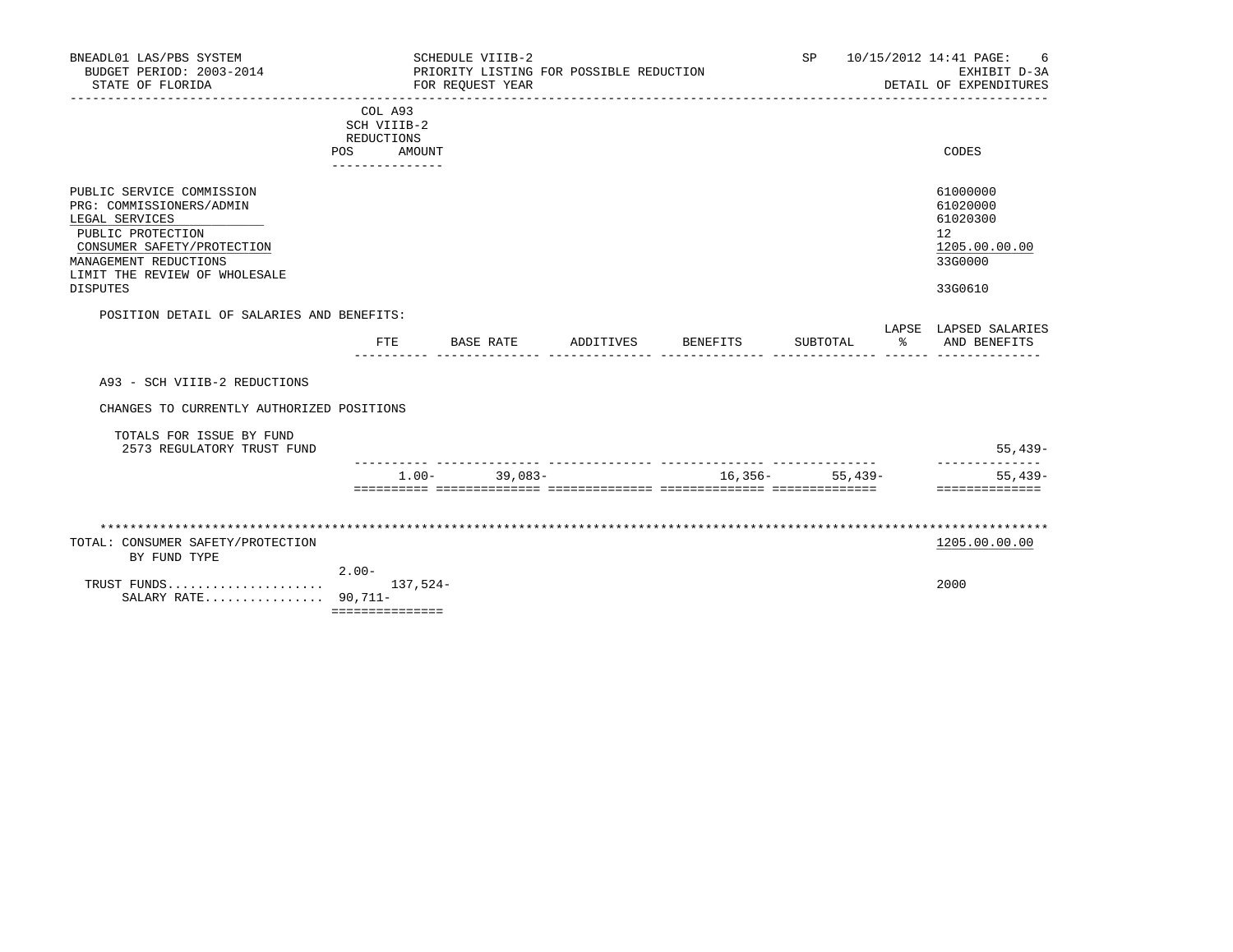| BNEADL01 LAS/PBS SYSTEM<br>BUDGET PERIOD: 2003-2014<br>STATE OF FLORIDA                                                                                                                                 |                                                                | SCHEDULE VIIIB-2<br>PRIORITY LISTING FOR POSSIBLE REDUCTION<br>FOR REQUEST YEAR |           |                                    | <b>SP</b>        |   | 10/15/2012 14:41 PAGE:<br>6<br>EXHIBIT D-3A<br>DETAIL OF EXPENDITURES         |
|---------------------------------------------------------------------------------------------------------------------------------------------------------------------------------------------------------|----------------------------------------------------------------|---------------------------------------------------------------------------------|-----------|------------------------------------|------------------|---|-------------------------------------------------------------------------------|
|                                                                                                                                                                                                         | COL A93<br>SCH VIIIB-2<br>REDUCTIONS<br>POS<br>--------------- | AMOUNT                                                                          |           |                                    |                  |   | CODES                                                                         |
| PUBLIC SERVICE COMMISSION<br>PRG: COMMISSIONERS/ADMIN<br>LEGAL SERVICES<br>PUBLIC PROTECTION<br>CONSUMER SAFETY/PROTECTION<br>MANAGEMENT REDUCTIONS<br>LIMIT THE REVIEW OF WHOLESALE<br><b>DISPUTES</b> |                                                                |                                                                                 |           |                                    |                  |   | 61000000<br>61020000<br>61020300<br>12<br>1205.00.00.00<br>33G0000<br>33G0610 |
| POSITION DETAIL OF SALARIES AND BENEFITS:                                                                                                                                                               |                                                                |                                                                                 |           |                                    |                  |   | LAPSE LAPSED SALARIES                                                         |
|                                                                                                                                                                                                         | FTE                                                            | BASE RATE                                                                       | ADDITIVES | BENEFITS                           | SUBTOTAL         | ႜ | AND BENEFITS                                                                  |
| A93 - SCH VIIIB-2 REDUCTIONS                                                                                                                                                                            |                                                                |                                                                                 |           |                                    |                  |   |                                                                               |
| CHANGES TO CURRENTLY AUTHORIZED POSITIONS                                                                                                                                                               |                                                                |                                                                                 |           |                                    |                  |   |                                                                               |
| TOTALS FOR ISSUE BY FUND<br>2573 REGULATORY TRUST FUND                                                                                                                                                  |                                                                |                                                                                 |           |                                    |                  |   | $55,439-$                                                                     |
|                                                                                                                                                                                                         |                                                                | $39.083 -$<br>$1.00 -$                                                          |           | __________________________________ | $16,356-55,439-$ |   | -------------<br>$55.439 -$<br>==============                                 |
|                                                                                                                                                                                                         |                                                                |                                                                                 |           |                                    |                  |   |                                                                               |
| TOTAL: CONSUMER SAFETY/PROTECTION<br>BY FUND TYPE                                                                                                                                                       |                                                                |                                                                                 |           |                                    |                  |   | 1205.00.00.00                                                                 |
| TRUST FUNDS<br>SALARY RATE $90,711-$                                                                                                                                                                    | $2.00 -$<br>===============                                    | $137.524-$                                                                      |           |                                    |                  |   | 2000                                                                          |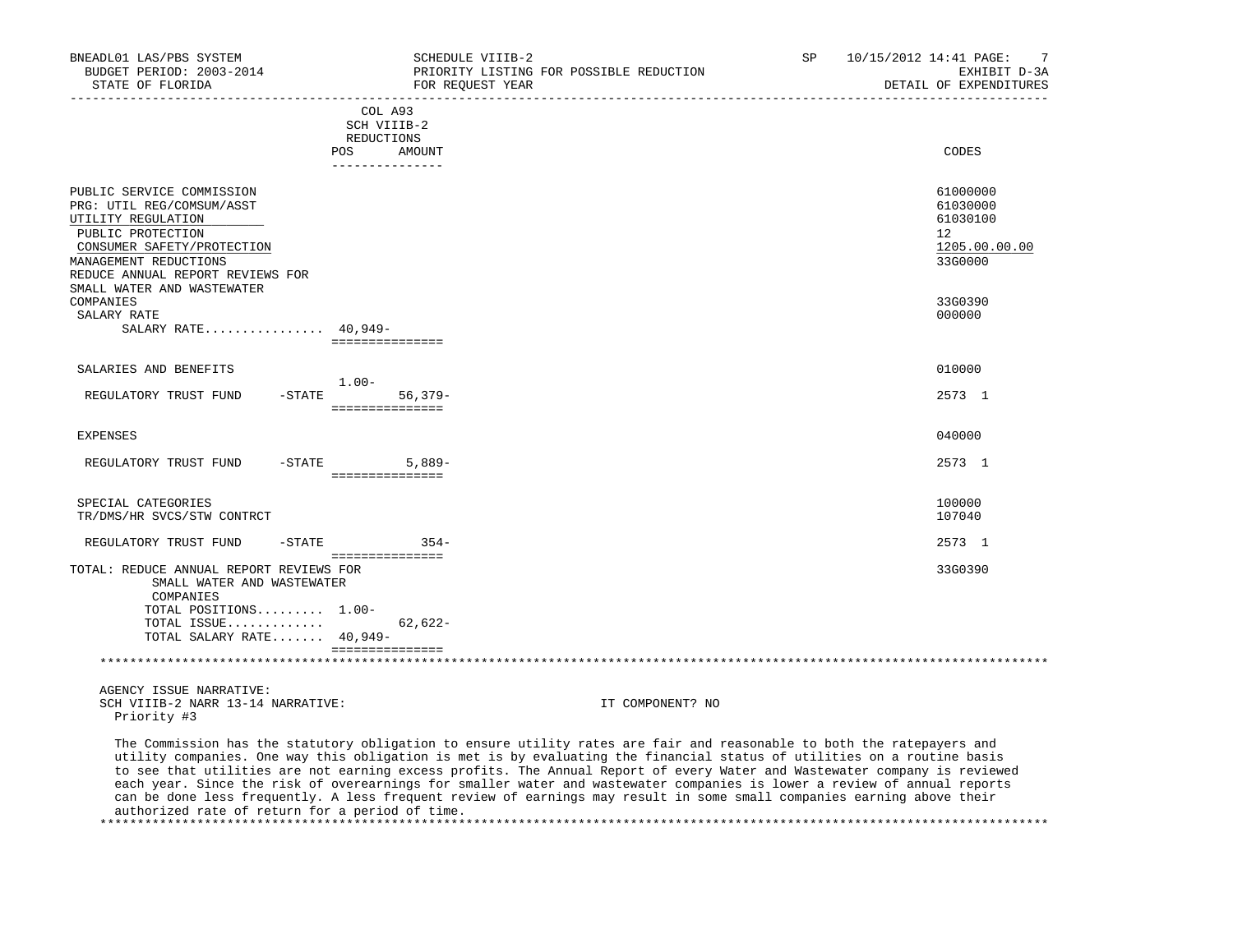| BNEADL01 LAS/PBS SYSTEM<br>BUDGET PERIOD: 2003-2014<br>STATE OF FLORIDA                                                                                                                      | SCHEDULE VIIIB-2<br>PRIORITY LISTING FOR POSSIBLE REDUCTION<br>FOR REOUEST YEAR | SP | 7<br>10/15/2012 14:41 PAGE:<br>EXHIBIT D-3A<br>DETAIL OF EXPENDITURES |
|----------------------------------------------------------------------------------------------------------------------------------------------------------------------------------------------|---------------------------------------------------------------------------------|----|-----------------------------------------------------------------------|
|                                                                                                                                                                                              | COL A93<br>SCH VIIIB-2<br>REDUCTIONS<br><b>POS</b><br>AMOUNT<br>_______________ |    | CODES                                                                 |
| PUBLIC SERVICE COMMISSION<br>PRG: UTIL REG/COMSUM/ASST<br>UTILITY REGULATION<br>PUBLIC PROTECTION<br>CONSUMER SAFETY/PROTECTION<br>MANAGEMENT REDUCTIONS<br>REDUCE ANNUAL REPORT REVIEWS FOR |                                                                                 |    | 61000000<br>61030000<br>61030100<br>12<br>1205.00.00.00<br>33G0000    |
| SMALL WATER AND WASTEWATER<br>COMPANIES<br>SALARY RATE<br>SALARY RATE 40,949-                                                                                                                | ===============                                                                 |    | 33G0390<br>000000                                                     |
| SALARIES AND BENEFITS<br>$-STATE$<br>REGULATORY TRUST FUND                                                                                                                                   | $1.00 -$<br>$56,379-$<br>===============                                        |    | 010000<br>2573 1                                                      |
| <b>EXPENSES</b>                                                                                                                                                                              | $-STATE$ 5,889-                                                                 |    | 040000<br>2573 1                                                      |
| REGULATORY TRUST FUND<br>SPECIAL CATEGORIES<br>TR/DMS/HR SVCS/STW CONTRCT                                                                                                                    | ===============                                                                 |    | 100000<br>107040                                                      |
| REGULATORY TRUST FUND<br>$-$ STATE                                                                                                                                                           | $354-$                                                                          |    | 2573 1                                                                |
| TOTAL: REDUCE ANNUAL REPORT REVIEWS FOR<br>SMALL WATER AND WASTEWATER<br>COMPANIES<br>TOTAL POSITIONS 1.00-<br>TOTAL ISSUE<br>TOTAL SALARY RATE 40,949-                                      | ===============<br>$62,622-$<br>===============                                 |    | 33G0390                                                               |
| AGENCY ISSUE NARRATIVE:                                                                                                                                                                      |                                                                                 |    |                                                                       |

SCH VIIIB-2 NARR 13-14 NARRATIVE: IT COMPONENT? NO Priority #3

 The Commission has the statutory obligation to ensure utility rates are fair and reasonable to both the ratepayers and utility companies. One way this obligation is met is by evaluating the financial status of utilities on a routine basis to see that utilities are not earning excess profits. The Annual Report of every Water and Wastewater company is reviewed each year. Since the risk of overearnings for smaller water and wastewater companies is lower a review of annual reports can be done less frequently. A less frequent review of earnings may result in some small companies earning above their authorized rate of return for a period of time. \*\*\*\*\*\*\*\*\*\*\*\*\*\*\*\*\*\*\*\*\*\*\*\*\*\*\*\*\*\*\*\*\*\*\*\*\*\*\*\*\*\*\*\*\*\*\*\*\*\*\*\*\*\*\*\*\*\*\*\*\*\*\*\*\*\*\*\*\*\*\*\*\*\*\*\*\*\*\*\*\*\*\*\*\*\*\*\*\*\*\*\*\*\*\*\*\*\*\*\*\*\*\*\*\*\*\*\*\*\*\*\*\*\*\*\*\*\*\*\*\*\*\*\*\*\*\*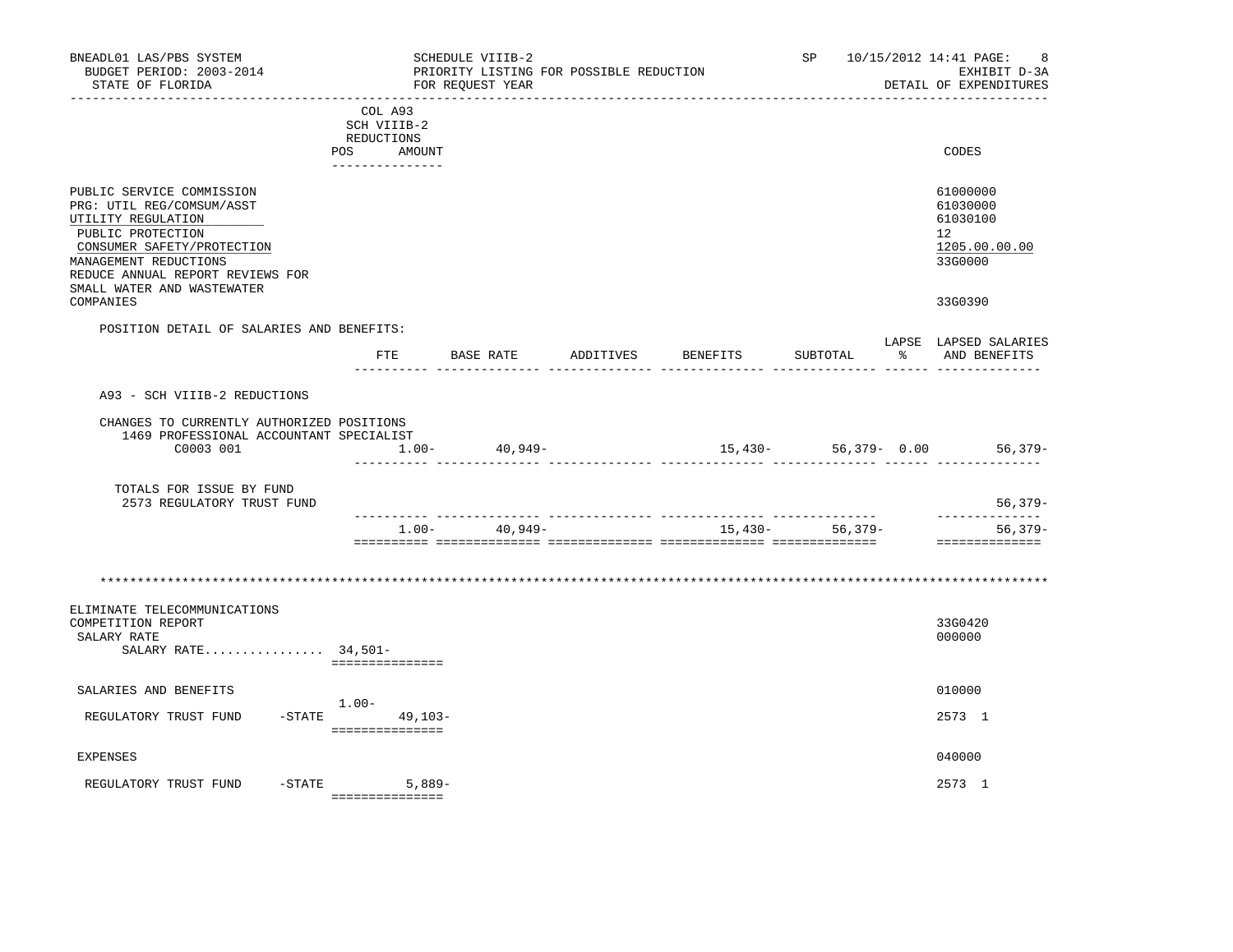| BNEADL01 LAS/PBS SYSTEM<br>BUDGET PERIOD: 2003-2014<br>STATE OF FLORIDA                                                                                                                                                    |                                                       | SCHEDULE VIIIB-2<br>FOR REOUEST YEAR | PRIORITY LISTING FOR POSSIBLE REDUCTION |          |                      |    | SP 10/15/2012 14:41 PAGE:<br>8<br>EXHIBIT D-3A<br>DETAIL OF EXPENDITURES        |
|----------------------------------------------------------------------------------------------------------------------------------------------------------------------------------------------------------------------------|-------------------------------------------------------|--------------------------------------|-----------------------------------------|----------|----------------------|----|---------------------------------------------------------------------------------|
|                                                                                                                                                                                                                            | COL A93<br>SCH VIIIB-2<br>REDUCTIONS<br>POS<br>AMOUNT |                                      |                                         |          |                      |    | CODES                                                                           |
| PUBLIC SERVICE COMMISSION<br>PRG: UTIL REG/COMSUM/ASST<br>UTILITY REGULATION<br>PUBLIC PROTECTION<br>CONSUMER SAFETY/PROTECTION<br>MANAGEMENT REDUCTIONS<br>REDUCE ANNUAL REPORT REVIEWS FOR<br>SMALL WATER AND WASTEWATER |                                                       |                                      |                                         |          |                      |    | 61000000<br>61030000<br>61030100<br>12 <sup>°</sup><br>1205.00.00.00<br>33G0000 |
| COMPANIES                                                                                                                                                                                                                  |                                                       |                                      |                                         |          |                      |    | 33G0390                                                                         |
| POSITION DETAIL OF SALARIES AND BENEFITS:                                                                                                                                                                                  | FTE                                                   | BASE RATE                            | ADDITIVES                               | BENEFITS | SUBTOTAL             | ႜႂ | LAPSE LAPSED SALARIES<br>AND BENEFITS                                           |
| A93 - SCH VIIIB-2 REDUCTIONS                                                                                                                                                                                               |                                                       |                                      |                                         |          |                      |    |                                                                                 |
| CHANGES TO CURRENTLY AUTHORIZED POSITIONS<br>1469 PROFESSIONAL ACCOUNTANT SPECIALIST<br>C0003 001                                                                                                                          | $1.00 -$                                              | 40,949-                              |                                         |          | $15,430-56,379-0.00$ |    | $56,379-$                                                                       |
| TOTALS FOR ISSUE BY FUND<br>2573 REGULATORY TRUST FUND                                                                                                                                                                     |                                                       |                                      |                                         |          |                      |    | $56,379-$                                                                       |
|                                                                                                                                                                                                                            |                                                       | $1.00 - 40.949 -$                    |                                         |          | $15,430-56,379-$     |    | ---------------<br>$56,379-$<br>==============                                  |
| ELIMINATE TELECOMMUNICATIONS<br>COMPETITION REPORT                                                                                                                                                                         |                                                       |                                      |                                         |          |                      |    | 33G0420                                                                         |
| SALARY RATE<br>SALARY RATE 34,501-                                                                                                                                                                                         | ===============                                       |                                      |                                         |          |                      |    | 000000                                                                          |
| SALARIES AND BENEFITS                                                                                                                                                                                                      |                                                       |                                      |                                         |          |                      |    | 010000                                                                          |
| REGULATORY TRUST FUND                                                                                                                                                                                                      | $1.00 -$<br>$-STATE$ 49, 103-<br>----------------     |                                      |                                         |          |                      |    | 2573 1                                                                          |
| <b>EXPENSES</b>                                                                                                                                                                                                            |                                                       |                                      |                                         |          |                      |    | 040000                                                                          |
| $-$ STATE<br>REGULATORY TRUST FUND                                                                                                                                                                                         | 5,889-<br>===============                             |                                      |                                         |          |                      |    | 2573 1                                                                          |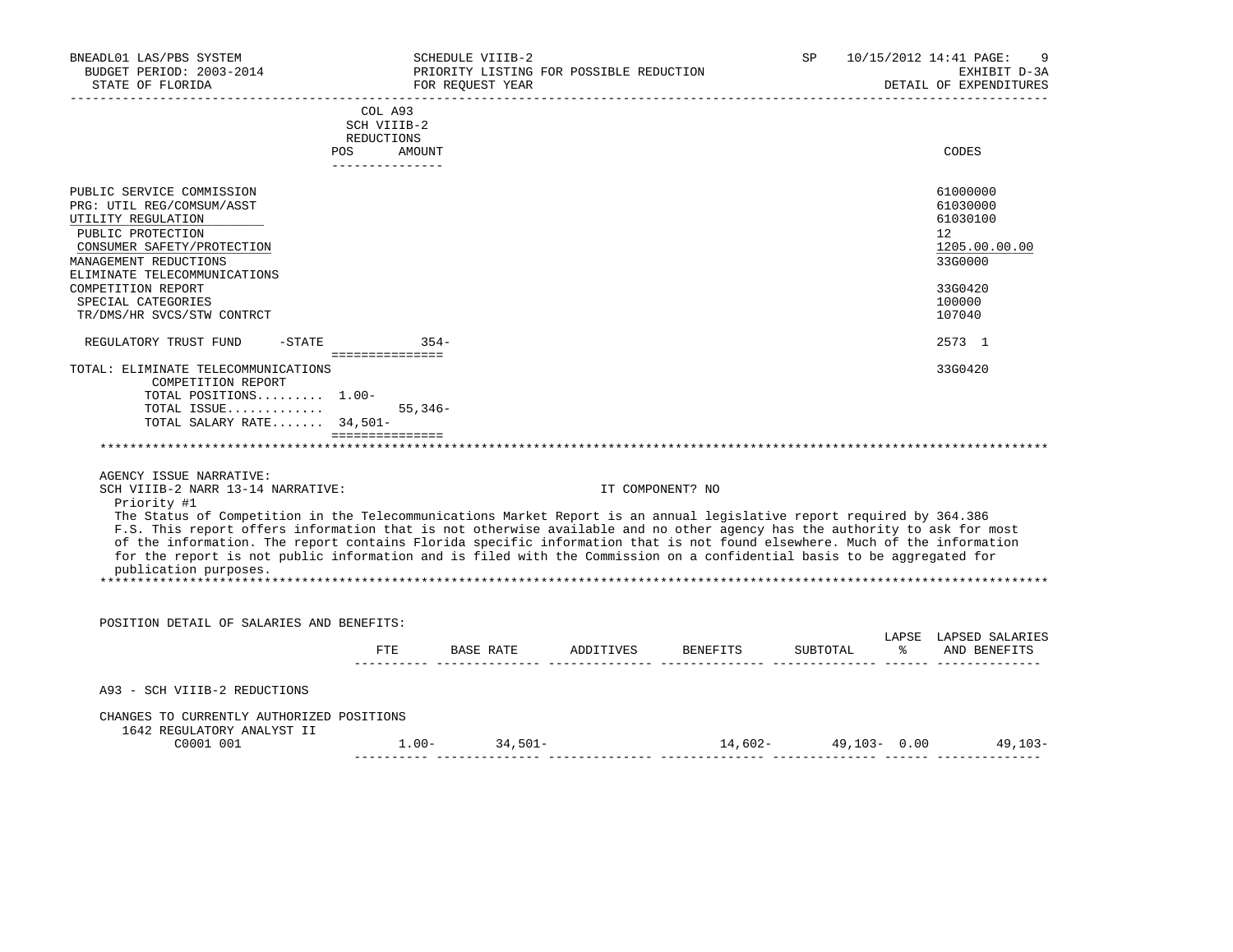| BNEADL01 LAS/PBS SYSTEM<br>BUDGET PERIOD: 2003-2014<br>STATE OF FLORIDA                                                              |                           | SCHEDULE VIIIB-2<br>PRIORITY LISTING FOR POSSIBLE REDUCTION<br>FOR REOUEST YEAR |                  |                                           | SP | 10/15/2012 14:41 PAGE:<br>9<br>EXHIBIT D-3A<br>DETAIL OF EXPENDITURES |
|--------------------------------------------------------------------------------------------------------------------------------------|---------------------------|---------------------------------------------------------------------------------|------------------|-------------------------------------------|----|-----------------------------------------------------------------------|
|                                                                                                                                      | COL A93                   |                                                                                 |                  |                                           |    |                                                                       |
|                                                                                                                                      | SCH VIIIB-2<br>REDUCTIONS |                                                                                 |                  |                                           |    |                                                                       |
|                                                                                                                                      | POS AMOUNT                |                                                                                 |                  |                                           |    | CODES                                                                 |
|                                                                                                                                      |                           |                                                                                 |                  |                                           |    |                                                                       |
| PUBLIC SERVICE COMMISSION                                                                                                            |                           |                                                                                 |                  |                                           |    | 61000000                                                              |
| PRG: UTIL REG/COMSUM/ASST                                                                                                            |                           |                                                                                 |                  |                                           |    | 61030000                                                              |
| UTILITY REGULATION                                                                                                                   |                           |                                                                                 |                  |                                           |    | 61030100                                                              |
| PUBLIC PROTECTION                                                                                                                    |                           |                                                                                 |                  |                                           |    | 12                                                                    |
| CONSUMER SAFETY/PROTECTION                                                                                                           |                           |                                                                                 |                  |                                           |    | 1205.00.00.00                                                         |
| MANAGEMENT REDUCTIONS                                                                                                                |                           |                                                                                 |                  |                                           |    | 33G0000                                                               |
| ELIMINATE TELECOMMUNICATIONS                                                                                                         |                           |                                                                                 |                  |                                           |    |                                                                       |
| COMPETITION REPORT                                                                                                                   |                           |                                                                                 |                  |                                           |    | 33G0420                                                               |
| SPECIAL CATEGORIES<br>TR/DMS/HR SVCS/STW CONTRCT                                                                                     |                           |                                                                                 |                  |                                           |    | 100000<br>107040                                                      |
|                                                                                                                                      |                           |                                                                                 |                  |                                           |    |                                                                       |
| $-STATE$ 354-<br>REGULATORY TRUST FUND                                                                                               |                           |                                                                                 |                  |                                           |    | 2573 1                                                                |
| and a construction of the construction of the construction of the construction of the construction of the const                      |                           |                                                                                 |                  |                                           |    |                                                                       |
| TOTAL: ELIMINATE TELECOMMUNICATIONS<br>COMPETITION REPORT                                                                            |                           |                                                                                 |                  |                                           |    | 33G0420                                                               |
| TOTAL POSITIONS 1.00-                                                                                                                |                           |                                                                                 |                  |                                           |    |                                                                       |
| TOTAL ISSUE                                                                                                                          | $55.346-$                 |                                                                                 |                  |                                           |    |                                                                       |
| TOTAL SALARY RATE 34,501-                                                                                                            |                           |                                                                                 |                  |                                           |    |                                                                       |
| =================                                                                                                                    |                           |                                                                                 |                  |                                           |    |                                                                       |
|                                                                                                                                      |                           |                                                                                 |                  |                                           |    |                                                                       |
| AGENCY ISSUE NARRATIVE:                                                                                                              |                           |                                                                                 |                  |                                           |    |                                                                       |
| SCH VIIIB-2 NARR 13-14 NARRATIVE:                                                                                                    |                           |                                                                                 | IT COMPONENT? NO |                                           |    |                                                                       |
| Priority #1<br>The Status of Competition in the Telecommunications Market Report is an annual legislative report required by 364.386 |                           |                                                                                 |                  |                                           |    |                                                                       |
| F.S. This report offers information that is not otherwise available and no other agency has the authority to ask for most            |                           |                                                                                 |                  |                                           |    |                                                                       |
| of the information. The report contains Florida specific information that is not found elsewhere. Much of the information            |                           |                                                                                 |                  |                                           |    |                                                                       |
| for the report is not public information and is filed with the Commission on a confidential basis to be aggregated for               |                           |                                                                                 |                  |                                           |    |                                                                       |
| publication purposes.                                                                                                                |                           |                                                                                 |                  |                                           |    |                                                                       |
|                                                                                                                                      |                           |                                                                                 |                  |                                           |    |                                                                       |
|                                                                                                                                      |                           |                                                                                 |                  |                                           |    |                                                                       |
| POSITION DETAIL OF SALARIES AND BENEFITS:                                                                                            |                           |                                                                                 |                  |                                           |    |                                                                       |
|                                                                                                                                      |                           |                                                                                 |                  | FTE BASE RATE ADDITIVES BENEFITS SUBTOTAL |    | LAPSE LAPSED SALARIES                                                 |
|                                                                                                                                      |                           |                                                                                 |                  |                                           |    | % AND BENEFITS                                                        |
| A93 - SCH VIIIB-2 REDUCTIONS                                                                                                         |                           |                                                                                 |                  |                                           |    |                                                                       |
|                                                                                                                                      |                           |                                                                                 |                  |                                           |    |                                                                       |
| CHANGES TO CURRENTLY AUTHORIZED POSITIONS<br>1642 REGULATORY ANALYST II                                                              |                           |                                                                                 |                  |                                           |    |                                                                       |
| C0001 001                                                                                                                            |                           | $1.00 - 34,501 -$                                                               |                  | $14,602 49,103-$ 0.00 $49,103-$           |    |                                                                       |
|                                                                                                                                      |                           |                                                                                 |                  |                                           |    |                                                                       |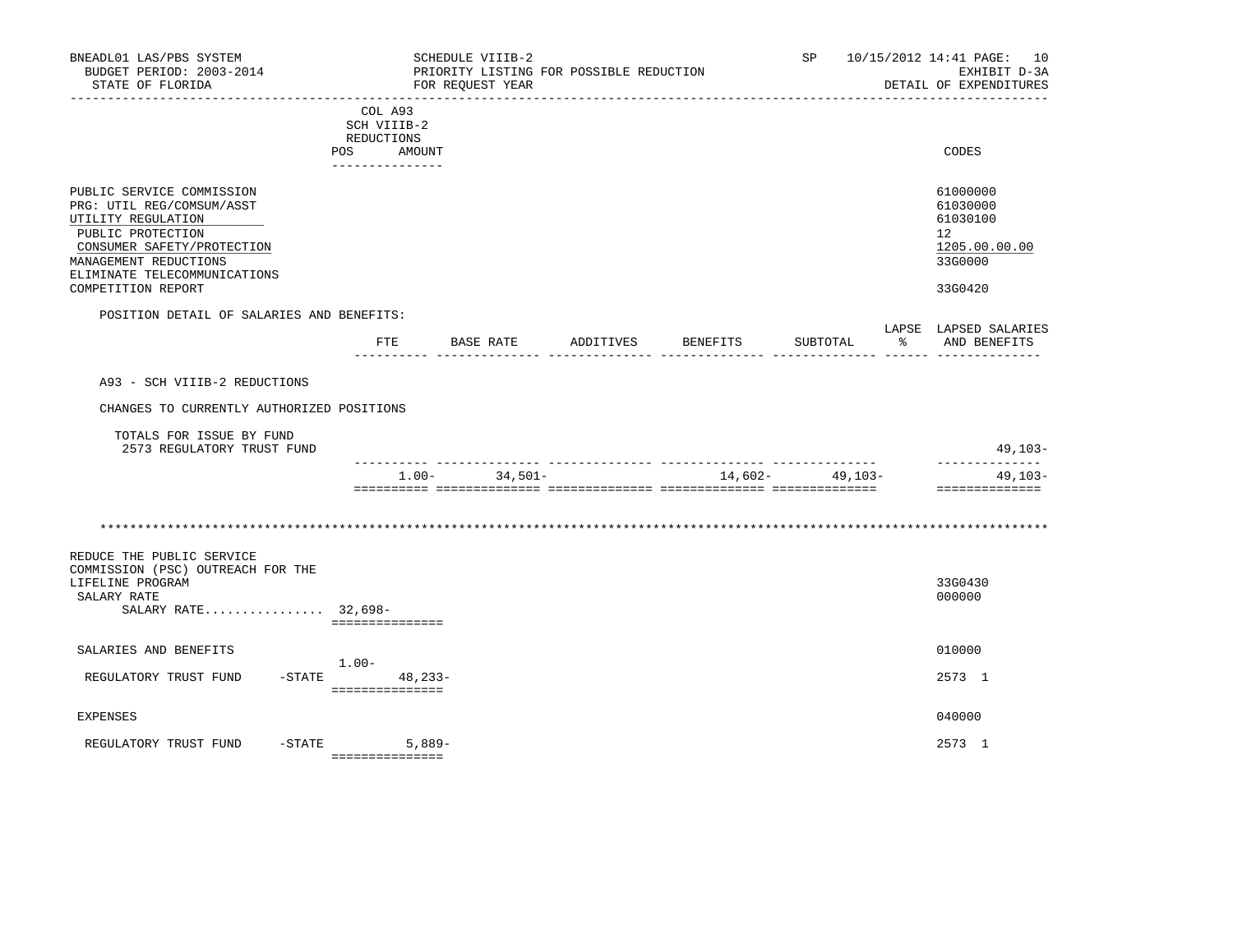| BNEADL01 LAS/PBS SYSTEM<br>BUDGET PERIOD: 2003-2014<br>STATE OF FLORIDA                                                                                                                                        |                                                                       | SCHEDULE VIIIB-2<br>FOR REOUEST YEAR | PRIORITY LISTING FOR POSSIBLE REDUCTION |          | SP       |   | 10/15/2012 14:41 PAGE: 10<br>EXHIBIT D-3A<br>DETAIL OF EXPENDITURES           |
|----------------------------------------------------------------------------------------------------------------------------------------------------------------------------------------------------------------|-----------------------------------------------------------------------|--------------------------------------|-----------------------------------------|----------|----------|---|-------------------------------------------------------------------------------|
|                                                                                                                                                                                                                | COL A93<br>SCH VIIIB-2<br>REDUCTIONS<br>POS AMOUNT<br>--------------- |                                      |                                         |          |          |   | CODES                                                                         |
| PUBLIC SERVICE COMMISSION<br>PRG: UTIL REG/COMSUM/ASST<br>UTILITY REGULATION<br>PUBLIC PROTECTION<br>CONSUMER SAFETY/PROTECTION<br>MANAGEMENT REDUCTIONS<br>ELIMINATE TELECOMMUNICATIONS<br>COMPETITION REPORT |                                                                       |                                      |                                         |          |          |   | 61000000<br>61030000<br>61030100<br>12<br>1205.00.00.00<br>33G0000<br>33G0420 |
| POSITION DETAIL OF SALARIES AND BENEFITS:                                                                                                                                                                      |                                                                       |                                      |                                         |          |          |   |                                                                               |
|                                                                                                                                                                                                                | ETE                                                                   | BASE RATE                            | ADDITIVES                               | BENEFITS | SUBTOTAL | ႜ | LAPSE LAPSED SALARIES<br>AND BENEFITS                                         |
| CHANGES TO CURRENTLY AUTHORIZED POSITIONS<br>TOTALS FOR ISSUE BY FUND<br>2573 REGULATORY TRUST FUND                                                                                                            |                                                                       |                                      |                                         |          |          |   | $49,103-$                                                                     |
|                                                                                                                                                                                                                | $1.00 -$                                                              | $34.501 -$                           |                                         | 14,602-  | 49,103-  |   | $49.103 -$<br>==============                                                  |
| REDUCE THE PUBLIC SERVICE<br>COMMISSION (PSC) OUTREACH FOR THE<br>LIFELINE PROGRAM<br>SALARY RATE<br>SALARY RATE 32,698-                                                                                       | ===============                                                       |                                      |                                         |          |          |   | 33G0430<br>000000                                                             |
| SALARIES AND BENEFITS                                                                                                                                                                                          |                                                                       |                                      |                                         |          |          |   | 010000                                                                        |
| REGULATORY TRUST FUND                                                                                                                                                                                          | $1.00-$<br>$-$ STATE 48, 233-<br>===============                      |                                      |                                         |          |          |   | 2573 1                                                                        |
| <b>EXPENSES</b>                                                                                                                                                                                                |                                                                       |                                      |                                         |          |          |   | 040000                                                                        |
| -STATE<br>REGULATORY TRUST FUND                                                                                                                                                                                | $5,889-$<br>===============                                           |                                      |                                         |          |          |   | 2573 1                                                                        |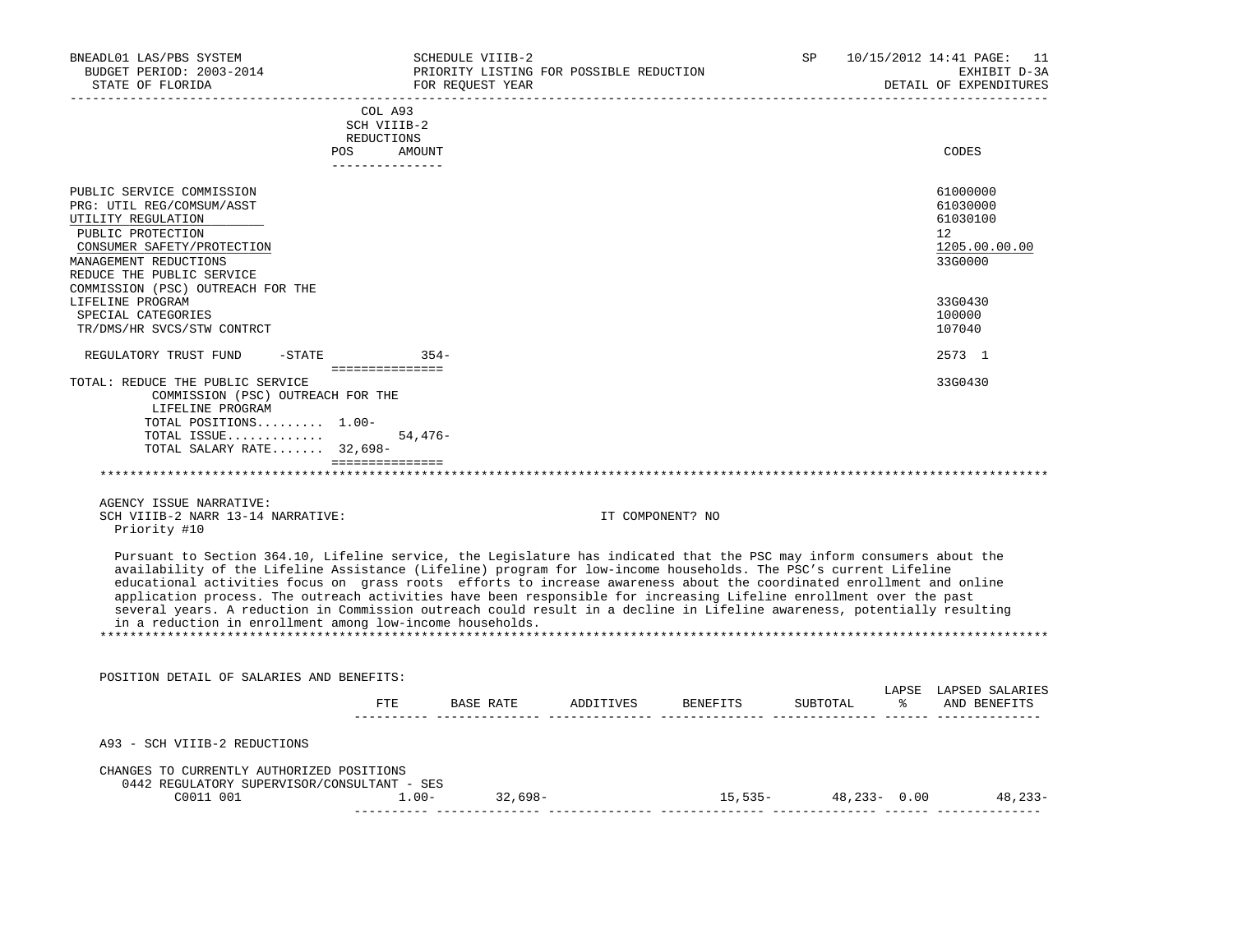| BNEADL01 LAS/PBS SYSTEM<br>BUDGET PERIOD: 2003-2014<br>STATE OF FLORIDA                                                                                                                                                                                                                                                                                                                                                                                                                                                                                                                                                                                                              |                                                | SCHEDULE VIIIB-2<br>PRIORITY LISTING FOR POSSIBLE REDUCTION<br>FOR REOUEST YEAR |           |                  | SP       |         | 10/15/2012 14:41 PAGE: 11<br>EXHIBIT D-3A<br>DETAIL OF EXPENDITURES |
|--------------------------------------------------------------------------------------------------------------------------------------------------------------------------------------------------------------------------------------------------------------------------------------------------------------------------------------------------------------------------------------------------------------------------------------------------------------------------------------------------------------------------------------------------------------------------------------------------------------------------------------------------------------------------------------|------------------------------------------------|---------------------------------------------------------------------------------|-----------|------------------|----------|---------|---------------------------------------------------------------------|
| POS                                                                                                                                                                                                                                                                                                                                                                                                                                                                                                                                                                                                                                                                                  | COL A93<br>SCH VIIIB-2<br>REDUCTIONS<br>AMOUNT |                                                                                 |           |                  |          |         | CODES                                                               |
|                                                                                                                                                                                                                                                                                                                                                                                                                                                                                                                                                                                                                                                                                      | _______________                                |                                                                                 |           |                  |          |         |                                                                     |
| PUBLIC SERVICE COMMISSION<br>PRG: UTIL REG/COMSUM/ASST<br>UTILITY REGULATION<br>PUBLIC PROTECTION<br>CONSUMER SAFETY/PROTECTION<br>MANAGEMENT REDUCTIONS<br>REDUCE THE PUBLIC SERVICE<br>COMMISSION (PSC) OUTREACH FOR THE                                                                                                                                                                                                                                                                                                                                                                                                                                                           |                                                |                                                                                 |           |                  |          |         | 61000000<br>61030000<br>61030100<br>12<br>1205.00.00.00<br>33G0000  |
| LIFELINE PROGRAM                                                                                                                                                                                                                                                                                                                                                                                                                                                                                                                                                                                                                                                                     |                                                |                                                                                 |           |                  |          |         | 33G0430                                                             |
| SPECIAL CATEGORIES<br>TR/DMS/HR SVCS/STW CONTRCT                                                                                                                                                                                                                                                                                                                                                                                                                                                                                                                                                                                                                                     |                                                |                                                                                 |           |                  |          |         | 100000<br>107040                                                    |
| REGULATORY TRUST FUND<br>$-$ STATE                                                                                                                                                                                                                                                                                                                                                                                                                                                                                                                                                                                                                                                   | ===============                                | $354-$                                                                          |           |                  |          |         | 2573 1                                                              |
| TOTAL: REDUCE THE PUBLIC SERVICE<br>COMMISSION (PSC) OUTREACH FOR THE<br>LIFELINE PROGRAM<br>TOTAL POSITIONS 1.00-<br>TOTAL ISSUE<br>TOTAL SALARY RATE 32,698-                                                                                                                                                                                                                                                                                                                                                                                                                                                                                                                       | $54,476-$<br>----------------                  |                                                                                 |           |                  |          |         | 33G0430                                                             |
|                                                                                                                                                                                                                                                                                                                                                                                                                                                                                                                                                                                                                                                                                      |                                                |                                                                                 |           |                  |          |         |                                                                     |
| AGENCY ISSUE NARRATIVE:<br>SCH VIIIB-2 NARR 13-14 NARRATIVE:<br>Priority #10                                                                                                                                                                                                                                                                                                                                                                                                                                                                                                                                                                                                         |                                                |                                                                                 |           | IT COMPONENT? NO |          |         |                                                                     |
| Pursuant to Section 364.10, Lifeline service, the Legislature has indicated that the PSC may inform consumers about the<br>availability of the Lifeline Assistance (Lifeline) program for low-income households. The PSC's current Lifeline<br>educational activities focus on grass roots efforts to increase awareness about the coordinated enrollment and online<br>application process. The outreach activities have been responsible for increasing Lifeline enrollment over the past<br>several years. A reduction in Commission outreach could result in a decline in Lifeline awareness, potentially resulting<br>in a reduction in enrollment among low-income households. |                                                |                                                                                 |           |                  |          |         |                                                                     |
| POSITION DETAIL OF SALARIES AND BENEFITS:                                                                                                                                                                                                                                                                                                                                                                                                                                                                                                                                                                                                                                            |                                                |                                                                                 |           |                  |          |         |                                                                     |
|                                                                                                                                                                                                                                                                                                                                                                                                                                                                                                                                                                                                                                                                                      | FTE                                            | BASE RATE                                                                       | ADDITIVES | BENEFITS         | SUBTOTAL | - 왕 - 한 | LAPSE LAPSED SALARIES<br>AND BENEFITS                               |
| A93 - SCH VIIIB-2 REDUCTIONS                                                                                                                                                                                                                                                                                                                                                                                                                                                                                                                                                                                                                                                         |                                                |                                                                                 |           |                  |          |         |                                                                     |
|                                                                                                                                                                                                                                                                                                                                                                                                                                                                                                                                                                                                                                                                                      |                                                |                                                                                 |           |                  |          |         |                                                                     |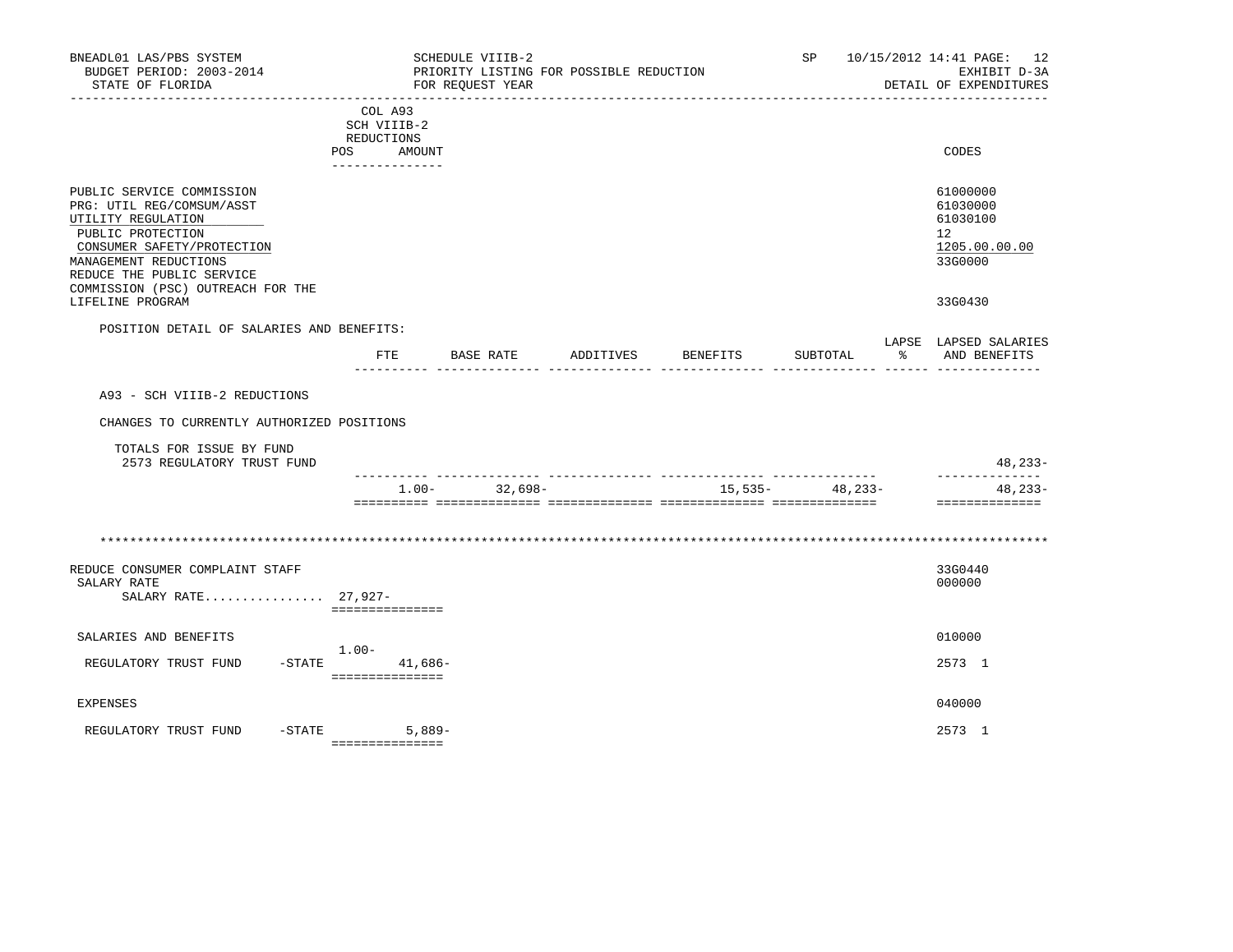| BNEADL01 LAS/PBS SYSTEM<br>BUDGET PERIOD: 2003-2014<br>STATE OF FLORIDA                                                                                                                                                    |                                                  | SCHEDULE VIIIB-2<br>PRIORITY LISTING FOR POSSIBLE REDUCTION<br>FOR REQUEST YEAR |           |          | SP                                    |   | 10/15/2012 14:41 PAGE: 12<br>EXHIBIT D-3A<br>DETAIL OF EXPENDITURES             |
|----------------------------------------------------------------------------------------------------------------------------------------------------------------------------------------------------------------------------|--------------------------------------------------|---------------------------------------------------------------------------------|-----------|----------|---------------------------------------|---|---------------------------------------------------------------------------------|
|                                                                                                                                                                                                                            | COL A93<br>SCH VIIIB-2<br>REDUCTIONS             |                                                                                 |           |          |                                       |   |                                                                                 |
|                                                                                                                                                                                                                            | POS<br>AMOUNT<br>---------------                 |                                                                                 |           |          |                                       |   | CODES                                                                           |
| PUBLIC SERVICE COMMISSION<br>PRG: UTIL REG/COMSUM/ASST<br>UTILITY REGULATION<br>PUBLIC PROTECTION<br>CONSUMER SAFETY/PROTECTION<br>MANAGEMENT REDUCTIONS<br>REDUCE THE PUBLIC SERVICE<br>COMMISSION (PSC) OUTREACH FOR THE |                                                  |                                                                                 |           |          |                                       |   | 61000000<br>61030000<br>61030100<br>12 <sup>°</sup><br>1205.00.00.00<br>33G0000 |
| LIFELINE PROGRAM                                                                                                                                                                                                           |                                                  |                                                                                 |           |          |                                       |   | 33G0430                                                                         |
| POSITION DETAIL OF SALARIES AND BENEFITS:                                                                                                                                                                                  | ETE                                              | BASE RATE                                                                       | ADDITIVES | BENEFITS | SUBTOTAL                              | ႜ | LAPSE LAPSED SALARIES<br>AND BENEFITS                                           |
|                                                                                                                                                                                                                            |                                                  |                                                                                 |           |          |                                       |   |                                                                                 |
| A93 - SCH VIIIB-2 REDUCTIONS                                                                                                                                                                                               |                                                  |                                                                                 |           |          |                                       |   |                                                                                 |
| CHANGES TO CURRENTLY AUTHORIZED POSITIONS                                                                                                                                                                                  |                                                  |                                                                                 |           |          |                                       |   |                                                                                 |
| TOTALS FOR ISSUE BY FUND<br>2573 REGULATORY TRUST FUND                                                                                                                                                                     |                                                  |                                                                                 |           |          |                                       |   | $48, 233 -$                                                                     |
|                                                                                                                                                                                                                            | $1.00 -$                                         | 32,698-                                                                         |           |          | -- --------------<br>$15,535-48,233-$ |   | --------------<br>$48, 233 -$<br>==============                                 |
|                                                                                                                                                                                                                            |                                                  |                                                                                 |           |          |                                       |   |                                                                                 |
| REDUCE CONSUMER COMPLAINT STAFF<br>SALARY RATE<br>SALARY RATE 27,927-                                                                                                                                                      | ===============                                  |                                                                                 |           |          |                                       |   | 33G0440<br>000000                                                               |
| SALARIES AND BENEFITS                                                                                                                                                                                                      |                                                  |                                                                                 |           |          |                                       |   | 010000                                                                          |
| REGULATORY TRUST FUND                                                                                                                                                                                                      | $1.00-$<br>$-$ STATE 41,686-<br>================ |                                                                                 |           |          |                                       |   | 2573 1                                                                          |
| <b>EXPENSES</b>                                                                                                                                                                                                            |                                                  |                                                                                 |           |          |                                       |   | 040000                                                                          |
| $-STATE$<br>REGULATORY TRUST FUND                                                                                                                                                                                          | $5,889-$<br>===============                      |                                                                                 |           |          |                                       |   | 2573 1                                                                          |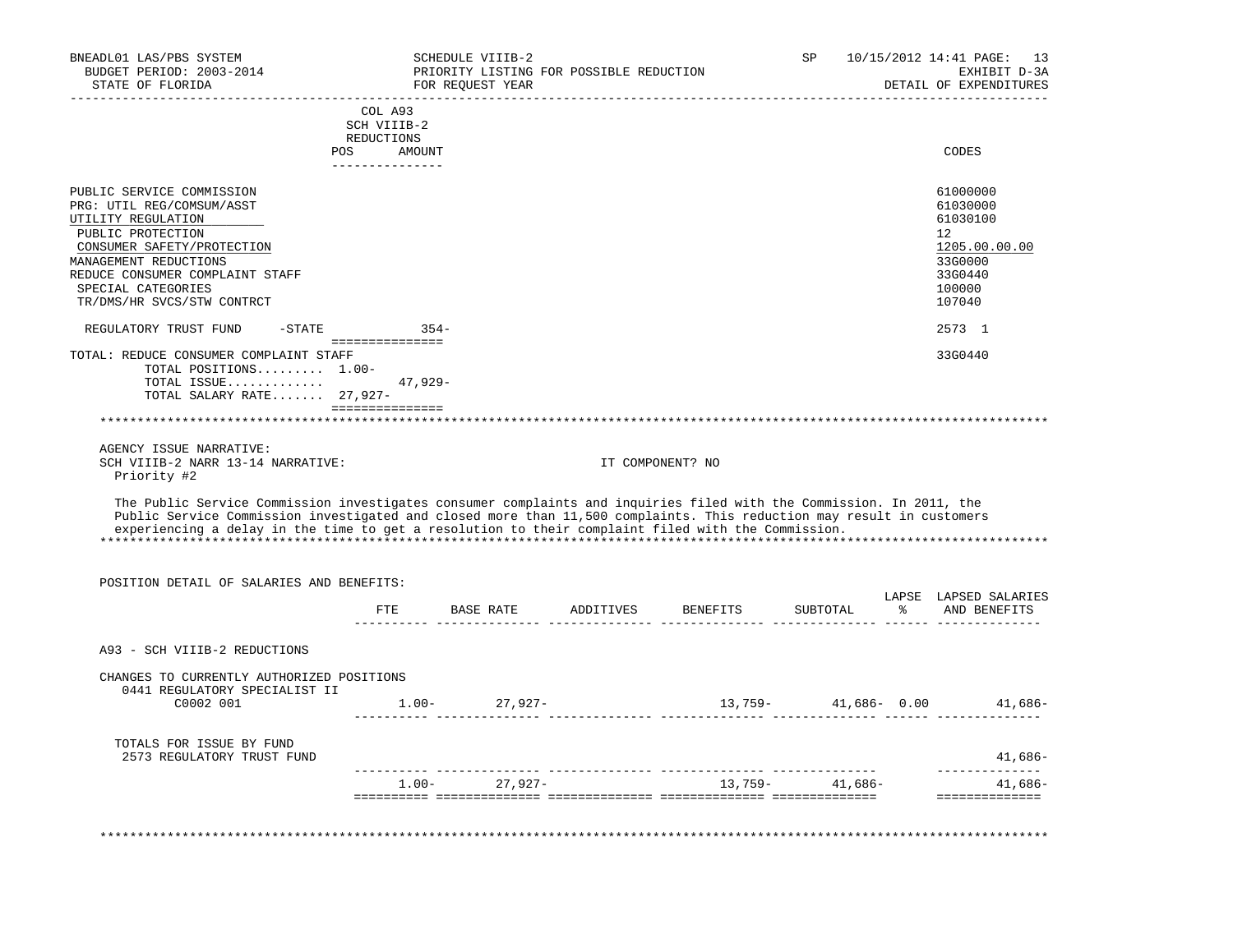| BNEADL01 LAS/PBS SYSTEM<br>BUDGET PERIOD: 2003-2014<br>STATE OF FLORIDA                                                                                                                                                                                                                                                                             |                                         | SCHEDULE VIIIB-2<br>PRIORITY LISTING FOR POSSIBLE REDUCTION<br>FOR REOUEST YEAR |                  |                    | SP               |               | 10/15/2012 14:41 PAGE: 13<br>EXHIBIT D-3A<br>DETAIL OF EXPENDITURES |
|-----------------------------------------------------------------------------------------------------------------------------------------------------------------------------------------------------------------------------------------------------------------------------------------------------------------------------------------------------|-----------------------------------------|---------------------------------------------------------------------------------|------------------|--------------------|------------------|---------------|---------------------------------------------------------------------|
|                                                                                                                                                                                                                                                                                                                                                     |                                         |                                                                                 |                  |                    |                  |               |                                                                     |
|                                                                                                                                                                                                                                                                                                                                                     | COL A93<br>SCH VIIIB-2                  |                                                                                 |                  |                    |                  |               |                                                                     |
|                                                                                                                                                                                                                                                                                                                                                     | REDUCTIONS                              |                                                                                 |                  |                    |                  |               |                                                                     |
|                                                                                                                                                                                                                                                                                                                                                     | <b>POS</b><br>AMOUNT<br>--------------- |                                                                                 |                  |                    |                  |               | CODES                                                               |
| PUBLIC SERVICE COMMISSION                                                                                                                                                                                                                                                                                                                           |                                         |                                                                                 |                  |                    |                  |               | 61000000                                                            |
| PRG: UTIL REG/COMSUM/ASST                                                                                                                                                                                                                                                                                                                           |                                         |                                                                                 |                  |                    |                  |               | 61030000                                                            |
| UTILITY REGULATION                                                                                                                                                                                                                                                                                                                                  |                                         |                                                                                 |                  |                    |                  |               | 61030100                                                            |
| PUBLIC PROTECTION                                                                                                                                                                                                                                                                                                                                   |                                         |                                                                                 |                  |                    |                  |               | 12                                                                  |
| CONSUMER SAFETY/PROTECTION                                                                                                                                                                                                                                                                                                                          |                                         |                                                                                 |                  |                    |                  |               | 1205.00.00.00                                                       |
| MANAGEMENT REDUCTIONS                                                                                                                                                                                                                                                                                                                               |                                         |                                                                                 |                  |                    |                  |               | 33G0000                                                             |
| REDUCE CONSUMER COMPLAINT STAFF<br>SPECIAL CATEGORIES                                                                                                                                                                                                                                                                                               |                                         |                                                                                 |                  |                    |                  |               | 33G0440<br>100000                                                   |
| TR/DMS/HR SVCS/STW CONTRCT                                                                                                                                                                                                                                                                                                                          |                                         |                                                                                 |                  |                    |                  |               | 107040                                                              |
| $-STATE$<br>REGULATORY TRUST FUND                                                                                                                                                                                                                                                                                                                   | $354-$                                  |                                                                                 |                  |                    |                  |               | 2573 1                                                              |
|                                                                                                                                                                                                                                                                                                                                                     | ________________                        |                                                                                 |                  |                    |                  |               |                                                                     |
| TOTAL: REDUCE CONSUMER COMPLAINT STAFF<br>TOTAL POSITIONS $1.00 -$                                                                                                                                                                                                                                                                                  |                                         |                                                                                 |                  |                    |                  |               | 33G0440                                                             |
| TOTAL ISSUE                                                                                                                                                                                                                                                                                                                                         | $47.929 -$                              |                                                                                 |                  |                    |                  |               |                                                                     |
| TOTAL SALARY RATE 27,927-                                                                                                                                                                                                                                                                                                                           |                                         |                                                                                 |                  |                    |                  |               |                                                                     |
|                                                                                                                                                                                                                                                                                                                                                     |                                         |                                                                                 |                  |                    |                  |               |                                                                     |
|                                                                                                                                                                                                                                                                                                                                                     |                                         |                                                                                 |                  |                    |                  |               |                                                                     |
| AGENCY ISSUE NARRATIVE:                                                                                                                                                                                                                                                                                                                             |                                         |                                                                                 |                  |                    |                  |               |                                                                     |
| SCH VIIIB-2 NARR 13-14 NARRATIVE:<br>Priority #2                                                                                                                                                                                                                                                                                                    |                                         |                                                                                 | IT COMPONENT? NO |                    |                  |               |                                                                     |
| The Public Service Commission investigates consumer complaints and inquiries filed with the Commission. In 2011, the<br>Public Service Commission investigated and closed more than 11,500 complaints. This reduction may result in customers<br>experiencing a delay in the time to get a resolution to their complaint filed with the Commission. |                                         |                                                                                 |                  |                    |                  |               |                                                                     |
| POSITION DETAIL OF SALARIES AND BENEFITS:                                                                                                                                                                                                                                                                                                           |                                         |                                                                                 |                  |                    |                  |               |                                                                     |
|                                                                                                                                                                                                                                                                                                                                                     |                                         |                                                                                 |                  |                    |                  |               | LAPSE LAPSED SALARIES                                               |
|                                                                                                                                                                                                                                                                                                                                                     | FTE                                     | BASE RATE                                                                       |                  | ADDITIVES BENEFITS | SUBTOTAL         | $\frac{1}{2}$ | AND BENEFITS                                                        |
| A93 - SCH VIIIB-2 REDUCTIONS                                                                                                                                                                                                                                                                                                                        |                                         |                                                                                 |                  |                    |                  |               |                                                                     |
| CHANGES TO CURRENTLY AUTHORIZED POSITIONS<br>0441 REGULATORY SPECIALIST II                                                                                                                                                                                                                                                                          |                                         |                                                                                 |                  |                    |                  |               |                                                                     |
| C0002 001                                                                                                                                                                                                                                                                                                                                           |                                         | $1.00 - 27,927 -$                                                               |                  |                    |                  |               | $13,759-41,686-0.00$ $41,686-$                                      |
|                                                                                                                                                                                                                                                                                                                                                     |                                         |                                                                                 |                  |                    |                  |               |                                                                     |
| TOTALS FOR ISSUE BY FUND<br>2573 REGULATORY TRUST FUND                                                                                                                                                                                                                                                                                              |                                         |                                                                                 |                  |                    |                  |               | 41,686-                                                             |
|                                                                                                                                                                                                                                                                                                                                                     |                                         |                                                                                 |                  |                    |                  |               | . _ _ _ _ _ _ _ _ _ _ _ _ _                                         |
|                                                                                                                                                                                                                                                                                                                                                     |                                         | $1.00 - 27,927 -$                                                               |                  |                    |                  |               |                                                                     |
|                                                                                                                                                                                                                                                                                                                                                     |                                         |                                                                                 |                  |                    | $13,759 41,686-$ |               | 41,686-<br>==============                                           |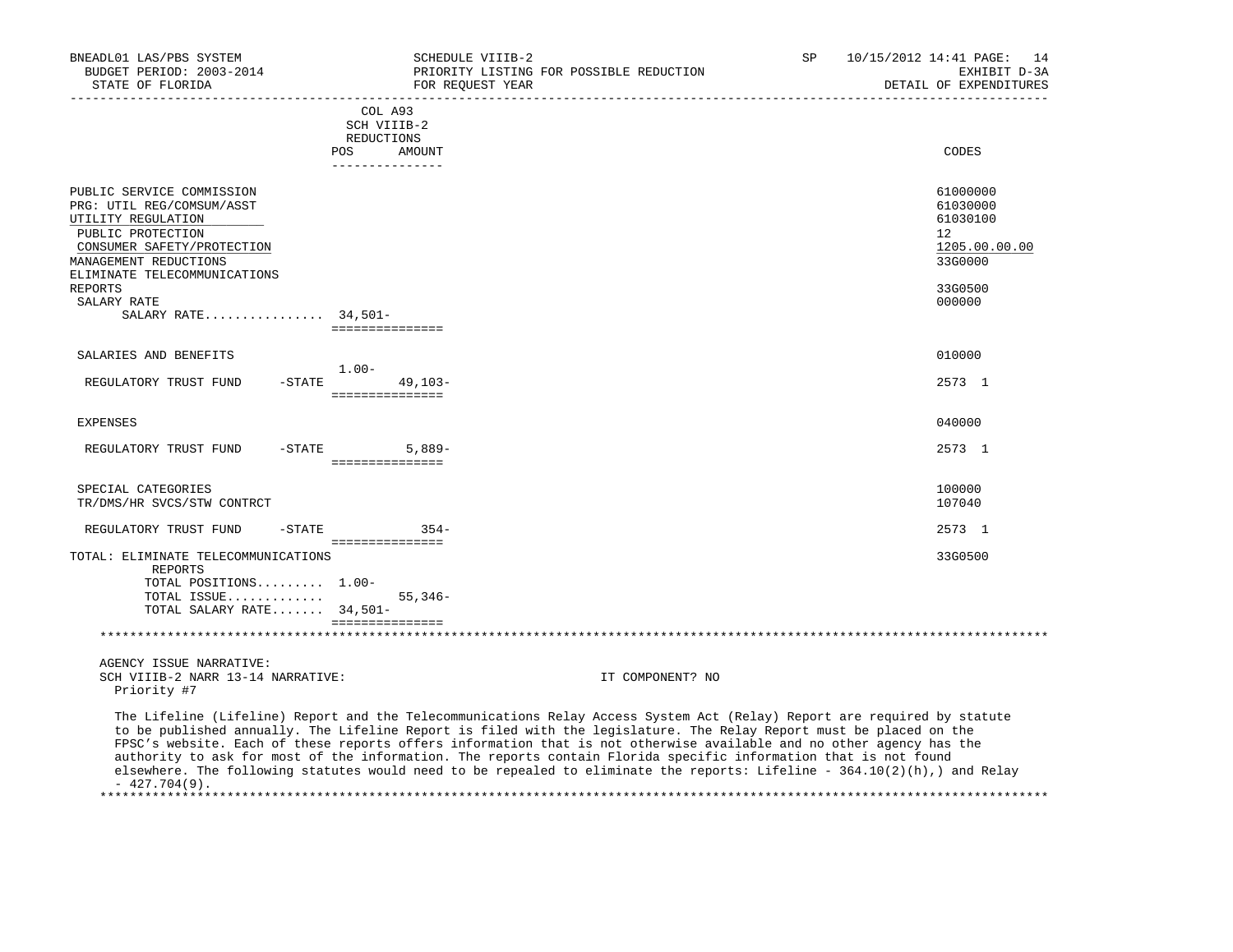| BNEADL01 LAS/PBS SYSTEM<br>BUDGET PERIOD: 2003-2014<br>STATE OF FLORIDA                                                                                                                  | SCHEDULE VIIIB-2<br>PRIORITY LISTING FOR POSSIBLE REDUCTION<br>FOR REOUEST YEAR                                                                                                                                                                                                                                                                                                                                                                                                                                                                                                                                          | SP | 10/15/2012 14:41 PAGE:<br>14<br>EXHIBIT D-3A<br>DETAIL OF EXPENDITURES<br>________________________ |
|------------------------------------------------------------------------------------------------------------------------------------------------------------------------------------------|--------------------------------------------------------------------------------------------------------------------------------------------------------------------------------------------------------------------------------------------------------------------------------------------------------------------------------------------------------------------------------------------------------------------------------------------------------------------------------------------------------------------------------------------------------------------------------------------------------------------------|----|----------------------------------------------------------------------------------------------------|
|                                                                                                                                                                                          | COL A93<br>SCH VIIIB-2<br>REDUCTIONS<br>AMOUNT<br><b>POS</b><br>---------------                                                                                                                                                                                                                                                                                                                                                                                                                                                                                                                                          |    | CODES                                                                                              |
| PUBLIC SERVICE COMMISSION<br>PRG: UTIL REG/COMSUM/ASST<br>UTILITY REGULATION<br>PUBLIC PROTECTION<br>CONSUMER SAFETY/PROTECTION<br>MANAGEMENT REDUCTIONS<br>ELIMINATE TELECOMMUNICATIONS |                                                                                                                                                                                                                                                                                                                                                                                                                                                                                                                                                                                                                          |    | 61000000<br>61030000<br>61030100<br>12<br>1205.00.00.00<br>33G0000                                 |
| <b>REPORTS</b><br>SALARY RATE<br>SALARY RATE 34,501-                                                                                                                                     | ===============                                                                                                                                                                                                                                                                                                                                                                                                                                                                                                                                                                                                          |    | 33G0500<br>000000                                                                                  |
| SALARIES AND BENEFITS                                                                                                                                                                    |                                                                                                                                                                                                                                                                                                                                                                                                                                                                                                                                                                                                                          |    | 010000                                                                                             |
| $-STATE$<br>REGULATORY TRUST FUND                                                                                                                                                        | $1.00 -$<br>$49,103-$<br>===============                                                                                                                                                                                                                                                                                                                                                                                                                                                                                                                                                                                 |    | 2573 1                                                                                             |
| <b>EXPENSES</b>                                                                                                                                                                          |                                                                                                                                                                                                                                                                                                                                                                                                                                                                                                                                                                                                                          |    | 040000                                                                                             |
| REGULATORY TRUST FUND                                                                                                                                                                    | $-STATE$<br>$5,889-$<br>===============                                                                                                                                                                                                                                                                                                                                                                                                                                                                                                                                                                                  |    | 2573 1                                                                                             |
| SPECIAL CATEGORIES<br>TR/DMS/HR SVCS/STW CONTRCT                                                                                                                                         |                                                                                                                                                                                                                                                                                                                                                                                                                                                                                                                                                                                                                          |    | 100000<br>107040                                                                                   |
| REGULATORY TRUST FUND<br>-STATE                                                                                                                                                          | $354-$                                                                                                                                                                                                                                                                                                                                                                                                                                                                                                                                                                                                                   |    | 2573 1                                                                                             |
| TOTAL: ELIMINATE TELECOMMUNICATIONS<br>REPORTS                                                                                                                                           | ===============                                                                                                                                                                                                                                                                                                                                                                                                                                                                                                                                                                                                          |    | 33G0500                                                                                            |
| TOTAL POSITIONS 1.00-<br>TOTAL ISSUE<br>TOTAL SALARY RATE 34,501-                                                                                                                        | $55.346-$<br>_________________                                                                                                                                                                                                                                                                                                                                                                                                                                                                                                                                                                                           |    |                                                                                                    |
|                                                                                                                                                                                          |                                                                                                                                                                                                                                                                                                                                                                                                                                                                                                                                                                                                                          |    |                                                                                                    |
| AGENCY ISSUE NARRATIVE:<br>SCH VIIIB-2 NARR 13-14 NARRATIVE:<br>Priority #7                                                                                                              | IT COMPONENT? NO                                                                                                                                                                                                                                                                                                                                                                                                                                                                                                                                                                                                         |    |                                                                                                    |
| $-427.704(9)$ .                                                                                                                                                                          | The Lifeline (Lifeline) Report and the Telecommunications Relay Access System Act (Relay) Report are required by statute<br>to be published annually. The Lifeline Report is filed with the legislature. The Relay Report must be placed on the<br>FPSC's website. Each of these reports offers information that is not otherwise available and no other agency has the<br>authority to ask for most of the information. The reports contain Florida specific information that is not found<br>elsewhere. The following statutes would need to be repealed to eliminate the reports: Lifeline - 364.10(2)(h),) and Relay |    |                                                                                                    |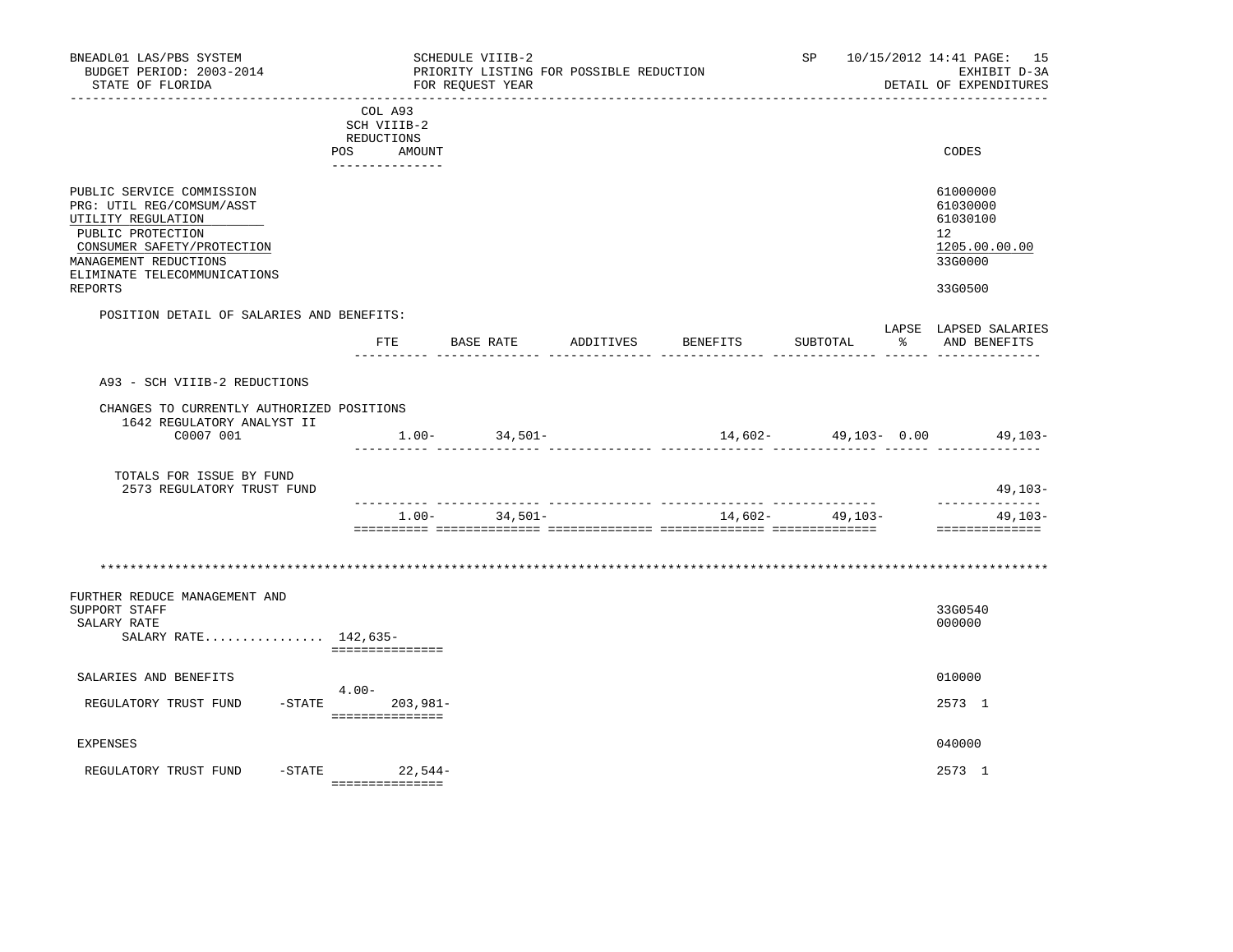| BNEADL01 LAS/PBS SYSTEM<br>BUDGET PERIOD: 2003-2014<br>STATE OF FLORIDA                                                                                                                                    |                                                                          | SCHEDULE VIIIB-2<br>FOR REOUEST YEAR | PRIORITY LISTING FOR POSSIBLE REDUCTION |          | SP                                     |               | 10/15/2012 14:41 PAGE: 15<br>EXHIBIT D-3A<br>DETAIL OF EXPENDITURES                        |
|------------------------------------------------------------------------------------------------------------------------------------------------------------------------------------------------------------|--------------------------------------------------------------------------|--------------------------------------|-----------------------------------------|----------|----------------------------------------|---------------|--------------------------------------------------------------------------------------------|
|                                                                                                                                                                                                            | COL A93<br>SCH VIIIB-2<br>REDUCTIONS<br>POS<br>AMOUNT<br>--------------- |                                      |                                         |          |                                        |               | CODES                                                                                      |
| PUBLIC SERVICE COMMISSION<br>PRG: UTIL REG/COMSUM/ASST<br>UTILITY REGULATION<br>PUBLIC PROTECTION<br>CONSUMER SAFETY/PROTECTION<br>MANAGEMENT REDUCTIONS<br>ELIMINATE TELECOMMUNICATIONS<br><b>REPORTS</b> |                                                                          |                                      |                                         |          |                                        |               | 61000000<br>61030000<br>61030100<br>12 <sup>°</sup><br>1205.00.00.00<br>33G0000<br>33G0500 |
| POSITION DETAIL OF SALARIES AND BENEFITS:                                                                                                                                                                  |                                                                          |                                      |                                         |          |                                        |               |                                                                                            |
|                                                                                                                                                                                                            | FTE                                                                      | BASE RATE                            | ADDITIVES                               | BENEFITS | SUBTOTAL                               | $\frac{1}{6}$ | LAPSE LAPSED SALARIES<br>AND BENEFITS                                                      |
| A93 - SCH VIIIB-2 REDUCTIONS                                                                                                                                                                               |                                                                          |                                      |                                         |          |                                        |               |                                                                                            |
| CHANGES TO CURRENTLY AUTHORIZED POSITIONS<br>1642 REGULATORY ANALYST II<br>C0007 001                                                                                                                       |                                                                          | $1.00 - 34,501 -$                    |                                         |          | .i iliailiailiailia tittiin tittiitiin |               | $14,602-$ 49,103- 0.00 49,103-                                                             |
| TOTALS FOR ISSUE BY FUND<br>2573 REGULATORY TRUST FUND                                                                                                                                                     |                                                                          |                                      |                                         |          |                                        |               | $49,103-$                                                                                  |
|                                                                                                                                                                                                            |                                                                          | $1.00 - 34,501 -$                    |                                         |          | $14,602-$ 49,103-                      |               | . <u>.</u><br>$49,103-$<br>==============                                                  |
|                                                                                                                                                                                                            |                                                                          |                                      |                                         |          |                                        |               |                                                                                            |
| FURTHER REDUCE MANAGEMENT AND<br>SUPPORT STAFF<br>SALARY RATE<br>SALARY RATE 142,635-                                                                                                                      | ===============                                                          |                                      |                                         |          |                                        |               | 33G0540<br>000000                                                                          |
| SALARIES AND BENEFITS                                                                                                                                                                                      |                                                                          |                                      |                                         |          |                                        |               | 010000                                                                                     |
| REGULATORY TRUST FUND                                                                                                                                                                                      | $4.00-$<br>$-STATE$ 203,981-<br>================                         |                                      |                                         |          |                                        |               | 2573 1                                                                                     |
| <b>EXPENSES</b>                                                                                                                                                                                            |                                                                          |                                      |                                         |          |                                        |               | 040000                                                                                     |
| $-STATE$<br>REGULATORY TRUST FUND                                                                                                                                                                          | 22,544-<br>===============                                               |                                      |                                         |          |                                        |               | 2573 1                                                                                     |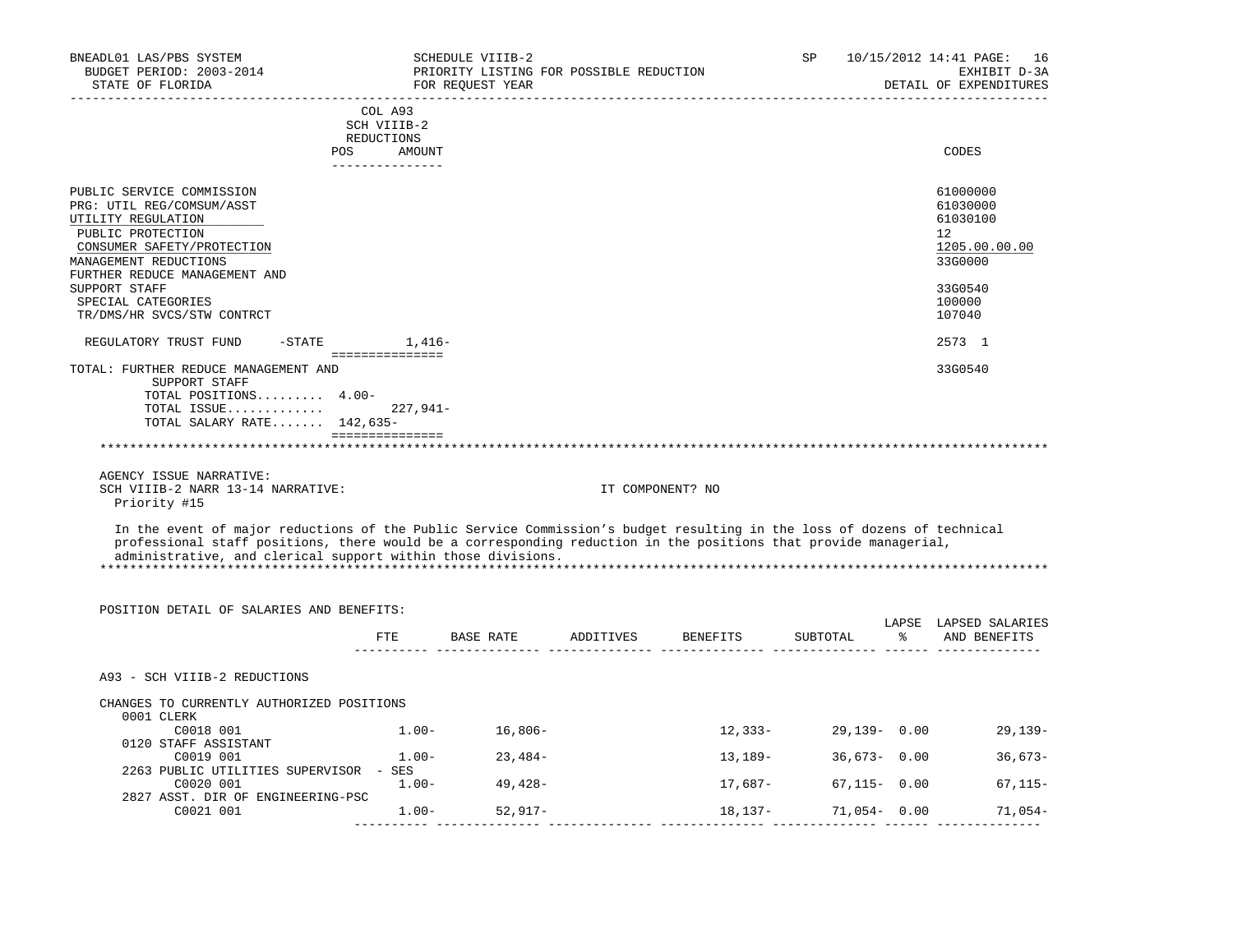| BNEADL01 LAS/PBS SYSTEM<br>BUDGET PERIOD: 2003-2014<br>STATE OF FLORIDA                                                                                                                                                                     |                           | SCHEDULE VIIIB-2<br>PRIORITY LISTING FOR POSSIBLE REDUCTION<br>FOR REQUEST YEAR |                  | SP              |    | 10/15/2012 14:41 PAGE: 16<br>EXHIBIT D-3A<br>DETAIL OF EXPENDITURES |
|---------------------------------------------------------------------------------------------------------------------------------------------------------------------------------------------------------------------------------------------|---------------------------|---------------------------------------------------------------------------------|------------------|-----------------|----|---------------------------------------------------------------------|
|                                                                                                                                                                                                                                             | COL A93                   |                                                                                 |                  |                 |    |                                                                     |
|                                                                                                                                                                                                                                             | SCH VIIIB-2               |                                                                                 |                  |                 |    |                                                                     |
|                                                                                                                                                                                                                                             | REDUCTIONS                |                                                                                 |                  |                 |    | CODES                                                               |
| POS                                                                                                                                                                                                                                         | AMOUNT<br>_______________ |                                                                                 |                  |                 |    |                                                                     |
| PUBLIC SERVICE COMMISSION                                                                                                                                                                                                                   |                           |                                                                                 |                  |                 |    | 61000000                                                            |
| PRG: UTIL REG/COMSUM/ASST                                                                                                                                                                                                                   |                           |                                                                                 |                  |                 |    | 61030000                                                            |
| UTILITY REGULATION                                                                                                                                                                                                                          |                           |                                                                                 |                  |                 |    | 61030100                                                            |
| PUBLIC PROTECTION                                                                                                                                                                                                                           |                           |                                                                                 |                  |                 |    | 12                                                                  |
| CONSUMER SAFETY/PROTECTION                                                                                                                                                                                                                  |                           |                                                                                 |                  |                 |    | 1205.00.00.00                                                       |
| MANAGEMENT REDUCTIONS                                                                                                                                                                                                                       |                           |                                                                                 |                  |                 |    | 33G0000                                                             |
| FURTHER REDUCE MANAGEMENT AND                                                                                                                                                                                                               |                           |                                                                                 |                  |                 |    |                                                                     |
| SUPPORT STAFF                                                                                                                                                                                                                               |                           |                                                                                 |                  |                 |    | 33G0540                                                             |
| SPECIAL CATEGORIES                                                                                                                                                                                                                          |                           |                                                                                 |                  |                 |    | 100000                                                              |
| TR/DMS/HR SVCS/STW CONTRCT                                                                                                                                                                                                                  |                           |                                                                                 |                  |                 |    | 107040                                                              |
| REGULATORY TRUST FUND<br>$-$ STATE                                                                                                                                                                                                          | $1,416-$                  |                                                                                 |                  |                 |    | 2573 1                                                              |
| TOTAL: FURTHER REDUCE MANAGEMENT AND                                                                                                                                                                                                        | ===============           |                                                                                 |                  |                 |    | 33G0540                                                             |
| SUPPORT STAFF                                                                                                                                                                                                                               |                           |                                                                                 |                  |                 |    |                                                                     |
| TOTAL POSITIONS 4.00-                                                                                                                                                                                                                       |                           |                                                                                 |                  |                 |    |                                                                     |
| TOTAL ISSUE                                                                                                                                                                                                                                 | $227.941-$                |                                                                                 |                  |                 |    |                                                                     |
| TOTAL SALARY RATE 142,635-                                                                                                                                                                                                                  |                           |                                                                                 |                  |                 |    |                                                                     |
| ************************************                                                                                                                                                                                                        |                           |                                                                                 |                  |                 |    |                                                                     |
|                                                                                                                                                                                                                                             |                           |                                                                                 |                  |                 |    |                                                                     |
| AGENCY ISSUE NARRATIVE:                                                                                                                                                                                                                     |                           |                                                                                 |                  |                 |    |                                                                     |
| SCH VIIIB-2 NARR 13-14 NARRATIVE:                                                                                                                                                                                                           |                           |                                                                                 | IT COMPONENT? NO |                 |    |                                                                     |
| Priority #15                                                                                                                                                                                                                                |                           |                                                                                 |                  |                 |    |                                                                     |
| In the event of major reductions of the Public Service Commission's budget resulting in the loss of dozens of technical<br>professional staff positions, there would be a corresponding reduction in the positions that provide managerial, |                           |                                                                                 |                  |                 |    |                                                                     |
| administrative, and clerical support within those divisions.                                                                                                                                                                                |                           |                                                                                 |                  |                 |    |                                                                     |
|                                                                                                                                                                                                                                             |                           |                                                                                 |                  |                 |    |                                                                     |
|                                                                                                                                                                                                                                             |                           |                                                                                 |                  |                 |    |                                                                     |
| POSITION DETAIL OF SALARIES AND BENEFITS:                                                                                                                                                                                                   |                           |                                                                                 |                  |                 |    |                                                                     |
|                                                                                                                                                                                                                                             |                           |                                                                                 |                  |                 |    | LAPSE LAPSED SALARIES                                               |
|                                                                                                                                                                                                                                             | $_{\rm FTE}$              | BASE RATE ADDITIVES BENEFITS                                                    |                  | SUBTOTAL        | ႜႜ | AND BENEFITS                                                        |
|                                                                                                                                                                                                                                             |                           |                                                                                 |                  |                 |    |                                                                     |
| A93 - SCH VIIIB-2 REDUCTIONS                                                                                                                                                                                                                |                           |                                                                                 |                  |                 |    |                                                                     |
| CHANGES TO CURRENTLY AUTHORIZED POSITIONS                                                                                                                                                                                                   |                           |                                                                                 |                  |                 |    |                                                                     |
| 0001 CLERK                                                                                                                                                                                                                                  |                           |                                                                                 |                  |                 |    |                                                                     |
| C0018 001<br>0120 STAFF ASSISTANT                                                                                                                                                                                                           |                           | $1.00 - 16,806 -$                                                               | 12,333-          |                 |    | 29,139-0.00<br>$29,139-$                                            |
| C0019 001                                                                                                                                                                                                                                   | $1.00 -$                  | $23,484-$                                                                       | 13,189-          | $36,673 - 0.00$ |    | $36,673-$                                                           |
| 2263 PUBLIC UTILITIES SUPERVISOR - SES                                                                                                                                                                                                      |                           |                                                                                 |                  |                 |    |                                                                     |
| C0020 001                                                                                                                                                                                                                                   | $1.00 -$                  | 49,428-                                                                         | 17,687-          | $67,115 - 0.00$ |    | $67, 115 -$                                                         |
| 2827 ASST. DIR OF ENGINEERING-PSC                                                                                                                                                                                                           |                           |                                                                                 |                  |                 |    |                                                                     |
| C0021 001                                                                                                                                                                                                                                   |                           | $1.00 - 52,917 -$                                                               | 18,137-          | 71,054-0.00     |    | 71,054-                                                             |
|                                                                                                                                                                                                                                             | $- - - - - - - - -$       |                                                                                 |                  |                 |    |                                                                     |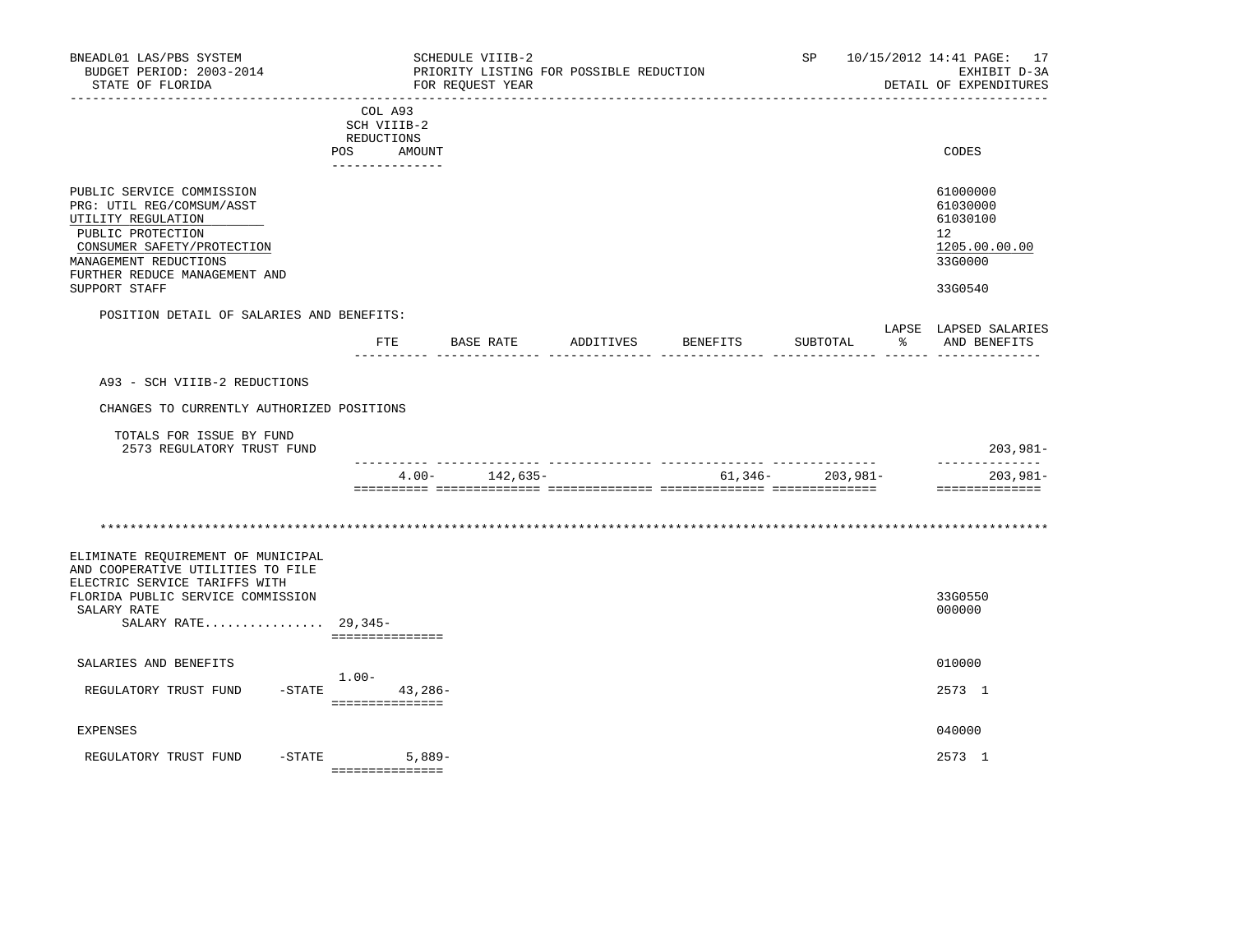| BNEADL01 LAS/PBS SYSTEM<br>BUDGET PERIOD: 2003-2014<br>STATE OF FLORIDA                                                                                                                                    |                                                                       | SCHEDULE VIIIB-2<br>PRIORITY LISTING FOR POSSIBLE REDUCTION<br>FOR REQUEST YEAR |           |          |                      |     | SP 10/15/2012 14:41 PAGE: 17<br>EXHIBIT D-3A<br>DETAIL OF EXPENDITURES        |
|------------------------------------------------------------------------------------------------------------------------------------------------------------------------------------------------------------|-----------------------------------------------------------------------|---------------------------------------------------------------------------------|-----------|----------|----------------------|-----|-------------------------------------------------------------------------------|
|                                                                                                                                                                                                            | COL A93<br>SCH VIIIB-2<br>REDUCTIONS<br>POS AMOUNT<br>_______________ |                                                                                 |           |          |                      |     | CODES                                                                         |
| PUBLIC SERVICE COMMISSION<br>PRG: UTIL REG/COMSUM/ASST<br>UTILITY REGULATION<br>PUBLIC PROTECTION<br>CONSUMER SAFETY/PROTECTION<br>MANAGEMENT REDUCTIONS<br>FURTHER REDUCE MANAGEMENT AND<br>SUPPORT STAFF |                                                                       |                                                                                 |           |          |                      |     | 61000000<br>61030000<br>61030100<br>12<br>1205.00.00.00<br>33G0000<br>33G0540 |
| POSITION DETAIL OF SALARIES AND BENEFITS:                                                                                                                                                                  |                                                                       |                                                                                 |           |          |                      |     |                                                                               |
|                                                                                                                                                                                                            | ETE                                                                   | BASE RATE                                                                       | ADDITIVES | BENEFITS | SUBTOTAL             | - 왕 | LAPSE LAPSED SALARIES<br>AND BENEFITS                                         |
| A93 - SCH VIIIB-2 REDUCTIONS                                                                                                                                                                               |                                                                       |                                                                                 |           |          |                      |     |                                                                               |
| CHANGES TO CURRENTLY AUTHORIZED POSITIONS                                                                                                                                                                  |                                                                       |                                                                                 |           |          |                      |     |                                                                               |
| TOTALS FOR ISSUE BY FUND<br>2573 REGULATORY TRUST FUND                                                                                                                                                     |                                                                       |                                                                                 |           |          |                      |     | $203,981-$                                                                    |
|                                                                                                                                                                                                            |                                                                       | $4.00 - 142,635 -$                                                              |           |          | $61,346 - 203,981 -$ |     | --------------<br>203,981-<br>==============                                  |
|                                                                                                                                                                                                            |                                                                       |                                                                                 |           |          |                      |     |                                                                               |
| ELIMINATE REQUIREMENT OF MUNICIPAL<br>AND COOPERATIVE UTILITIES TO FILE<br>ELECTRIC SERVICE TARIFFS WITH<br>FLORIDA PUBLIC SERVICE COMMISSION<br>SALARY RATE<br>SALARY RATE 29,345-                        | ===============                                                       |                                                                                 |           |          |                      |     | 33G0550<br>000000                                                             |
| SALARIES AND BENEFITS                                                                                                                                                                                      |                                                                       |                                                                                 |           |          |                      |     | 010000                                                                        |
| REGULATORY TRUST FUND                                                                                                                                                                                      | $1.00-$<br>-STATE 43,286-<br>================                         |                                                                                 |           |          |                      |     | 2573 1                                                                        |
| <b>EXPENSES</b>                                                                                                                                                                                            |                                                                       |                                                                                 |           |          |                      |     | 040000                                                                        |
| $-STATE$<br>REGULATORY TRUST FUND                                                                                                                                                                          | 5,889-<br>----------------                                            |                                                                                 |           |          |                      |     | 2573 1                                                                        |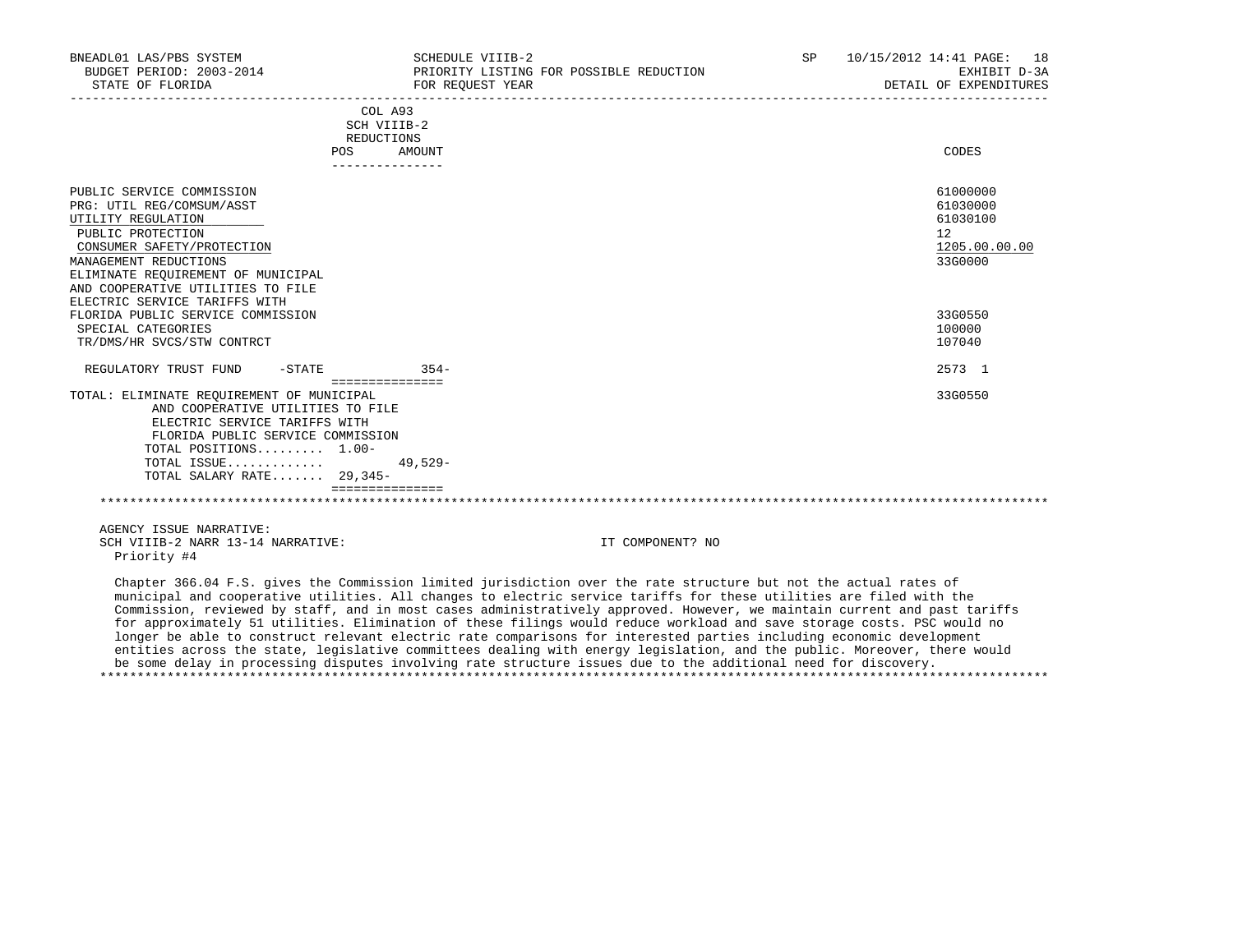| BNEADL01 LAS/PBS SYSTEM<br>BUDGET PERIOD: 2003-2014<br>STATE OF FLORIDA                                                                                                                                                                                              |           | SCHEDULE VIIIB-2<br>PRIORITY LISTING FOR POSSIBLE REDUCTION<br>FOR REOUEST YEAR | SP | 10/15/2012 14:41 PAGE: 18<br>EXHIBIT D-3A<br>DETAIL OF EXPENDITURES |
|----------------------------------------------------------------------------------------------------------------------------------------------------------------------------------------------------------------------------------------------------------------------|-----------|---------------------------------------------------------------------------------|----|---------------------------------------------------------------------|
|                                                                                                                                                                                                                                                                      | POS       | COL A93<br>SCH VIIIB-2<br><b>REDUCTIONS</b><br>AMOUNT                           |    | CODES                                                               |
|                                                                                                                                                                                                                                                                      |           |                                                                                 |    |                                                                     |
| PUBLIC SERVICE COMMISSION<br>PRG: UTIL REG/COMSUM/ASST<br>UTILITY REGULATION<br>PUBLIC PROTECTION<br>CONSUMER SAFETY/PROTECTION<br>MANAGEMENT REDUCTIONS<br>ELIMINATE REQUIREMENT OF MUNICIPAL<br>AND COOPERATIVE UTILITIES TO FILE<br>ELECTRIC SERVICE TARIFFS WITH |           |                                                                                 |    | 61000000<br>61030000<br>61030100<br>12<br>1205.00.00.00<br>33G0000  |
| FLORIDA PUBLIC SERVICE COMMISSION<br>SPECIAL CATEGORIES<br>TR/DMS/HR SVCS/STW CONTRCT                                                                                                                                                                                |           |                                                                                 |    | 33G0550<br>100000<br>107040                                         |
| REGULATORY TRUST FUND                                                                                                                                                                                                                                                | $-$ STATE | $354-$                                                                          |    | 2573 1                                                              |
| TOTAL: ELIMINATE REQUIREMENT OF MUNICIPAL<br>AND COOPERATIVE UTILITIES TO FILE<br>ELECTRIC SERVICE TARIFFS WITH<br>FLORIDA PUBLIC SERVICE COMMISSION<br>TOTAL POSITIONS 1.00-<br>TOTAL ISSUE<br>TOTAL SALARY RATE 29,345-                                            |           | ===============<br>$49.529 -$                                                   |    | 33G0550                                                             |
|                                                                                                                                                                                                                                                                      |           |                                                                                 |    |                                                                     |

 AGENCY ISSUE NARRATIVE: SCH VIIIB-2 NARR 13-14 NARRATIVE: IT COMPONENT? NO Priority #4

 Chapter 366.04 F.S. gives the Commission limited jurisdiction over the rate structure but not the actual rates of municipal and cooperative utilities. All changes to electric service tariffs for these utilities are filed with the Commission, reviewed by staff, and in most cases administratively approved. However, we maintain current and past tariffs for approximately 51 utilities. Elimination of these filings would reduce workload and save storage costs. PSC would no longer be able to construct relevant electric rate comparisons for interested parties including economic development entities across the state, legislative committees dealing with energy legislation, and the public. Moreover, there would be some delay in processing disputes involving rate structure issues due to the additional need for discovery. \*\*\*\*\*\*\*\*\*\*\*\*\*\*\*\*\*\*\*\*\*\*\*\*\*\*\*\*\*\*\*\*\*\*\*\*\*\*\*\*\*\*\*\*\*\*\*\*\*\*\*\*\*\*\*\*\*\*\*\*\*\*\*\*\*\*\*\*\*\*\*\*\*\*\*\*\*\*\*\*\*\*\*\*\*\*\*\*\*\*\*\*\*\*\*\*\*\*\*\*\*\*\*\*\*\*\*\*\*\*\*\*\*\*\*\*\*\*\*\*\*\*\*\*\*\*\*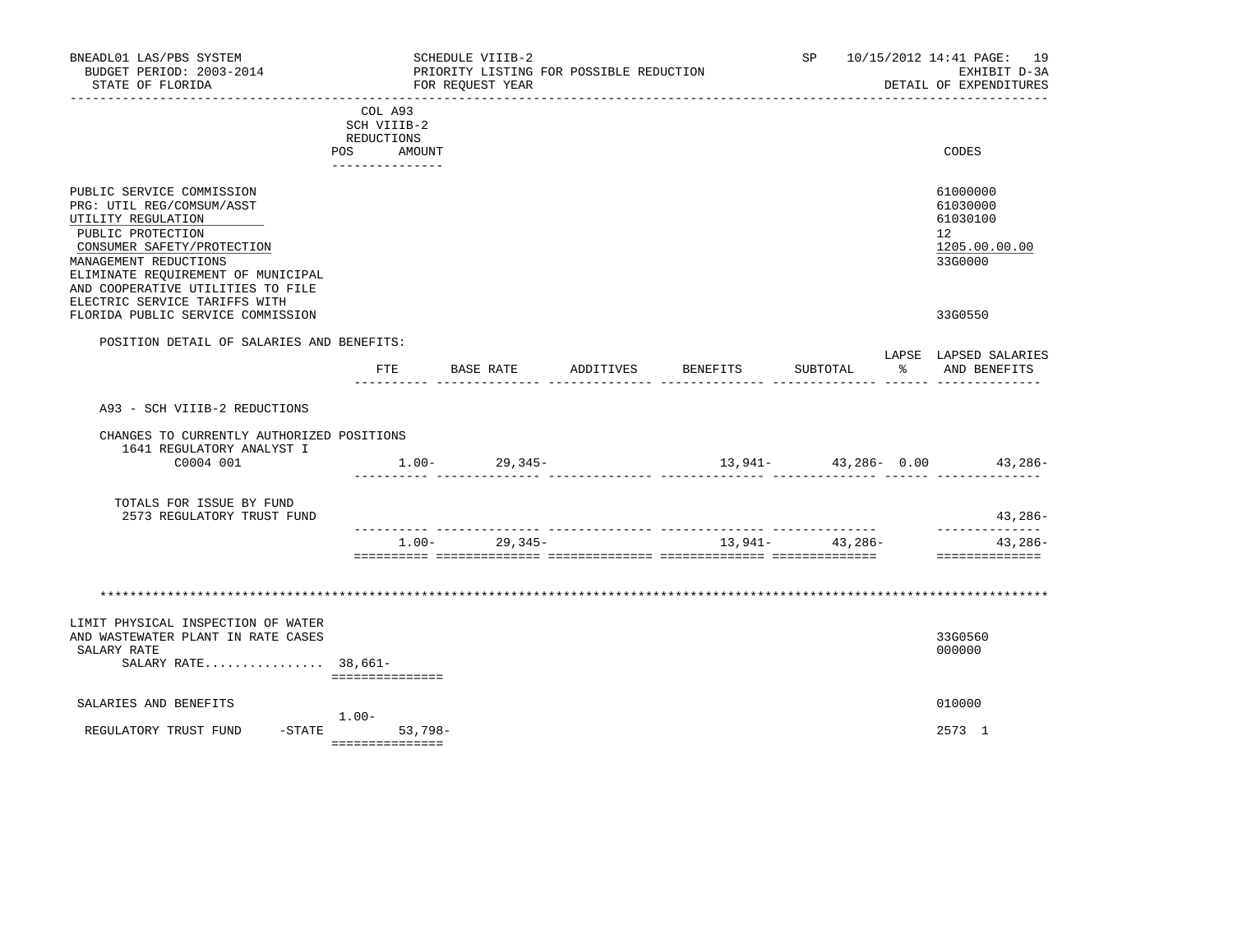| BNEADL01 LAS/PBS SYSTEM<br>BUDGET PERIOD: 2003-2014<br>STATE OF FLORIDA                                                                                                                                                                                              |         |                                                                      | SCHEDULE VIIIB-2<br>FOR REOUEST YEAR | PRIORITY LISTING FOR POSSIBLE REDUCTION |          | SP and the set of the set of the set of the set of the set of the set of the set of the set of the set of the set of the set of the set of the set of the set of the set of the set of the set of the set of the set of the se |              | 10/15/2012 14:41 PAGE: 19<br>EXHIBIT D-3A<br>DETAIL OF EXPENDITURES             |
|----------------------------------------------------------------------------------------------------------------------------------------------------------------------------------------------------------------------------------------------------------------------|---------|----------------------------------------------------------------------|--------------------------------------|-----------------------------------------|----------|--------------------------------------------------------------------------------------------------------------------------------------------------------------------------------------------------------------------------------|--------------|---------------------------------------------------------------------------------|
|                                                                                                                                                                                                                                                                      |         | COL A93<br>SCH VIIIB-2<br>REDUCTIONS<br>POS AMOUNT<br>-------------- |                                      |                                         |          |                                                                                                                                                                                                                                |              | CODES                                                                           |
| PUBLIC SERVICE COMMISSION<br>PRG: UTIL REG/COMSUM/ASST<br>UTILITY REGULATION<br>PUBLIC PROTECTION<br>CONSUMER SAFETY/PROTECTION<br>MANAGEMENT REDUCTIONS<br>ELIMINATE REQUIREMENT OF MUNICIPAL<br>AND COOPERATIVE UTILITIES TO FILE<br>ELECTRIC SERVICE TARIFFS WITH |         |                                                                      |                                      |                                         |          |                                                                                                                                                                                                                                |              | 61000000<br>61030000<br>61030100<br>12 <sup>°</sup><br>1205.00.00.00<br>33G0000 |
| FLORIDA PUBLIC SERVICE COMMISSION                                                                                                                                                                                                                                    |         |                                                                      |                                      |                                         |          |                                                                                                                                                                                                                                |              | 33G0550                                                                         |
| POSITION DETAIL OF SALARIES AND BENEFITS:                                                                                                                                                                                                                            |         | FTE                                                                  | BASE RATE                            | ADDITIVES                               | BENEFITS | SUBTOTAL                                                                                                                                                                                                                       | $\mathbb{R}$ | LAPSE LAPSED SALARIES<br>AND BENEFITS                                           |
| A93 - SCH VIIIB-2 REDUCTIONS                                                                                                                                                                                                                                         |         |                                                                      |                                      |                                         |          |                                                                                                                                                                                                                                |              |                                                                                 |
| CHANGES TO CURRENTLY AUTHORIZED POSITIONS<br>1641 REGULATORY ANALYST I                                                                                                                                                                                               |         |                                                                      |                                      |                                         |          |                                                                                                                                                                                                                                |              |                                                                                 |
| C0004 001                                                                                                                                                                                                                                                            |         |                                                                      | $1.00 - 29.345 -$                    |                                         |          |                                                                                                                                                                                                                                |              | $13,941 43,286-$ 0.00 $43,286-$                                                 |
| TOTALS FOR ISSUE BY FUND<br>2573 REGULATORY TRUST FUND                                                                                                                                                                                                               |         |                                                                      |                                      |                                         |          |                                                                                                                                                                                                                                |              | 43,286-                                                                         |
|                                                                                                                                                                                                                                                                      |         | $1.00 -$                                                             | 29,345-                              |                                         |          | __ ______________<br>13,941- 43,286-                                                                                                                                                                                           |              | --------------<br>43,286-<br>==============                                     |
|                                                                                                                                                                                                                                                                      |         |                                                                      |                                      |                                         |          |                                                                                                                                                                                                                                |              |                                                                                 |
| LIMIT PHYSICAL INSPECTION OF WATER<br>AND WASTEWATER PLANT IN RATE CASES<br>SALARY RATE<br>SALARY RATE 38,661-                                                                                                                                                       |         | ===============                                                      |                                      |                                         |          |                                                                                                                                                                                                                                |              | 33G0560<br>000000                                                               |
| SALARIES AND BENEFITS                                                                                                                                                                                                                                                |         |                                                                      |                                      |                                         |          |                                                                                                                                                                                                                                |              | 010000                                                                          |
| REGULATORY TRUST FUND<br>$-$ STATE                                                                                                                                                                                                                                   | $1.00-$ | $53,798-$<br>===============                                         |                                      |                                         |          |                                                                                                                                                                                                                                |              | 2573 1                                                                          |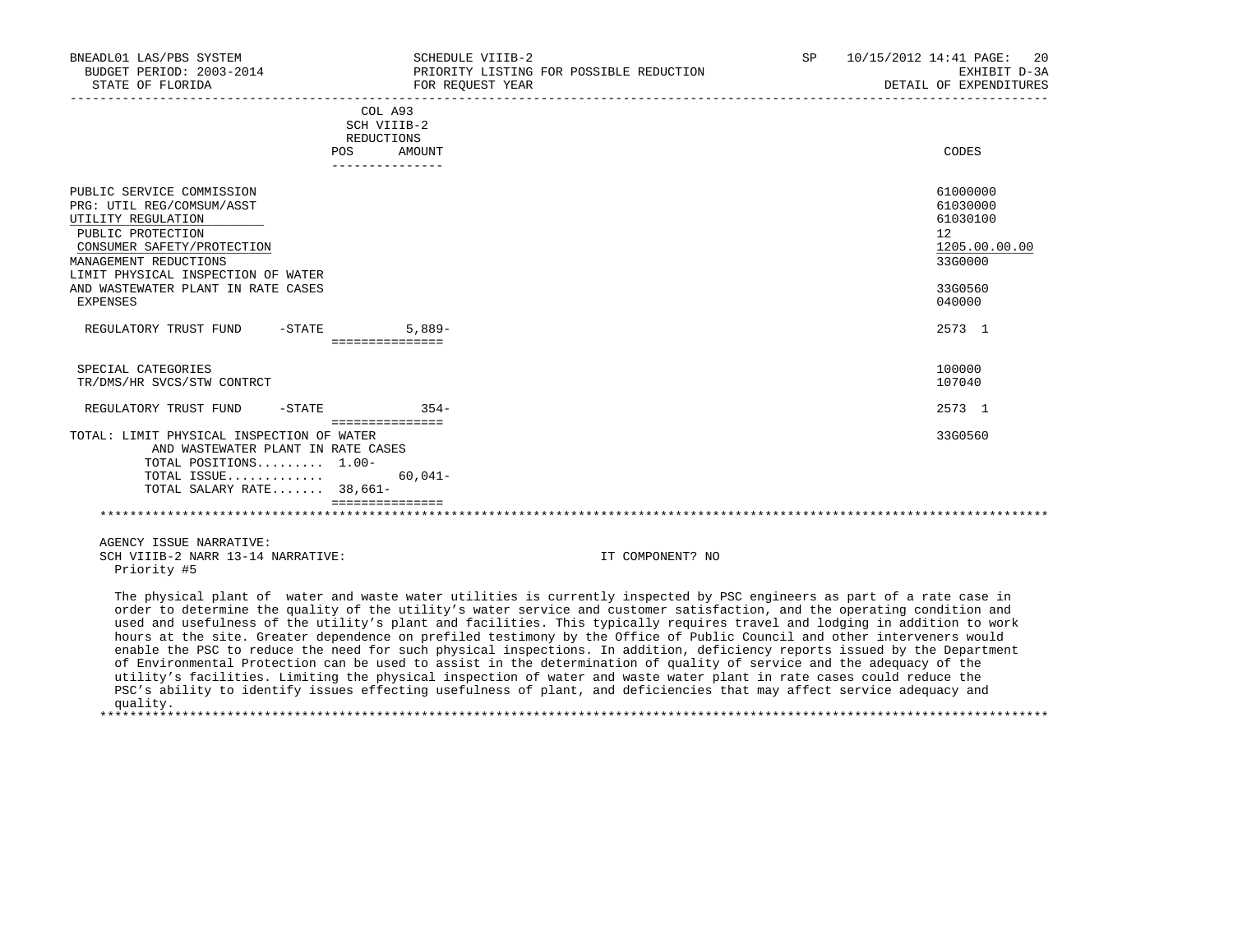| BNEADL01 LAS/PBS SYSTEM<br>BUDGET PERIOD: 2003-2014<br>STATE OF FLORIDA                                                                                                                                                              | SCHEDULE VIIIB-2<br>FOR REQUEST YEAR                                    | PRIORITY LISTING FOR POSSIBLE REDUCTION                                                                                                                                                                                                                                                                                                                                                                                                                                                                     | SP | 10/15/2012 14:41 PAGE:<br>-20<br>EXHIBIT D-3A<br>DETAIL OF EXPENDITURES                 |
|--------------------------------------------------------------------------------------------------------------------------------------------------------------------------------------------------------------------------------------|-------------------------------------------------------------------------|-------------------------------------------------------------------------------------------------------------------------------------------------------------------------------------------------------------------------------------------------------------------------------------------------------------------------------------------------------------------------------------------------------------------------------------------------------------------------------------------------------------|----|-----------------------------------------------------------------------------------------|
|                                                                                                                                                                                                                                      | COL A93<br>SCH VIIIB-2<br>REDUCTIONS<br>AMOUNT<br>POS<br>______________ |                                                                                                                                                                                                                                                                                                                                                                                                                                                                                                             |    | CODES                                                                                   |
| PUBLIC SERVICE COMMISSION<br>PRG: UTIL REG/COMSUM/ASST<br>UTILITY REGULATION<br>PUBLIC PROTECTION<br>CONSUMER SAFETY/PROTECTION<br>MANAGEMENT REDUCTIONS<br>LIMIT PHYSICAL INSPECTION OF WATER<br>AND WASTEWATER PLANT IN RATE CASES |                                                                         |                                                                                                                                                                                                                                                                                                                                                                                                                                                                                                             |    | 61000000<br>61030000<br>61030100<br>$12^{\circ}$<br>1205.00.00.00<br>33G0000<br>33G0560 |
| EXPENSES<br>REGULATORY TRUST FUND                                                                                                                                                                                                    | $5.889-$<br>$-$ STATE<br>===============                                |                                                                                                                                                                                                                                                                                                                                                                                                                                                                                                             |    | 040000<br>2573 1                                                                        |
| SPECIAL CATEGORIES<br>TR/DMS/HR SVCS/STW CONTRCT                                                                                                                                                                                     |                                                                         |                                                                                                                                                                                                                                                                                                                                                                                                                                                                                                             |    | 100000<br>107040                                                                        |
| REGULATORY TRUST FUND<br>$-$ STATE                                                                                                                                                                                                   | $354-$                                                                  |                                                                                                                                                                                                                                                                                                                                                                                                                                                                                                             |    | 2573 1                                                                                  |
| TOTAL: LIMIT PHYSICAL INSPECTION OF WATER<br>AND WASTEWATER PLANT IN RATE CASES<br>TOTAL POSITIONS 1.00-<br>TOTAL ISSUE<br>TOTAL SALARY RATE 38,661-                                                                                 | ===============<br>$60,041-$                                            |                                                                                                                                                                                                                                                                                                                                                                                                                                                                                                             |    | 33G0560                                                                                 |
|                                                                                                                                                                                                                                      | ===============                                                         |                                                                                                                                                                                                                                                                                                                                                                                                                                                                                                             |    |                                                                                         |
| AGENCY ISSUE NARRATIVE:<br>SCH VIIIB-2 NARR 13-14 NARRATIVE:<br>Priority #5                                                                                                                                                          |                                                                         | IT COMPONENT? NO                                                                                                                                                                                                                                                                                                                                                                                                                                                                                            |    |                                                                                         |
|                                                                                                                                                                                                                                      |                                                                         | The physical plant of water and waste water utilities is currently inspected by PSC engineers as part of a rate case in<br>order to determine the quality of the utility's water service and customer satisfaction, and the operating condition and<br>used and usefulness of the utility's plant and facilities. This typically requires travel and lodging in addition to work<br>hours at the site. Greater dependence on prefiled testimony by the Office of Public Council and other interveners would |    |                                                                                         |

 enable the PSC to reduce the need for such physical inspections. In addition, deficiency reports issued by the Department of Environmental Protection can be used to assist in the determination of quality of service and the adequacy of the utility's facilities. Limiting the physical inspection of water and waste water plant in rate cases could reduce the PSC's ability to identify issues effecting usefulness of plant, and deficiencies that may affect service adequacy and quality.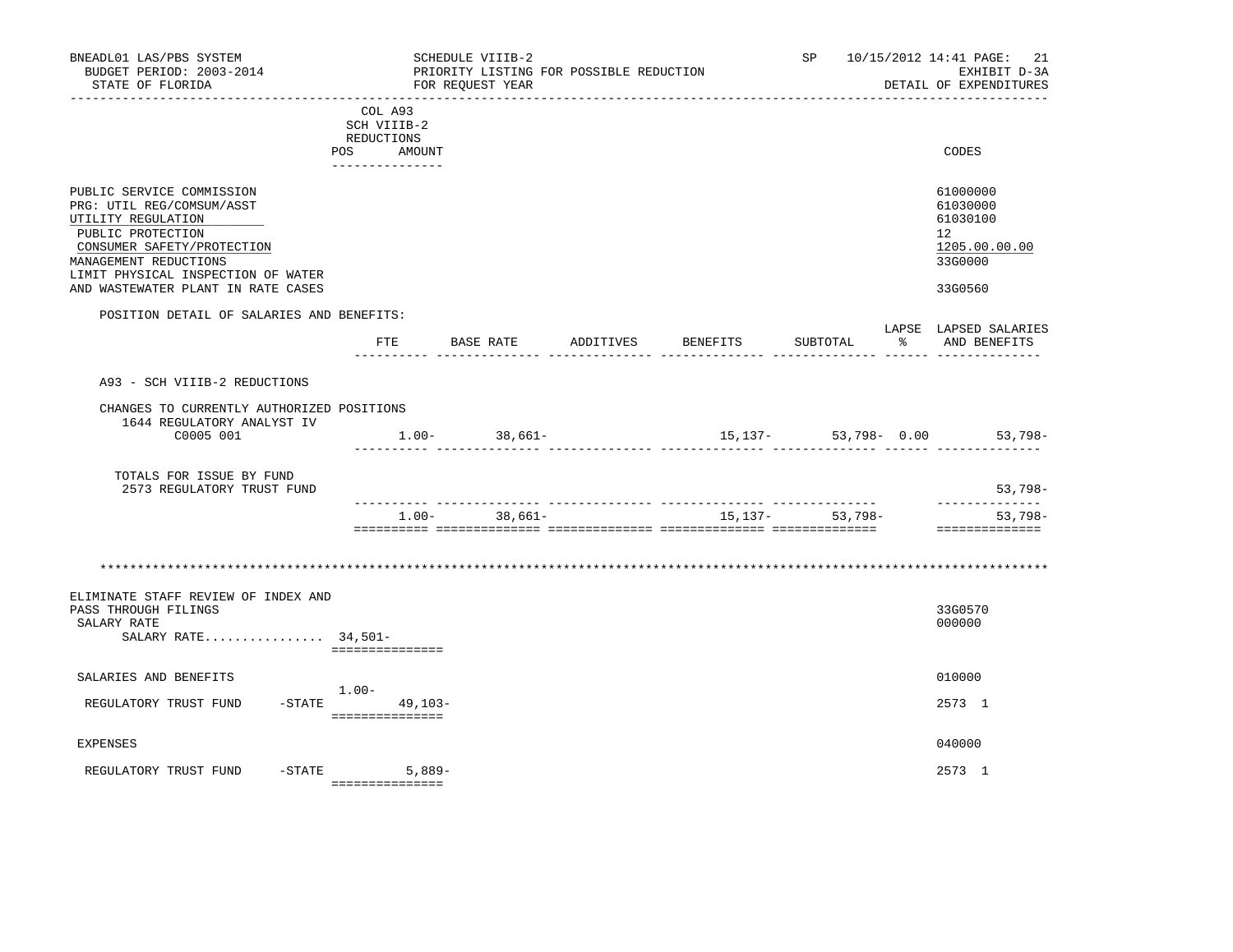| BNEADL01 LAS/PBS SYSTEM<br>BUDGET PERIOD: 2003-2014<br>STATE OF FLORIDA                                                                                                                                                              |                                                                          | SCHEDULE VIIIB-2<br>FOR REOUEST YEAR | PRIORITY LISTING FOR POSSIBLE REDUCTION |          | SP                  |              | 10/15/2012 14:41 PAGE: 21<br>EXHIBIT D-3A<br>DETAIL OF EXPENDITURES                        |
|--------------------------------------------------------------------------------------------------------------------------------------------------------------------------------------------------------------------------------------|--------------------------------------------------------------------------|--------------------------------------|-----------------------------------------|----------|---------------------|--------------|--------------------------------------------------------------------------------------------|
|                                                                                                                                                                                                                                      | COL A93<br>SCH VIIIB-2<br>REDUCTIONS<br>POS<br>AMOUNT<br>_______________ |                                      |                                         |          |                     |              | CODES                                                                                      |
| PUBLIC SERVICE COMMISSION<br>PRG: UTIL REG/COMSUM/ASST<br>UTILITY REGULATION<br>PUBLIC PROTECTION<br>CONSUMER SAFETY/PROTECTION<br>MANAGEMENT REDUCTIONS<br>LIMIT PHYSICAL INSPECTION OF WATER<br>AND WASTEWATER PLANT IN RATE CASES |                                                                          |                                      |                                         |          |                     |              | 61000000<br>61030000<br>61030100<br>12 <sup>°</sup><br>1205.00.00.00<br>33G0000<br>33G0560 |
| POSITION DETAIL OF SALARIES AND BENEFITS:                                                                                                                                                                                            | FTE                                                                      | BASE RATE                            | ADDITIVES                               | BENEFITS | SUBTOTAL            | $\mathbb{R}$ | LAPSE LAPSED SALARIES<br>AND BENEFITS                                                      |
| A93 - SCH VIIIB-2 REDUCTIONS<br>CHANGES TO CURRENTLY AUTHORIZED POSITIONS<br>1644 REGULATORY ANALYST IV<br>C0005 001<br>TOTALS FOR ISSUE BY FUND<br>2573 REGULATORY TRUST FUND                                                       |                                                                          | $1.00 - 38,661 -$                    |                                         |          |                     |              | 15,137- 53,798- 0.00 53,798-<br>53,798-<br>. <u>.</u>                                      |
|                                                                                                                                                                                                                                      | $1.00 -$                                                                 | 38,661-                              |                                         |          | 15, 137 - 53, 798 - |              | $53,798-$<br>==============                                                                |
|                                                                                                                                                                                                                                      |                                                                          |                                      |                                         |          |                     |              |                                                                                            |
| ELIMINATE STAFF REVIEW OF INDEX AND<br>PASS THROUGH FILINGS<br>SALARY RATE<br>SALARY RATE 34,501-                                                                                                                                    | ===============                                                          |                                      |                                         |          |                     |              | 33G0570<br>000000                                                                          |
| SALARIES AND BENEFITS                                                                                                                                                                                                                | $1.00-$                                                                  |                                      |                                         |          |                     |              | 010000                                                                                     |
| REGULATORY TRUST FUND                                                                                                                                                                                                                | $-STATE$<br>$49,103-$<br>================                                |                                      |                                         |          |                     |              | 2573 1                                                                                     |
| <b>EXPENSES</b>                                                                                                                                                                                                                      |                                                                          |                                      |                                         |          |                     |              | 040000                                                                                     |
| $-$ STATE<br>REGULATORY TRUST FUND                                                                                                                                                                                                   | 5,889-<br>===============                                                |                                      |                                         |          |                     |              | 2573 1                                                                                     |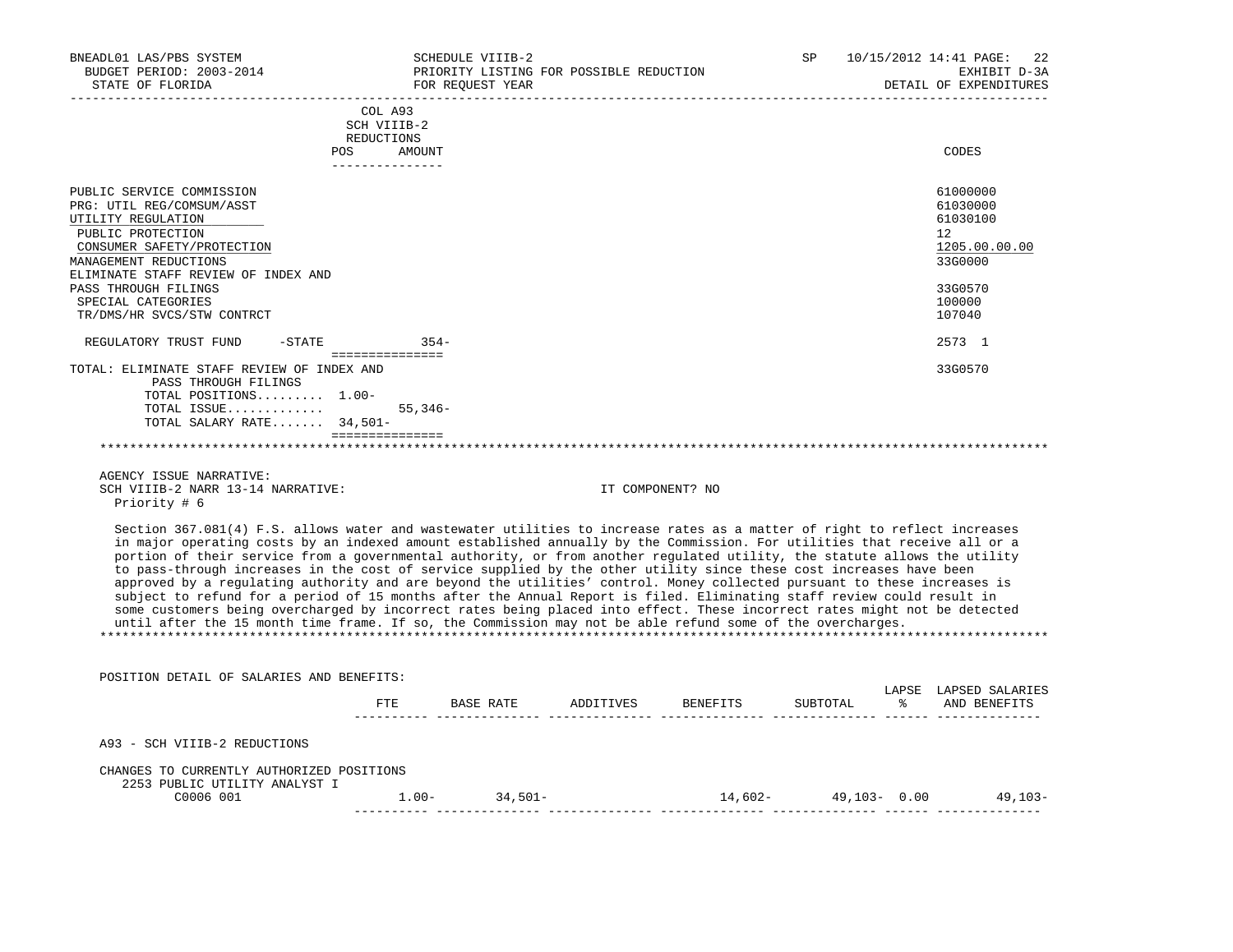| BNEADL01 LAS/PBS SYSTEM<br>BUDGET PERIOD: 2003-2014<br>STATE OF FLORIDA                                                                                                                                                                                                                                           | SCHEDULE VIIIB-2<br>FOR REOUEST YEAR                                             | PRIORITY LISTING FOR POSSIBLE REDUCTION                                                                                                                                                                                                                                                                                                                                                                                                                                                                                                                                                                                                | SP. | 10/15/2012 14:41 PAGE:<br>2.2<br>EXHIBIT D-3A<br>DETAIL OF EXPENDITURES                                     |
|-------------------------------------------------------------------------------------------------------------------------------------------------------------------------------------------------------------------------------------------------------------------------------------------------------------------|----------------------------------------------------------------------------------|----------------------------------------------------------------------------------------------------------------------------------------------------------------------------------------------------------------------------------------------------------------------------------------------------------------------------------------------------------------------------------------------------------------------------------------------------------------------------------------------------------------------------------------------------------------------------------------------------------------------------------------|-----|-------------------------------------------------------------------------------------------------------------|
|                                                                                                                                                                                                                                                                                                                   | COL A93<br>SCH VIIIB-2<br><b>REDUCTIONS</b><br>POS.<br>AMOUNT<br>--------------- |                                                                                                                                                                                                                                                                                                                                                                                                                                                                                                                                                                                                                                        |     | CODES                                                                                                       |
| PUBLIC SERVICE COMMISSION<br>PRG: UTIL REG/COMSUM/ASST<br>UTILITY REGULATION<br>PUBLIC PROTECTION<br>CONSUMER SAFETY/PROTECTION<br>MANAGEMENT REDUCTIONS<br>ELIMINATE STAFF REVIEW OF INDEX AND<br>PASS THROUGH FILINGS<br>SPECIAL CATEGORIES<br>TR/DMS/HR SVCS/STW CONTRCT<br>$-$ STATE<br>REGULATORY TRUST FUND | $354-$                                                                           |                                                                                                                                                                                                                                                                                                                                                                                                                                                                                                                                                                                                                                        |     | 61000000<br>61030000<br>61030100<br>12<br>1205.00.00.00<br>33G0000<br>33G0570<br>100000<br>107040<br>2573 1 |
| TOTAL: ELIMINATE STAFF REVIEW OF INDEX AND<br>PASS THROUGH FILINGS<br>TOTAL POSITIONS 1.00-<br>TOTAL ISSUE<br>TOTAL SALARY RATE 34,501-                                                                                                                                                                           | ================<br>$55,346-$<br>===============                                 |                                                                                                                                                                                                                                                                                                                                                                                                                                                                                                                                                                                                                                        |     | 33G0570                                                                                                     |
| AGENCY ISSUE NARRATIVE:<br>SCH VIIIB-2 NARR 13-14 NARRATIVE:<br>Priority # 6                                                                                                                                                                                                                                      |                                                                                  | IT COMPONENT? NO                                                                                                                                                                                                                                                                                                                                                                                                                                                                                                                                                                                                                       |     |                                                                                                             |
|                                                                                                                                                                                                                                                                                                                   |                                                                                  | Section 367.081(4) F.S. allows water and wastewater utilities to increase rates as a matter of right to reflect increases<br>in major operating costs by an indexed amount established annually by the Commission. For utilities that receive all or a<br>portion of their service from a governmental authority, or from another regulated utility, the statute allows the utility<br>to pass-through increases in the cost of service supplied by the other utility since these cost increases have been<br>approved by a regulating authority and are beyond the utilities' control. Money collected pursuant to these increases is |     |                                                                                                             |

 until after the 15 month time frame. If so, the Commission may not be able refund some of the overcharges. \*\*\*\*\*\*\*\*\*\*\*\*\*\*\*\*\*\*\*\*\*\*\*\*\*\*\*\*\*\*\*\*\*\*\*\*\*\*\*\*\*\*\*\*\*\*\*\*\*\*\*\*\*\*\*\*\*\*\*\*\*\*\*\*\*\*\*\*\*\*\*\*\*\*\*\*\*\*\*\*\*\*\*\*\*\*\*\*\*\*\*\*\*\*\*\*\*\*\*\*\*\*\*\*\*\*\*\*\*\*\*\*\*\*\*\*\*\*\*\*\*\*\*\*\*\*\*

 subject to refund for a period of 15 months after the Annual Report is filed. Eliminating staff review could result in some customers being overcharged by incorrect rates being placed into effect. These incorrect rates might not be detected

| POSITION DETAIL OF SALARIES AND BENEFITS:  |         |            |           |          |                 |             |                                 |
|--------------------------------------------|---------|------------|-----------|----------|-----------------|-------------|---------------------------------|
|                                            | FTE     | BASE RATE  | ADDITIVES | BENEFITS | SUBTOTAL        | LAPSE<br>°≈ | LAPSED SALARIES<br>AND BENEFITS |
| A93 - SCH VIIIB-2 REDUCTIONS               |         |            |           |          |                 |             |                                 |
| CHANGES TO CURRENTLY AUTHORIZED POSITIONS  |         |            |           |          |                 |             |                                 |
| 2253 PUBLIC UTILITY ANALYST I<br>C0006 001 | $1.00-$ | $34.501 -$ |           | 14,602-  | $49,103 - 0.00$ |             | 49,103-                         |
|                                            |         |            |           |          |                 |             |                                 |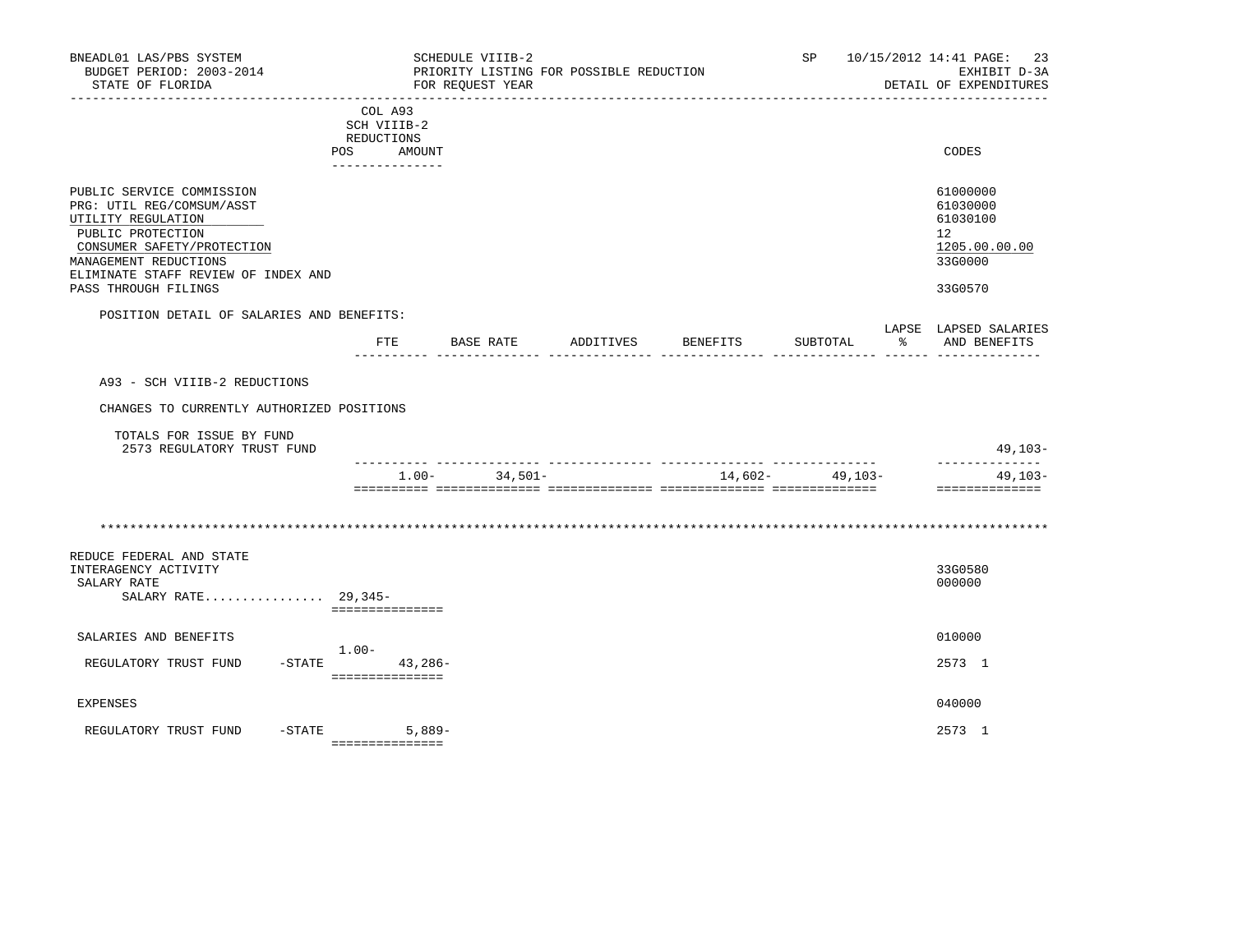| BNEADL01 LAS/PBS SYSTEM<br>BUDGET PERIOD: 2003-2014<br>STATE OF FLORIDA                                                                                                                                                 |                                                                       | SCHEDULE VIIIB-2<br>PRIORITY LISTING FOR POSSIBLE REDUCTION<br>FOR REQUEST YEAR |           |          | SP                | 10/15/2012 14:41 PAGE:<br>-23<br>EXHIBIT D-3A<br>DETAIL OF EXPENDITURES       |
|-------------------------------------------------------------------------------------------------------------------------------------------------------------------------------------------------------------------------|-----------------------------------------------------------------------|---------------------------------------------------------------------------------|-----------|----------|-------------------|-------------------------------------------------------------------------------|
|                                                                                                                                                                                                                         | COL A93<br>SCH VIIIB-2<br>REDUCTIONS<br>POS AMOUNT<br>--------------- |                                                                                 |           |          |                   | CODES                                                                         |
| PUBLIC SERVICE COMMISSION<br>PRG: UTIL REG/COMSUM/ASST<br>UTILITY REGULATION<br>PUBLIC PROTECTION<br>CONSUMER SAFETY/PROTECTION<br>MANAGEMENT REDUCTIONS<br>ELIMINATE STAFF REVIEW OF INDEX AND<br>PASS THROUGH FILINGS |                                                                       |                                                                                 |           |          |                   | 61000000<br>61030000<br>61030100<br>12<br>1205.00.00.00<br>33G0000<br>33G0570 |
| POSITION DETAIL OF SALARIES AND BENEFITS:                                                                                                                                                                               |                                                                       |                                                                                 |           |          |                   | LAPSE LAPSED SALARIES                                                         |
|                                                                                                                                                                                                                         | FTE                                                                   | BASE RATE                                                                       | ADDITIVES | BENEFITS | SUBTOTAL          | $\frac{1}{6}$<br>AND BENEFITS                                                 |
| A93 - SCH VIIIB-2 REDUCTIONS<br>CHANGES TO CURRENTLY AUTHORIZED POSITIONS<br>TOTALS FOR ISSUE BY FUND<br>2573 REGULATORY TRUST FUND                                                                                     |                                                                       |                                                                                 |           |          |                   | $49,103-$<br>--------------                                                   |
|                                                                                                                                                                                                                         |                                                                       | 34,501-<br>$1.00-$                                                              |           |          | $14,602-$ 49,103- | $49, 103 -$<br>==============                                                 |
| REDUCE FEDERAL AND STATE<br>INTERAGENCY ACTIVITY<br>SALARY RATE<br>SALARY RATE 29,345-                                                                                                                                  | ===============                                                       |                                                                                 |           |          |                   | 33G0580<br>000000                                                             |
| SALARIES AND BENEFITS                                                                                                                                                                                                   |                                                                       |                                                                                 |           |          |                   | 010000                                                                        |
| REGULATORY TRUST FUND                                                                                                                                                                                                   | $1.00-$<br>$-$ STATE 43, 286 -<br>===============                     |                                                                                 |           |          |                   | 2573 1                                                                        |
| <b>EXPENSES</b>                                                                                                                                                                                                         |                                                                       |                                                                                 |           |          |                   | 040000                                                                        |
| REGULATORY TRUST FUND                                                                                                                                                                                                   | $-STATE$<br>$5,889-$<br>===============                               |                                                                                 |           |          |                   | 2573 1                                                                        |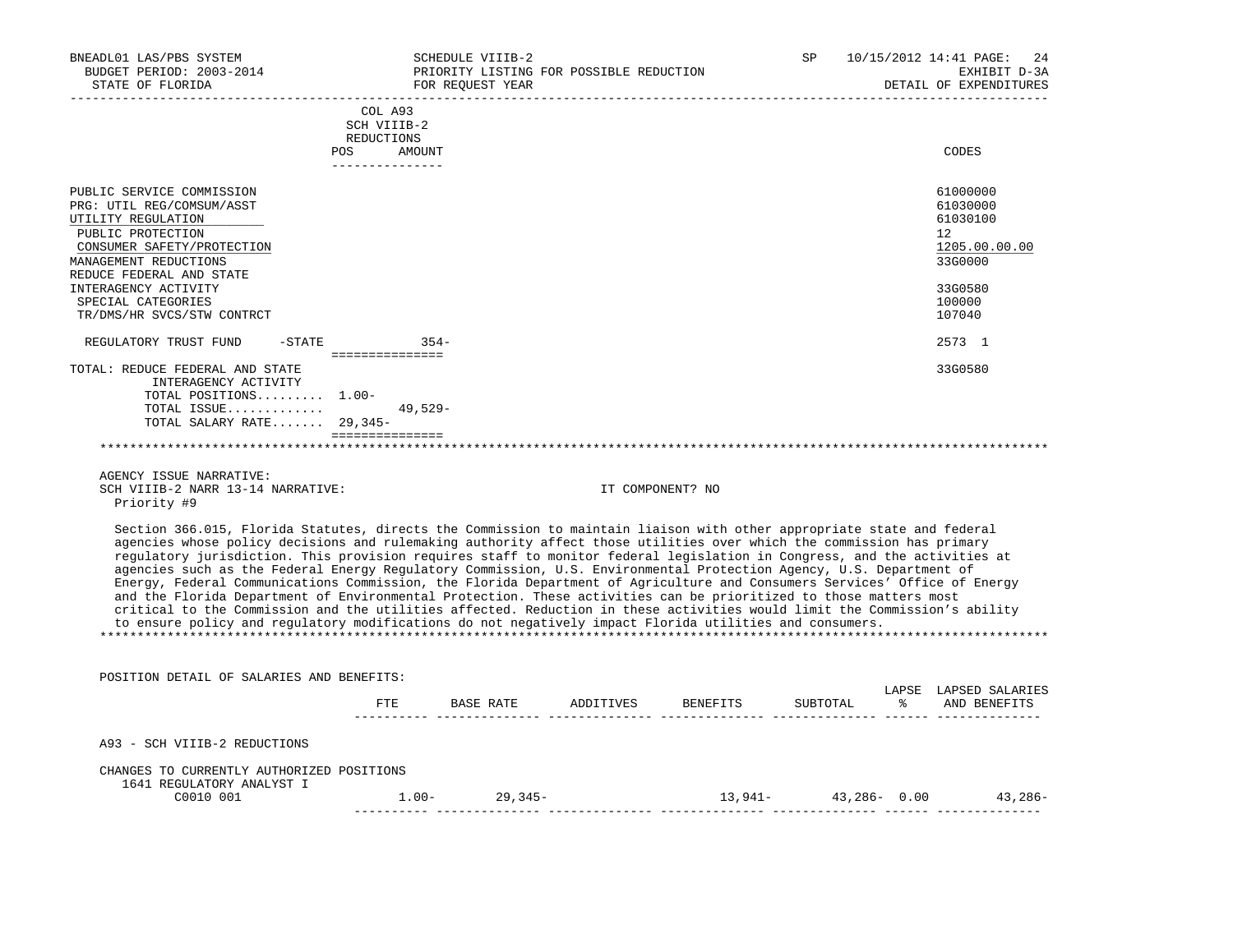| BNEADL01 LAS/PBS SYSTEM<br>BUDGET PERIOD: 2003-2014<br>STATE OF FLORIDA<br>---------------------                                                                                                                                                                 | SCHEDULE VIIIB-2<br>FOR REOUEST YEAR                                            | PRIORITY LISTING FOR POSSIBLE REDUCTION                                                                                                                                                                                                                                                                                                                                                                                                                                                                                                                                                                                                                                                                                                                                                                                                                                                                                                                                                      | <b>SP</b> | 10/15/2012 14:41 PAGE: | 24<br>EXHIBIT D-3A<br>DETAIL OF EXPENDITURES                                                      |
|------------------------------------------------------------------------------------------------------------------------------------------------------------------------------------------------------------------------------------------------------------------|---------------------------------------------------------------------------------|----------------------------------------------------------------------------------------------------------------------------------------------------------------------------------------------------------------------------------------------------------------------------------------------------------------------------------------------------------------------------------------------------------------------------------------------------------------------------------------------------------------------------------------------------------------------------------------------------------------------------------------------------------------------------------------------------------------------------------------------------------------------------------------------------------------------------------------------------------------------------------------------------------------------------------------------------------------------------------------------|-----------|------------------------|---------------------------------------------------------------------------------------------------|
|                                                                                                                                                                                                                                                                  | COL A93<br>SCH VIIIB-2<br>REDUCTIONS<br><b>POS</b><br>AMOUNT<br>_______________ |                                                                                                                                                                                                                                                                                                                                                                                                                                                                                                                                                                                                                                                                                                                                                                                                                                                                                                                                                                                              |           |                        | CODES                                                                                             |
| PUBLIC SERVICE COMMISSION<br>PRG: UTIL REG/COMSUM/ASST<br>UTILITY REGULATION<br>PUBLIC PROTECTION<br>CONSUMER SAFETY/PROTECTION<br>MANAGEMENT REDUCTIONS<br>REDUCE FEDERAL AND STATE<br>INTERAGENCY ACTIVITY<br>SPECIAL CATEGORIES<br>TR/DMS/HR SVCS/STW CONTRCT |                                                                                 |                                                                                                                                                                                                                                                                                                                                                                                                                                                                                                                                                                                                                                                                                                                                                                                                                                                                                                                                                                                              |           |                        | 61000000<br>61030000<br>61030100<br>12<br>1205.00.00.00<br>33G0000<br>33G0580<br>100000<br>107040 |
| $-STATE$<br>REGULATORY TRUST FUND                                                                                                                                                                                                                                | $354-$                                                                          |                                                                                                                                                                                                                                                                                                                                                                                                                                                                                                                                                                                                                                                                                                                                                                                                                                                                                                                                                                                              |           |                        | 2573 1                                                                                            |
| TOTAL: REDUCE FEDERAL AND STATE<br>INTERAGENCY ACTIVITY<br>TOTAL POSITIONS 1.00-<br>TOTAL ISSUE<br>TOTAL SALARY RATE 29,345-                                                                                                                                     | ===============<br>$49.529 -$<br>===============                                |                                                                                                                                                                                                                                                                                                                                                                                                                                                                                                                                                                                                                                                                                                                                                                                                                                                                                                                                                                                              |           |                        | 33G0580                                                                                           |
| AGENCY ISSUE NARRATIVE:<br>SCH VIIIB-2 NARR 13-14 NARRATIVE:<br>Priority #9                                                                                                                                                                                      |                                                                                 | IT COMPONENT? NO                                                                                                                                                                                                                                                                                                                                                                                                                                                                                                                                                                                                                                                                                                                                                                                                                                                                                                                                                                             |           |                        |                                                                                                   |
|                                                                                                                                                                                                                                                                  |                                                                                 | Section 366.015, Florida Statutes, directs the Commission to maintain liaison with other appropriate state and federal<br>agencies whose policy decisions and rulemaking authority affect those utilities over which the commission has primary<br>regulatory jurisdiction. This provision requires staff to monitor federal legislation in Congress, and the activities at<br>agencies such as the Federal Energy Regulatory Commission, U.S. Environmental Protection Agency, U.S. Department of<br>Energy, Federal Communications Commission, the Florida Department of Agriculture and Consumers Services' Office of Energy<br>and the Florida Department of Environmental Protection. These activities can be prioritized to those matters most<br>critical to the Commission and the utilities affected. Reduction in these activities would limit the Commission's ability<br>to ensure policy and regulatory modifications do not negatively impact Florida utilities and consumers. |           |                        |                                                                                                   |
| POSITION DETAIL OF SALARIES AND BENEFITS:                                                                                                                                                                                                                        |                                                                                 |                                                                                                                                                                                                                                                                                                                                                                                                                                                                                                                                                                                                                                                                                                                                                                                                                                                                                                                                                                                              |           |                        | LADOR LADORD OALABIRO                                                                             |

|                                                                        | FTE      | BASE RATE | ADDITIVES | BENEFITS | SUBTOTAL        | LAPSE<br>° | LAPSED SALARIES<br>AND BENEFITS |
|------------------------------------------------------------------------|----------|-----------|-----------|----------|-----------------|------------|---------------------------------|
| A93 - SCH VIIIB-2 REDUCTIONS                                           |          |           |           |          |                 |            |                                 |
| CHANGES TO CURRENTLY AUTHORIZED POSITIONS<br>1641 REGULATORY ANALYST I |          |           |           |          |                 |            |                                 |
| C0010 001                                                              | $1.00 -$ | 29,345-   |           | 13,941-  | $43,286 - 0.00$ |            | 43,286-                         |
|                                                                        |          |           |           |          |                 |            |                                 |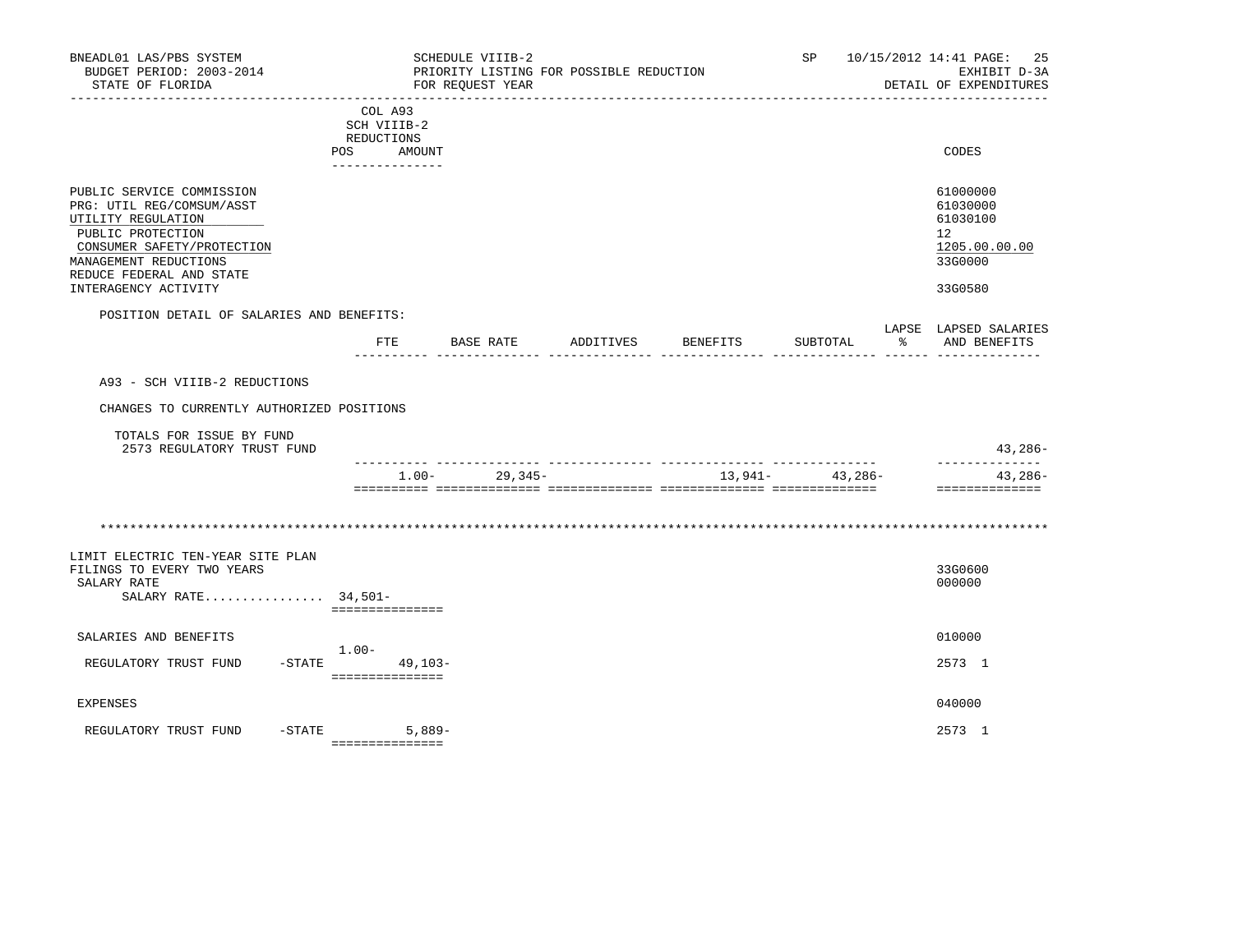| BNEADL01 LAS/PBS SYSTEM<br>BUDGET PERIOD: 2003-2014<br>STATE OF FLORIDA                                                                                                                                      |                                                                          | SCHEDULE VIIIB-2<br>PRIORITY LISTING FOR POSSIBLE REDUCTION<br>FOR REQUEST YEAR |           |          | SP       |              | 10/15/2012 14:41 PAGE:<br>25<br>EXHIBIT D-3A<br>DETAIL OF EXPENDITURES        |
|--------------------------------------------------------------------------------------------------------------------------------------------------------------------------------------------------------------|--------------------------------------------------------------------------|---------------------------------------------------------------------------------|-----------|----------|----------|--------------|-------------------------------------------------------------------------------|
|                                                                                                                                                                                                              | COL A93<br>SCH VIIIB-2<br>REDUCTIONS<br>POS<br>AMOUNT<br>_______________ |                                                                                 |           |          |          |              | CODES                                                                         |
| PUBLIC SERVICE COMMISSION<br>PRG: UTIL REG/COMSUM/ASST<br>UTILITY REGULATION<br>PUBLIC PROTECTION<br>CONSUMER SAFETY/PROTECTION<br>MANAGEMENT REDUCTIONS<br>REDUCE FEDERAL AND STATE<br>INTERAGENCY ACTIVITY |                                                                          |                                                                                 |           |          |          |              | 61000000<br>61030000<br>61030100<br>12<br>1205.00.00.00<br>33G0000<br>33G0580 |
| POSITION DETAIL OF SALARIES AND BENEFITS:                                                                                                                                                                    | FTE                                                                      | BASE RATE                                                                       | ADDITIVES | BENEFITS | SUBTOTAL | $\mathbb{R}$ | LAPSE LAPSED SALARIES<br>AND BENEFITS                                         |
|                                                                                                                                                                                                              |                                                                          |                                                                                 |           |          |          |              |                                                                               |
| A93 - SCH VIIIB-2 REDUCTIONS                                                                                                                                                                                 |                                                                          |                                                                                 |           |          |          |              |                                                                               |
| CHANGES TO CURRENTLY AUTHORIZED POSITIONS                                                                                                                                                                    |                                                                          |                                                                                 |           |          |          |              |                                                                               |
| TOTALS FOR ISSUE BY FUND<br>2573 REGULATORY TRUST FUND                                                                                                                                                       |                                                                          |                                                                                 |           |          |          |              | 43,286-<br>--------------                                                     |
|                                                                                                                                                                                                              | $1.00-$                                                                  | $29,345-$                                                                       |           | 13,941-  | 43,286-  |              | $43,286-$<br>==============                                                   |
|                                                                                                                                                                                                              |                                                                          |                                                                                 |           |          |          |              |                                                                               |
| LIMIT ELECTRIC TEN-YEAR SITE PLAN<br>FILINGS TO EVERY TWO YEARS<br>SALARY RATE<br>SALARY RATE 34,501-                                                                                                        | ===============                                                          |                                                                                 |           |          |          |              | 33G0600<br>000000                                                             |
| SALARIES AND BENEFITS                                                                                                                                                                                        |                                                                          |                                                                                 |           |          |          |              | 010000                                                                        |
| REGULATORY TRUST FUND                                                                                                                                                                                        | $1.00-$<br>$-$ STATE 49, 103-<br>----------------                        |                                                                                 |           |          |          |              | 2573 1                                                                        |
| EXPENSES                                                                                                                                                                                                     |                                                                          |                                                                                 |           |          |          |              | 040000                                                                        |
| $-$ STATE<br>REGULATORY TRUST FUND                                                                                                                                                                           | $5.889-$<br>===============                                              |                                                                                 |           |          |          |              | 2573 1                                                                        |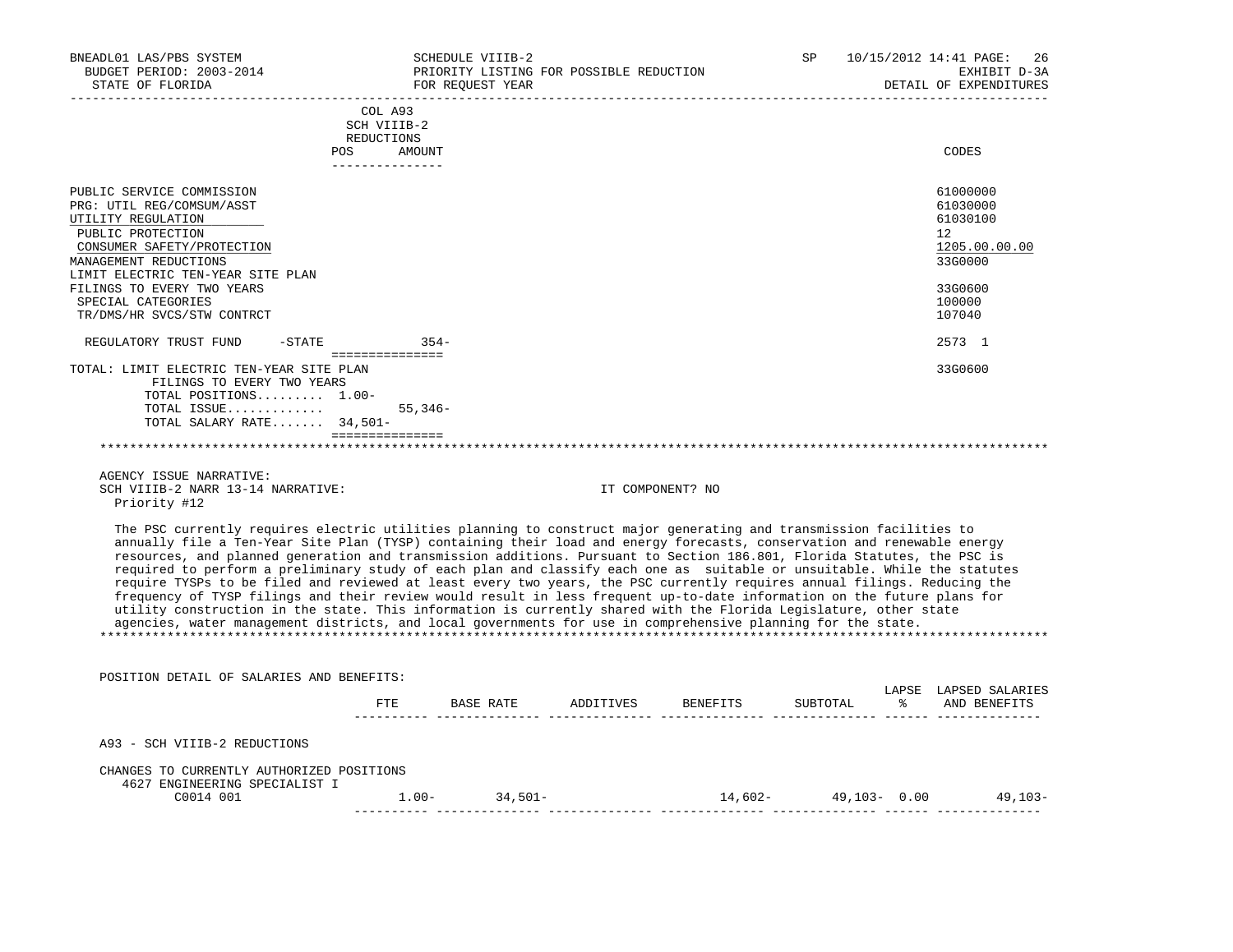| BNEADL01 LAS/PBS SYSTEM<br>BUDGET PERIOD: 2003-2014<br>STATE OF FLORIDA                                                                                                                                                                                                                                                                                                                                                                                                                                                                                                                                                                                                                                                                                                                                                                                                                                                                                                                           |                                                                       | SCHEDULE VIIIB-2<br>PRIORITY LISTING FOR POSSIBLE REDUCTION<br>FOR REQUEST YEAR |                  |  | SP 10/15/2012 14:41 PAGE: 26<br>EXHIBIT D-3A<br>DETAIL OF EXPENDITURES                                                |
|---------------------------------------------------------------------------------------------------------------------------------------------------------------------------------------------------------------------------------------------------------------------------------------------------------------------------------------------------------------------------------------------------------------------------------------------------------------------------------------------------------------------------------------------------------------------------------------------------------------------------------------------------------------------------------------------------------------------------------------------------------------------------------------------------------------------------------------------------------------------------------------------------------------------------------------------------------------------------------------------------|-----------------------------------------------------------------------|---------------------------------------------------------------------------------|------------------|--|-----------------------------------------------------------------------------------------------------------------------|
|                                                                                                                                                                                                                                                                                                                                                                                                                                                                                                                                                                                                                                                                                                                                                                                                                                                                                                                                                                                                   | COL A93<br>SCH VIIIB-2<br>REDUCTIONS<br>POS AMOUNT<br>--------------- |                                                                                 |                  |  | CODES                                                                                                                 |
| PUBLIC SERVICE COMMISSION<br>PRG: UTIL REG/COMSUM/ASST<br>UTILITY REGULATION<br>PUBLIC PROTECTION<br>CONSUMER SAFETY/PROTECTION<br>MANAGEMENT REDUCTIONS<br>LIMIT ELECTRIC TEN-YEAR SITE PLAN<br>FILINGS TO EVERY TWO YEARS<br>SPECIAL CATEGORIES<br>TR/DMS/HR SVCS/STW CONTRCT<br>REGULATORY TRUST FUND                                                                                                                                                                                                                                                                                                                                                                                                                                                                                                                                                                                                                                                                                          |                                                                       |                                                                                 |                  |  | 61000000<br>61030000<br>61030100<br>$12^{\circ}$<br>1205.00.00.00<br>33G0000<br>33G0600<br>100000<br>107040<br>2573 1 |
| TOTAL: LIMIT ELECTRIC TEN-YEAR SITE PLAN<br>FILINGS TO EVERY TWO YEARS<br>TOTAL POSITIONS 1.00-<br>TOTAL ISSUE<br>TOTAL SALARY RATE $34,501-$                                                                                                                                                                                                                                                                                                                                                                                                                                                                                                                                                                                                                                                                                                                                                                                                                                                     | $55,346-$<br>________________                                         |                                                                                 |                  |  | 33G0600                                                                                                               |
| AGENCY ISSUE NARRATIVE:<br>SCH VIIIB-2 NARR 13-14 NARRATIVE:<br>Priority #12                                                                                                                                                                                                                                                                                                                                                                                                                                                                                                                                                                                                                                                                                                                                                                                                                                                                                                                      |                                                                       |                                                                                 | IT COMPONENT? NO |  |                                                                                                                       |
| The PSC currently requires electric utilities planning to construct major generating and transmission facilities to<br>annually file a Ten-Year Site Plan (TYSP) containing their load and energy forecasts, conservation and renewable energy<br>resources, and planned generation and transmission additions. Pursuant to Section 186.801, Florida Statutes, the PSC is<br>required to perform a preliminary study of each plan and classify each one as suitable or unsuitable. While the statutes<br>require TYSPs to be filed and reviewed at least every two years, the PSC currently requires annual filings. Reducing the<br>frequency of TYSP filings and their review would result in less frequent up-to-date information on the future plans for<br>utility construction in the state. This information is currently shared with the Florida Legislature, other state<br>agencies, water management districts, and local governments for use in comprehensive planning for the state. |                                                                       |                                                                                 |                  |  |                                                                                                                       |
| POSITION DETAIL OF SALARIES AND BENEFITS:                                                                                                                                                                                                                                                                                                                                                                                                                                                                                                                                                                                                                                                                                                                                                                                                                                                                                                                                                         |                                                                       | FTE BASE RATE ADDITIVES BENEFITS SUBTOTAL % AND BENEFITS                        |                  |  | LAPSE LAPSED SALARIES                                                                                                 |
| A93 - SCH VIIIB-2 REDUCTIONS                                                                                                                                                                                                                                                                                                                                                                                                                                                                                                                                                                                                                                                                                                                                                                                                                                                                                                                                                                      |                                                                       |                                                                                 |                  |  |                                                                                                                       |
| CHANGES TO CURRENTLY AUTHORIZED POSITIONS<br>4627 ENGINEERING SPECIALIST I<br>C0014 001                                                                                                                                                                                                                                                                                                                                                                                                                                                                                                                                                                                                                                                                                                                                                                                                                                                                                                           |                                                                       | $1.00 - 34,501 -$                                                               |                  |  | $14,602 49,103-$ 0.00 $49,103-$                                                                                       |

 C0014 001 1.00- 34,501- 14,602- 49,103- 0.00 49,103- ---------- -------------- -------------- -------------- -------------- ------ --------------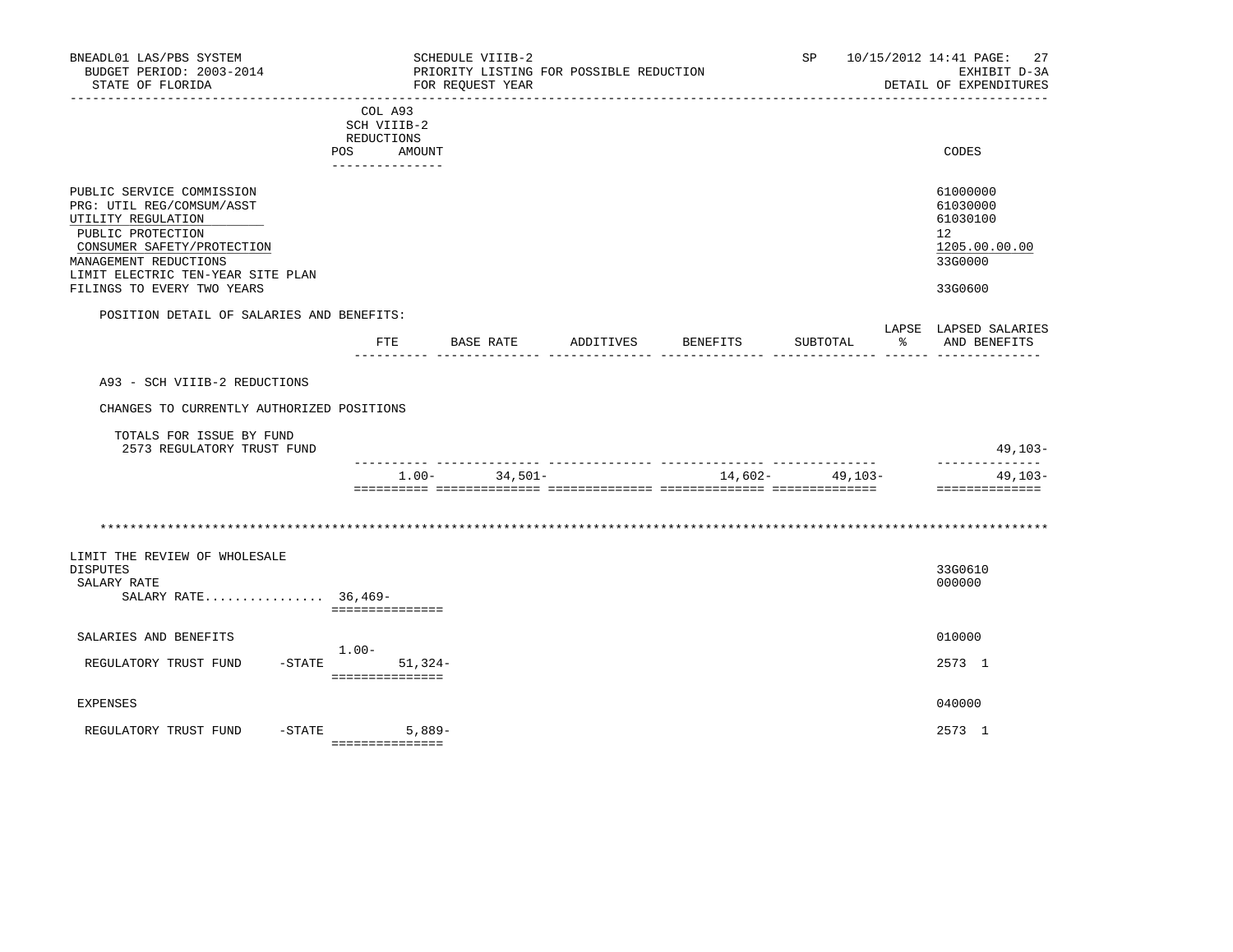| BNEADL01 LAS/PBS SYSTEM<br>BUDGET PERIOD: 2003-2014<br>STATE OF FLORIDA                                                                                                                                                     |                                                                          | SCHEDULE VIIIB-2<br>PRIORITY LISTING FOR POSSIBLE REDUCTION<br>FOR REQUEST YEAR |           |          | SP       | 10/15/2012 14:41 PAGE: 27<br>EXHIBIT D-3A<br>DETAIL OF EXPENDITURES           |
|-----------------------------------------------------------------------------------------------------------------------------------------------------------------------------------------------------------------------------|--------------------------------------------------------------------------|---------------------------------------------------------------------------------|-----------|----------|----------|-------------------------------------------------------------------------------|
|                                                                                                                                                                                                                             | COL A93<br>SCH VIIIB-2<br>REDUCTIONS<br>POS<br>AMOUNT<br>_______________ |                                                                                 |           |          |          | CODES                                                                         |
| PUBLIC SERVICE COMMISSION<br>PRG: UTIL REG/COMSUM/ASST<br>UTILITY REGULATION<br>PUBLIC PROTECTION<br>CONSUMER SAFETY/PROTECTION<br>MANAGEMENT REDUCTIONS<br>LIMIT ELECTRIC TEN-YEAR SITE PLAN<br>FILINGS TO EVERY TWO YEARS |                                                                          |                                                                                 |           |          |          | 61000000<br>61030000<br>61030100<br>12<br>1205.00.00.00<br>33G0000<br>33G0600 |
| POSITION DETAIL OF SALARIES AND BENEFITS:                                                                                                                                                                                   |                                                                          |                                                                                 |           |          |          | LAPSE LAPSED SALARIES                                                         |
|                                                                                                                                                                                                                             | $_{\rm FTE}$                                                             | BASE RATE                                                                       | ADDITIVES | BENEFITS | SUBTOTAL | း ေ<br>AND BENEFITS                                                           |
| A93 - SCH VIIIB-2 REDUCTIONS                                                                                                                                                                                                |                                                                          |                                                                                 |           |          |          |                                                                               |
| CHANGES TO CURRENTLY AUTHORIZED POSITIONS                                                                                                                                                                                   |                                                                          |                                                                                 |           |          |          |                                                                               |
| TOTALS FOR ISSUE BY FUND<br>2573 REGULATORY TRUST FUND                                                                                                                                                                      |                                                                          |                                                                                 |           |          |          | $49,103-$<br>--------------                                                   |
|                                                                                                                                                                                                                             |                                                                          | 34,501-<br>$1.00 -$                                                             |           | 14,602-  | 49,103-  | $49,103-$<br>==============                                                   |
| LIMIT THE REVIEW OF WHOLESALE<br><b>DISPUTES</b><br>SALARY RATE<br>SALARY RATE 36,469-                                                                                                                                      |                                                                          |                                                                                 |           |          |          | 33G0610<br>000000                                                             |
|                                                                                                                                                                                                                             | ===============                                                          |                                                                                 |           |          |          |                                                                               |
| SALARIES AND BENEFITS<br>REGULATORY TRUST FUND                                                                                                                                                                              | $1.00-$<br>$-STATE$                                                      | $51,324-$                                                                       |           |          |          | 010000<br>2573 1                                                              |
| <b>EXPENSES</b>                                                                                                                                                                                                             | ===============                                                          |                                                                                 |           |          |          | 040000                                                                        |
| REGULATORY TRUST FUND                                                                                                                                                                                                       | $-$ STATE<br>===============                                             | $5,889-$                                                                        |           |          |          | 2573 1                                                                        |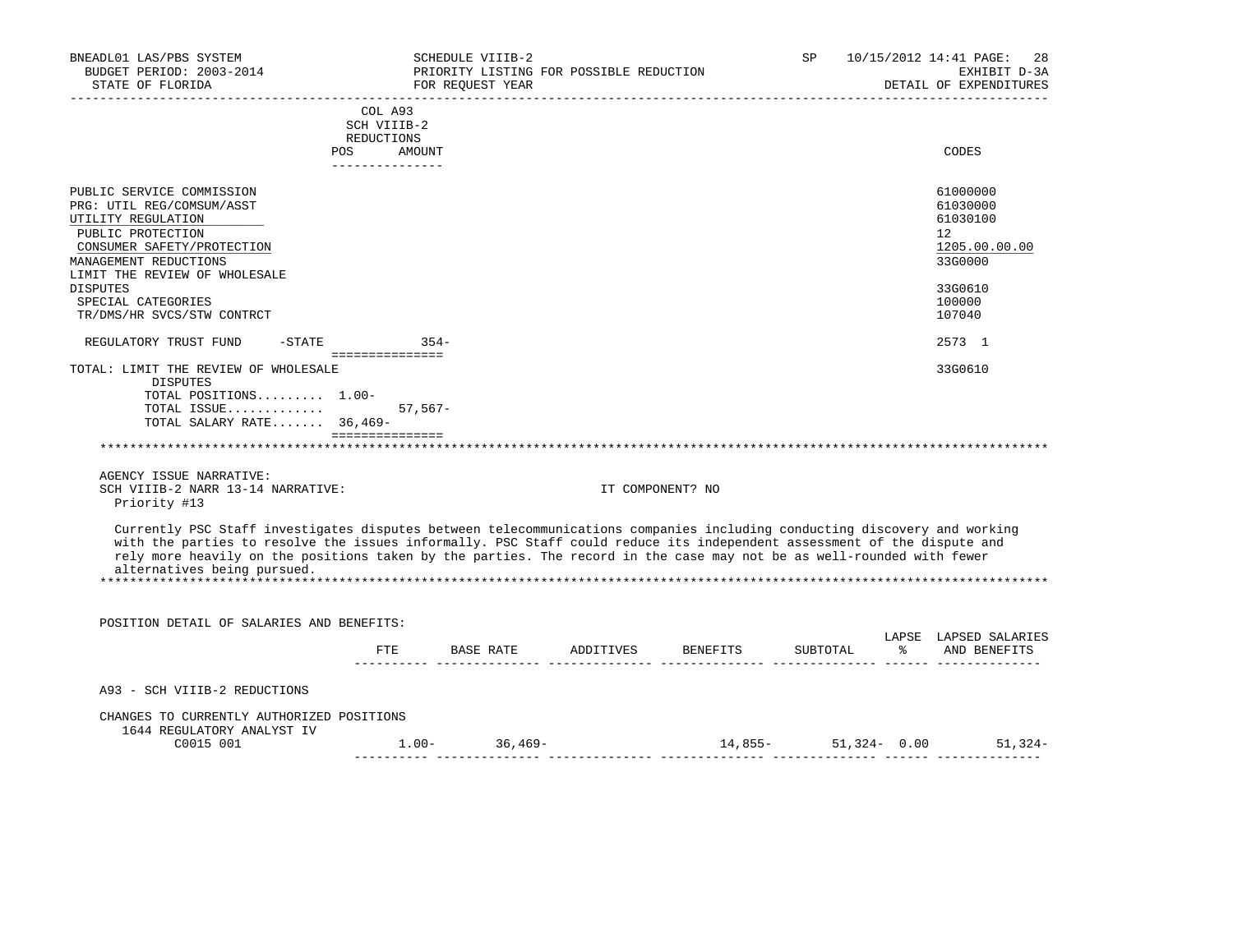| BNEADL01 LAS/PBS SYSTEM<br>BUDGET PERIOD: 2003-2014<br>STATE OF FLORIDA<br>--------------------------------------                                                                                                                                                                                                                                                                                            |                                      | SCHEDULE VIIIB-2<br>PRIORITY LISTING FOR POSSIBLE REDUCTION<br>FOR REQUEST YEAR |                             | ____________________________              | SP | 10/15/2012 14:41 PAGE: 28<br>EXHIBIT D-3A<br>DETAIL OF EXPENDITURES                                         |
|--------------------------------------------------------------------------------------------------------------------------------------------------------------------------------------------------------------------------------------------------------------------------------------------------------------------------------------------------------------------------------------------------------------|--------------------------------------|---------------------------------------------------------------------------------|-----------------------------|-------------------------------------------|----|-------------------------------------------------------------------------------------------------------------|
|                                                                                                                                                                                                                                                                                                                                                                                                              | COL A93<br>SCH VIIIB-2<br>REDUCTIONS | __________________                                                              |                             |                                           |    | _____________________                                                                                       |
|                                                                                                                                                                                                                                                                                                                                                                                                              | POS AMOUNT<br>---------------        |                                                                                 |                             |                                           |    | CODES                                                                                                       |
| PUBLIC SERVICE COMMISSION<br>PRG: UTIL REG/COMSUM/ASST<br>UTILITY REGULATION<br>PUBLIC PROTECTION<br>CONSUMER SAFETY/PROTECTION<br>MANAGEMENT REDUCTIONS<br>LIMIT THE REVIEW OF WHOLESALE<br><b>DISPUTES</b><br>SPECIAL CATEGORIES<br>TR/DMS/HR SVCS/STW CONTRCT<br>$-STATE$ 354-                                                                                                                            |                                      |                                                                                 |                             |                                           |    | 61000000<br>61030000<br>61030100<br>12<br>1205.00.00.00<br>33G0000<br>33G0610<br>100000<br>107040<br>2573 1 |
| REGULATORY TRUST FUND                                                                                                                                                                                                                                                                                                                                                                                        |                                      |                                                                                 |                             |                                           |    |                                                                                                             |
| DISPUTES<br>TOTAL POSITIONS 1.00-<br>TOTAL ISSUE<br>TOTAL SALARY RATE 36,469-<br>AGENCY ISSUE NARRATIVE:                                                                                                                                                                                                                                                                                                     | $57,567-$<br>================        |                                                                                 | *************************** |                                           |    |                                                                                                             |
| SCH VIIIB-2 NARR 13-14 NARRATIVE:<br>Priority #13                                                                                                                                                                                                                                                                                                                                                            |                                      |                                                                                 | IT COMPONENT? NO            |                                           |    |                                                                                                             |
| Currently PSC Staff investigates disputes between telecommunications companies including conducting discovery and working<br>with the parties to resolve the issues informally. PSC Staff could reduce its independent assessment of the dispute and<br>rely more heavily on the positions taken by the parties. The record in the case may not be as well-rounded with fewer<br>alternatives being pursued. |                                      |                                                                                 |                             |                                           |    |                                                                                                             |
| POSITION DETAIL OF SALARIES AND BENEFITS:                                                                                                                                                                                                                                                                                                                                                                    |                                      |                                                                                 |                             |                                           |    |                                                                                                             |
|                                                                                                                                                                                                                                                                                                                                                                                                              |                                      |                                                                                 |                             | FTE BASE RATE ADDITIVES BENEFITS SUBTOTAL |    | LAPSE LAPSED SALARIES<br>% AND BENEFITS                                                                     |
| A93 - SCH VIIIB-2 REDUCTIONS                                                                                                                                                                                                                                                                                                                                                                                 |                                      |                                                                                 |                             |                                           |    |                                                                                                             |
| CHANGES TO CURRENTLY AUTHORIZED POSITIONS                                                                                                                                                                                                                                                                                                                                                                    |                                      |                                                                                 |                             |                                           |    |                                                                                                             |
| 1644 REGULATORY ANALYST IV<br>C0015 001                                                                                                                                                                                                                                                                                                                                                                      |                                      | $1.00 - 36,469 -$                                                               |                             |                                           |    | $14,855-51,324-0.00$ 51,324-                                                                                |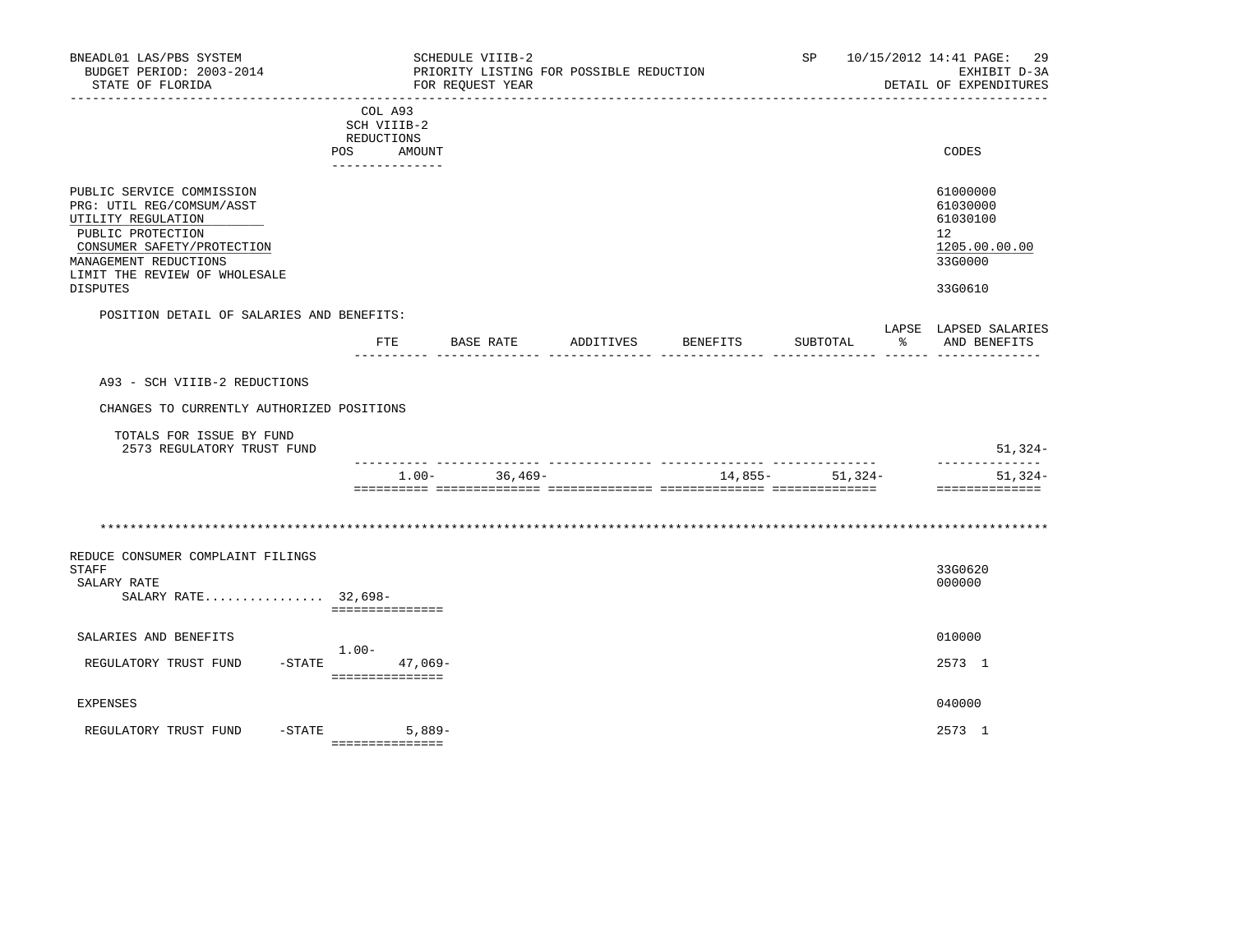| BNEADL01 LAS/PBS SYSTEM<br>BUDGET PERIOD: 2003-2014<br>STATE OF FLORIDA                                                                                                                               |           |                                                                       | SCHEDULE VIIIB-2<br>FOR REQUEST YEAR | PRIORITY LISTING FOR POSSIBLE REDUCTION |                                     | SP                    |         | 10/15/2012 14:41 PAGE: 29<br>EXHIBIT D-3A<br>DETAIL OF EXPENDITURES           |
|-------------------------------------------------------------------------------------------------------------------------------------------------------------------------------------------------------|-----------|-----------------------------------------------------------------------|--------------------------------------|-----------------------------------------|-------------------------------------|-----------------------|---------|-------------------------------------------------------------------------------|
|                                                                                                                                                                                                       |           | COL A93<br>SCH VIIIB-2<br>REDUCTIONS<br>POS AMOUNT<br>_______________ |                                      |                                         |                                     |                       |         | CODES                                                                         |
| PUBLIC SERVICE COMMISSION<br>PRG: UTIL REG/COMSUM/ASST<br>UTILITY REGULATION<br>PUBLIC PROTECTION<br>CONSUMER SAFETY/PROTECTION<br>MANAGEMENT REDUCTIONS<br>LIMIT THE REVIEW OF WHOLESALE<br>DISPUTES |           |                                                                       |                                      |                                         |                                     |                       |         | 61000000<br>61030000<br>61030100<br>12<br>1205.00.00.00<br>33G0000<br>33G0610 |
| POSITION DETAIL OF SALARIES AND BENEFITS:                                                                                                                                                             |           |                                                                       |                                      |                                         |                                     |                       |         | LAPSE LAPSED SALARIES                                                         |
|                                                                                                                                                                                                       |           | ETE                                                                   | BASE RATE<br>___________ ______      |                                         | ADDITIVES BENEFITS<br>$\frac{1}{2}$ | SUBTOTAL<br>_____ ___ | - 8     | AND BENEFITS                                                                  |
| A93 - SCH VIIIB-2 REDUCTIONS<br>CHANGES TO CURRENTLY AUTHORIZED POSITIONS                                                                                                                             |           |                                                                       |                                      |                                         |                                     |                       |         |                                                                               |
| TOTALS FOR ISSUE BY FUND<br>2573 REGULATORY TRUST FUND                                                                                                                                                |           |                                                                       |                                      |                                         |                                     |                       |         | $51,324-$                                                                     |
|                                                                                                                                                                                                       |           | $1.00 -$                                                              | $36,469-$                            |                                         | 14,855-                             |                       | 51,324- | --------------<br>$51,324-$<br>==============                                 |
|                                                                                                                                                                                                       |           |                                                                       |                                      |                                         |                                     |                       |         |                                                                               |
| REDUCE CONSUMER COMPLAINT FILINGS<br><b>STAFF</b><br>SALARY RATE<br>SALARY RATE 32,698-                                                                                                               |           | ===============                                                       |                                      |                                         |                                     |                       |         | 33G0620<br>000000                                                             |
| SALARIES AND BENEFITS                                                                                                                                                                                 |           |                                                                       |                                      |                                         |                                     |                       |         | 010000                                                                        |
| REGULATORY TRUST FUND                                                                                                                                                                                 | 1.00-     | $-$ STATE 47,069-<br>===============                                  |                                      |                                         |                                     |                       |         | 2573 1                                                                        |
| EXPENSES                                                                                                                                                                                              |           |                                                                       |                                      |                                         |                                     |                       |         | 040000                                                                        |
| REGULATORY TRUST FUND                                                                                                                                                                                 | $-$ STATE | $5,889-$<br>===============                                           |                                      |                                         |                                     |                       |         | 2573 1                                                                        |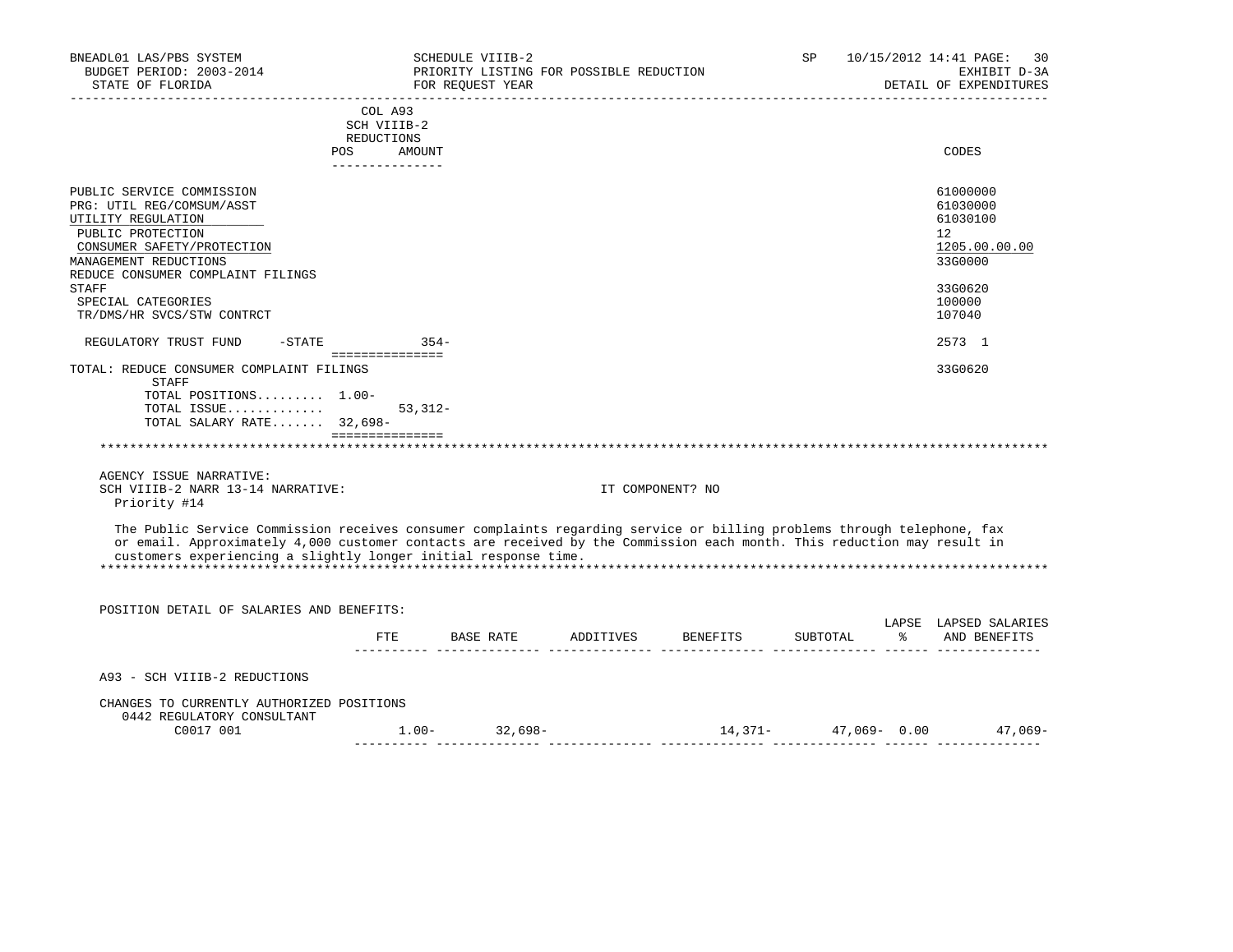| BNEADL01 LAS/PBS SYSTEM<br>BUDGET PERIOD: 2003-2014<br>STATE OF FLORIDA                                                                                                                                                                                                                                               |                                                                       | SCHEDULE VIIIB-2<br>PRIORITY LISTING FOR POSSIBLE REDUCTION<br>FOR REQUEST YEAR |                                                                           | SP. | 30<br>10/15/2012 14:41 PAGE:<br>EXHIBIT D-3A<br>DETAIL OF EXPENDITURES<br>-------------------- |
|-----------------------------------------------------------------------------------------------------------------------------------------------------------------------------------------------------------------------------------------------------------------------------------------------------------------------|-----------------------------------------------------------------------|---------------------------------------------------------------------------------|---------------------------------------------------------------------------|-----|------------------------------------------------------------------------------------------------|
|                                                                                                                                                                                                                                                                                                                       | COL A93<br>SCH VIIIB-2<br>REDUCTIONS<br>POS AMOUNT<br>--------------- |                                                                                 |                                                                           |     | CODES                                                                                          |
| PUBLIC SERVICE COMMISSION<br>PRG: UTIL REG/COMSUM/ASST<br>UTILITY REGULATION<br>PUBLIC PROTECTION<br>CONSUMER SAFETY/PROTECTION<br>MANAGEMENT REDUCTIONS<br>REDUCE CONSUMER COMPLAINT FILINGS<br><b>STAFF</b><br>SPECIAL CATEGORIES                                                                                   |                                                                       |                                                                                 |                                                                           |     | 61000000<br>61030000<br>61030100<br>12<br>1205.00.00.00<br>33G0000<br>33G0620<br>100000        |
| TR/DMS/HR SVCS/STW CONTRCT<br>REGULATORY TRUST FUND -STATE 354-                                                                                                                                                                                                                                                       |                                                                       |                                                                                 |                                                                           |     | 107040<br>2573 1                                                                               |
| TOTAL: REDUCE CONSUMER COMPLAINT FILINGS<br>STAFF<br>TOTAL POSITIONS 1.00-<br>TOTAL ISSUE<br>TOTAL SALARY RATE 32,698-                                                                                                                                                                                                | $53,312-$<br>===============                                          |                                                                                 |                                                                           |     | 33G0620                                                                                        |
| AGENCY ISSUE NARRATIVE:<br>SCH VIIIB-2 NARR 13-14 NARRATIVE:<br>Priority #14                                                                                                                                                                                                                                          |                                                                       |                                                                                 | IT COMPONENT? NO                                                          |     |                                                                                                |
| The Public Service Commission receives consumer complaints regarding service or billing problems through telephone, fax<br>or email. Approximately 4,000 customer contacts are received by the Commission each month. This reduction may result in<br>customers experiencing a slightly longer initial response time. |                                                                       |                                                                                 |                                                                           |     |                                                                                                |
| POSITION DETAIL OF SALARIES AND BENEFITS:                                                                                                                                                                                                                                                                             |                                                                       |                                                                                 |                                                                           |     | LAPSE LAPSED SALARIES                                                                          |
|                                                                                                                                                                                                                                                                                                                       |                                                                       |                                                                                 | FTE BASE RATE ADDITIVES BENEFITS SUBTOTAL                                 |     | % AND BENEFITS                                                                                 |
| A93 - SCH VIIIB-2 REDUCTIONS                                                                                                                                                                                                                                                                                          |                                                                       |                                                                                 |                                                                           |     |                                                                                                |
| CHANGES TO CURRENTLY AUTHORIZED POSITIONS<br>0442 REGULATORY CONSULTANT<br>C0017 001                                                                                                                                                                                                                                  |                                                                       | $1.00 - 32,698 -$                                                               | , coordinational correspondent coordinational coordinations coordination. |     | $14,371 47,069-$ 0.00 $47,069-$                                                                |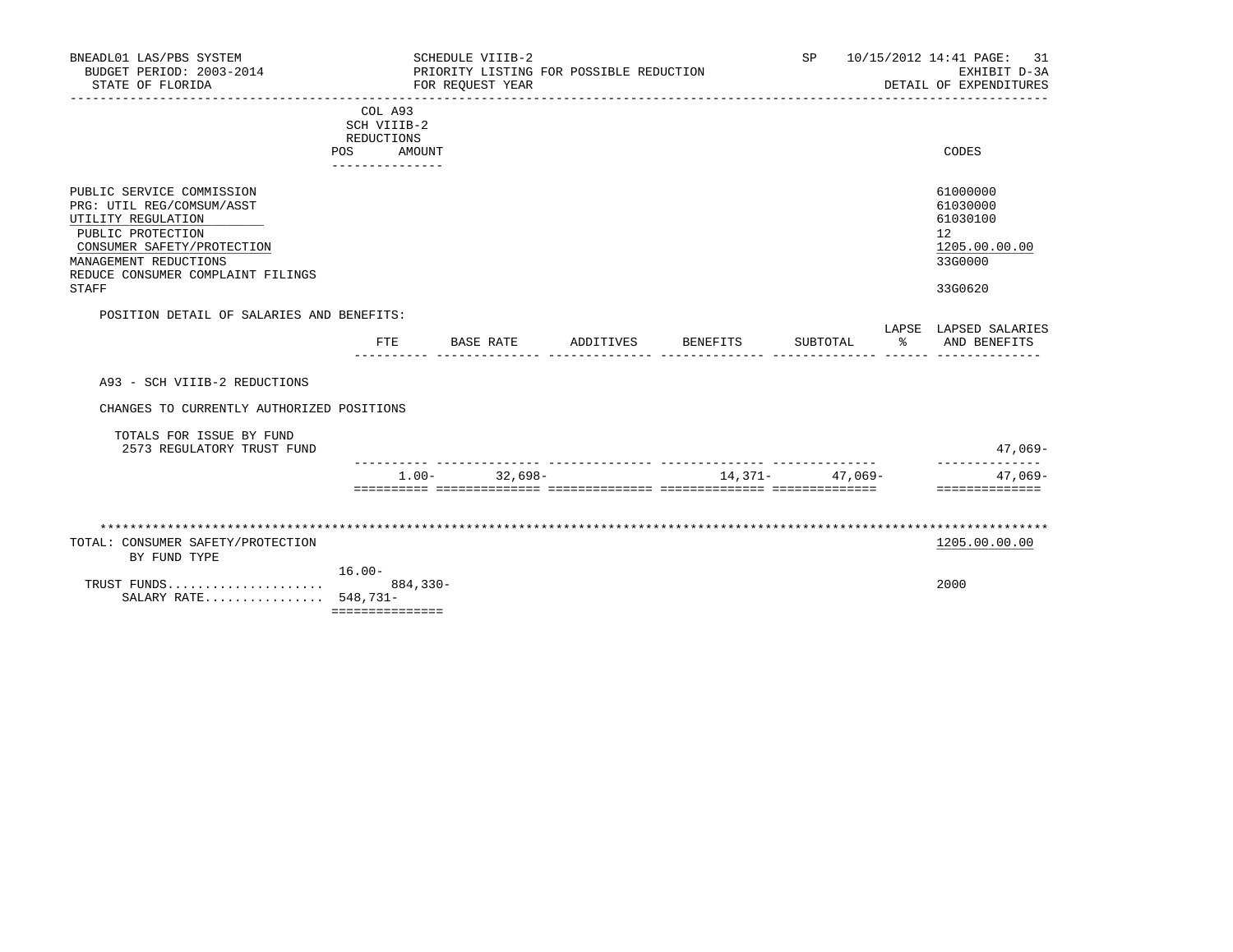| BNEADL01 LAS/PBS SYSTEM<br>BUDGET PERIOD: 2003-2014<br>STATE OF FLORIDA                                                                                                                                |                                                                       |              | SCHEDULE VIIIB-2<br>PRIORITY LISTING FOR POSSIBLE REDUCTION<br>FOR REOUEST YEAR |           |                  | SP       |    | 10/15/2012 14:41 PAGE:<br>-31<br>EXHIBIT D-3A<br>DETAIL OF EXPENDITURES                 |
|--------------------------------------------------------------------------------------------------------------------------------------------------------------------------------------------------------|-----------------------------------------------------------------------|--------------|---------------------------------------------------------------------------------|-----------|------------------|----------|----|-----------------------------------------------------------------------------------------|
|                                                                                                                                                                                                        | COL A93<br>SCH VIIIB-2<br>REDUCTIONS<br><b>POS</b><br>_______________ | AMOUNT       |                                                                                 |           |                  |          |    | CODES                                                                                   |
| PUBLIC SERVICE COMMISSION<br>PRG: UTIL REG/COMSUM/ASST<br>UTILITY REGULATION<br>PUBLIC PROTECTION<br>CONSUMER SAFETY/PROTECTION<br>MANAGEMENT REDUCTIONS<br>REDUCE CONSUMER COMPLAINT FILINGS<br>STAFF |                                                                       |              |                                                                                 |           |                  |          |    | 61000000<br>61030000<br>61030100<br>$12^{\circ}$<br>1205.00.00.00<br>33G0000<br>33G0620 |
| POSITION DETAIL OF SALARIES AND BENEFITS:                                                                                                                                                              |                                                                       |              |                                                                                 |           |                  |          |    |                                                                                         |
|                                                                                                                                                                                                        | FTE                                                                   |              | BASE RATE                                                                       | ADDITIVES | BENEFITS         | SUBTOTAL | ႜၟ | LAPSE LAPSED SALARIES<br>AND BENEFITS                                                   |
| A93 - SCH VIIIB-2 REDUCTIONS                                                                                                                                                                           |                                                                       |              |                                                                                 |           |                  |          |    |                                                                                         |
| CHANGES TO CURRENTLY AUTHORIZED POSITIONS                                                                                                                                                              |                                                                       |              |                                                                                 |           |                  |          |    |                                                                                         |
| TOTALS FOR ISSUE BY FUND<br>2573 REGULATORY TRUST FUND                                                                                                                                                 |                                                                       |              |                                                                                 |           |                  |          |    | $47,069-$                                                                               |
|                                                                                                                                                                                                        |                                                                       | $1.00 -$     | $32,698-$                                                                       |           | $14,371 47,069-$ |          |    | --------------<br>47,069-<br>==============                                             |
|                                                                                                                                                                                                        |                                                                       |              |                                                                                 |           |                  |          |    |                                                                                         |
| TOTAL: CONSUMER SAFETY/PROTECTION<br>BY FUND TYPE                                                                                                                                                      |                                                                       |              |                                                                                 |           |                  |          |    | 1205.00.00.00                                                                           |
| TRUST FUNDS<br>SALARY RATE 548,731-                                                                                                                                                                    | $16.00 -$<br>===============                                          | $884, 330 -$ |                                                                                 |           |                  |          |    | 2000                                                                                    |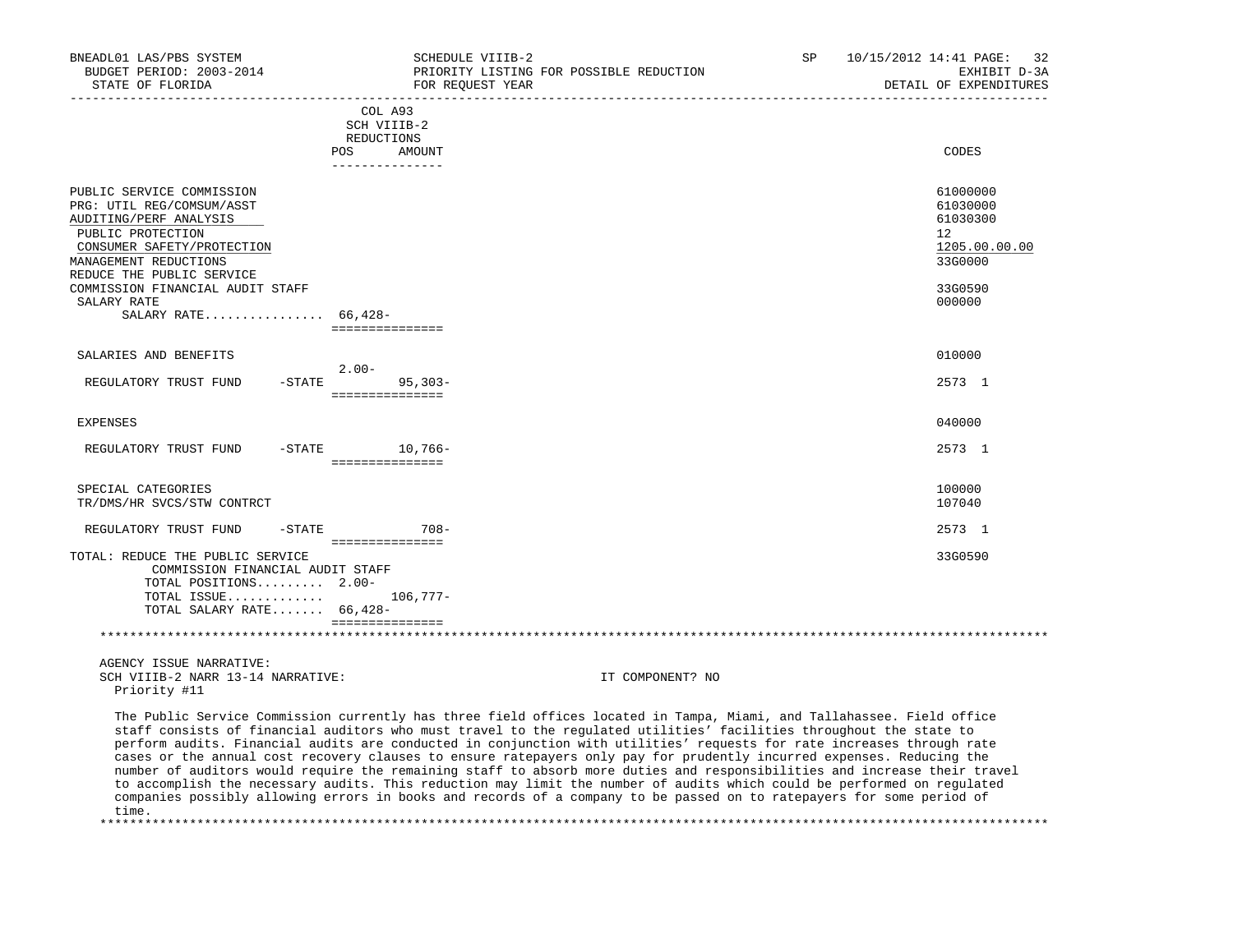| BNEADL01 LAS/PBS SYSTEM<br>BUDGET PERIOD: 2003-2014<br>STATE OF FLORIDA                                                                                                                   | SCHEDULE VIIIB-2<br>PRIORITY LISTING FOR POSSIBLE REDUCTION<br>FOR REOUEST YEAR                                                                                                                                                                                                                                                                                                                                                                                                                                                                                                                                                                                                                                                                                                                                                                                                   | SP | 10/15/2012 14:41 PAGE:<br>32<br>EXHIBIT D-3A<br>DETAIL OF EXPENDITURES       |
|-------------------------------------------------------------------------------------------------------------------------------------------------------------------------------------------|-----------------------------------------------------------------------------------------------------------------------------------------------------------------------------------------------------------------------------------------------------------------------------------------------------------------------------------------------------------------------------------------------------------------------------------------------------------------------------------------------------------------------------------------------------------------------------------------------------------------------------------------------------------------------------------------------------------------------------------------------------------------------------------------------------------------------------------------------------------------------------------|----|------------------------------------------------------------------------------|
| POS                                                                                                                                                                                       | COL A93<br>SCH VIIIB-2<br>REDUCTIONS<br>AMOUNT<br>---------------                                                                                                                                                                                                                                                                                                                                                                                                                                                                                                                                                                                                                                                                                                                                                                                                                 |    | CODES                                                                        |
| PUBLIC SERVICE COMMISSION<br>PRG: UTIL REG/COMSUM/ASST<br>AUDITING/PERF ANALYSIS<br>PUBLIC PROTECTION<br>CONSUMER SAFETY/PROTECTION<br>MANAGEMENT REDUCTIONS<br>REDUCE THE PUBLIC SERVICE |                                                                                                                                                                                                                                                                                                                                                                                                                                                                                                                                                                                                                                                                                                                                                                                                                                                                                   |    | 61000000<br>61030000<br>61030300<br>$12^{\circ}$<br>1205.00.00.00<br>33G0000 |
| COMMISSION FINANCIAL AUDIT STAFF<br>SALARY RATE<br>SALARY RATE 66,428-                                                                                                                    |                                                                                                                                                                                                                                                                                                                                                                                                                                                                                                                                                                                                                                                                                                                                                                                                                                                                                   |    | 33G0590<br>000000                                                            |
| SALARIES AND BENEFITS                                                                                                                                                                     | ===============                                                                                                                                                                                                                                                                                                                                                                                                                                                                                                                                                                                                                                                                                                                                                                                                                                                                   |    | 010000                                                                       |
| REGULATORY TRUST FUND<br>$-$ STATE                                                                                                                                                        | $2.00-$<br>$95,303-$<br>===============                                                                                                                                                                                                                                                                                                                                                                                                                                                                                                                                                                                                                                                                                                                                                                                                                                           |    | 2573 1                                                                       |
| <b>EXPENSES</b>                                                                                                                                                                           |                                                                                                                                                                                                                                                                                                                                                                                                                                                                                                                                                                                                                                                                                                                                                                                                                                                                                   |    | 040000                                                                       |
| REGULATORY TRUST FUND                                                                                                                                                                     | $-$ STATE $10, 766-$<br>===============                                                                                                                                                                                                                                                                                                                                                                                                                                                                                                                                                                                                                                                                                                                                                                                                                                           |    | 2573 1                                                                       |
| SPECIAL CATEGORIES<br>TR/DMS/HR SVCS/STW CONTRCT                                                                                                                                          |                                                                                                                                                                                                                                                                                                                                                                                                                                                                                                                                                                                                                                                                                                                                                                                                                                                                                   |    | 100000<br>107040                                                             |
| REGULATORY TRUST FUND<br>$-$ STATE                                                                                                                                                        | $708 -$                                                                                                                                                                                                                                                                                                                                                                                                                                                                                                                                                                                                                                                                                                                                                                                                                                                                           |    | 2573 1                                                                       |
| TOTAL: REDUCE THE PUBLIC SERVICE<br>COMMISSION FINANCIAL AUDIT STAFF<br>TOTAL POSITIONS $2.00 -$<br>TOTAL ISSUE<br>TOTAL SALARY RATE 66,428-                                              | ===============<br>$106,777-$                                                                                                                                                                                                                                                                                                                                                                                                                                                                                                                                                                                                                                                                                                                                                                                                                                                     |    | 33G0590                                                                      |
|                                                                                                                                                                                           | ===============                                                                                                                                                                                                                                                                                                                                                                                                                                                                                                                                                                                                                                                                                                                                                                                                                                                                   |    |                                                                              |
| AGENCY ISSUE NARRATIVE:<br>SCH VIIIB-2 NARR 13-14 NARRATIVE:<br>Priority #11                                                                                                              | IT COMPONENT? NO                                                                                                                                                                                                                                                                                                                                                                                                                                                                                                                                                                                                                                                                                                                                                                                                                                                                  |    |                                                                              |
| time.                                                                                                                                                                                     | The Public Service Commission currently has three field offices located in Tampa, Miami, and Tallahassee. Field office<br>staff consists of financial auditors who must travel to the regulated utilities' facilities throughout the state to<br>perform audits. Financial audits are conducted in conjunction with utilities' requests for rate increases through rate<br>cases or the annual cost recovery clauses to ensure ratepayers only pay for prudently incurred expenses. Reducing the<br>number of auditors would require the remaining staff to absorb more duties and responsibilities and increase their travel<br>to accomplish the necessary audits. This reduction may limit the number of audits which could be performed on requlated<br>companies possibly allowing errors in books and records of a company to be passed on to ratepayers for some period of |    |                                                                              |